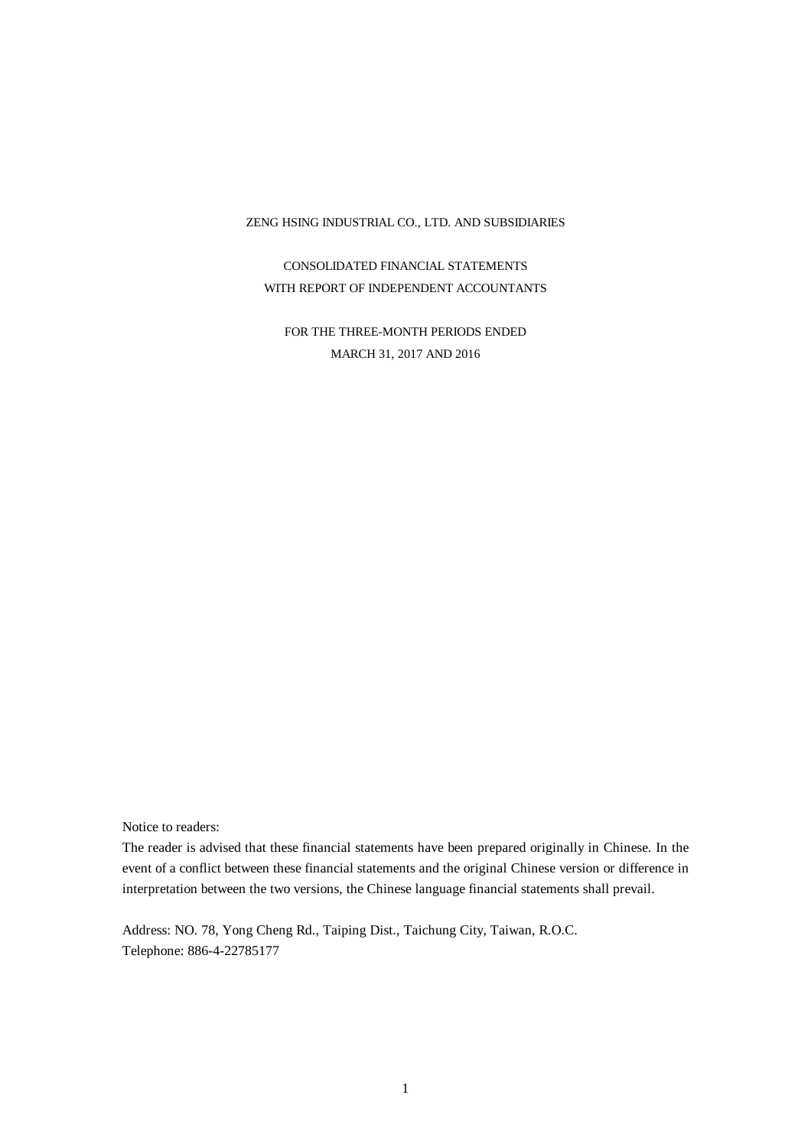CONSOLIDATED FINANCIAL STATEMENTS WITH REPORT OF INDEPENDENT ACCOUNTANTS

FOR THE THREE-MONTH PERIODS ENDED MARCH 31, 2017 AND 2016

Notice to readers:

The reader is advised that these financial statements have been prepared originally in Chinese. In the event of a conflict between these financial statements and the original Chinese version or difference in interpretation between the two versions, the Chinese language financial statements shall prevail.

Address: NO. 78, Yong Cheng Rd., Taiping Dist., Taichung City, Taiwan, R.O.C. Telephone: 886-4-22785177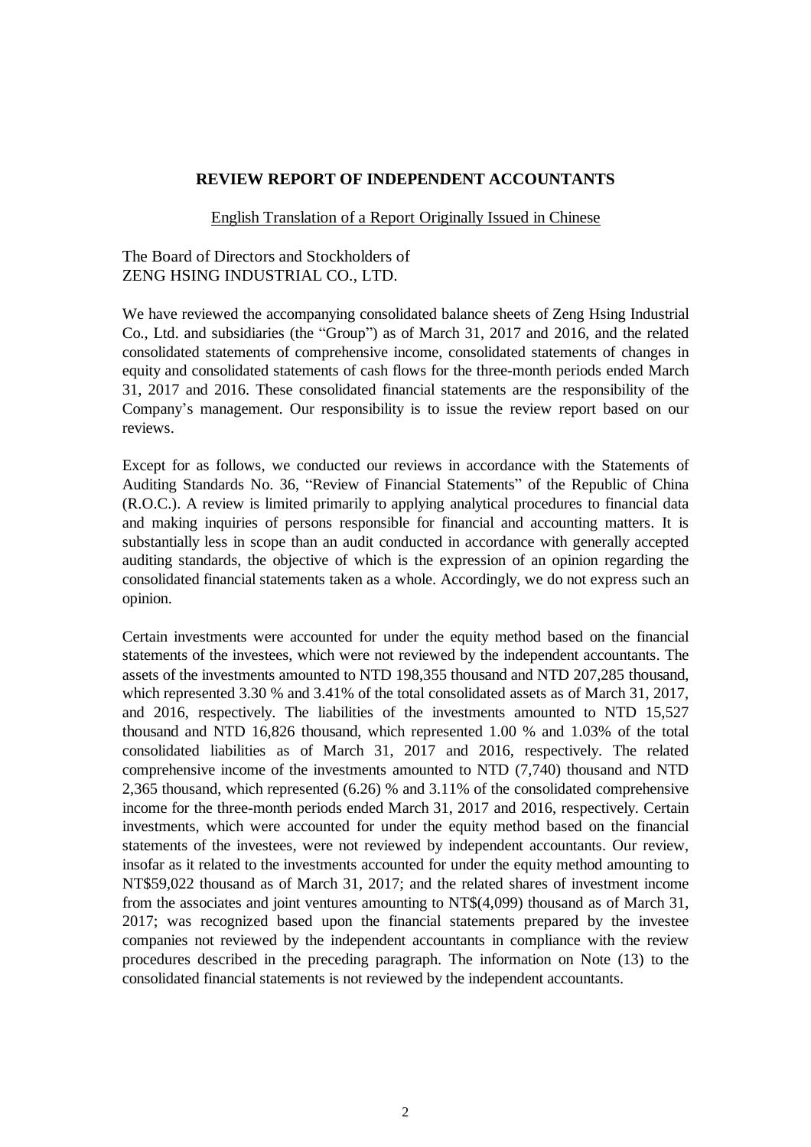## **REVIEW REPORT OF INDEPENDENT ACCOUNTANTS**

#### English Translation of a Report Originally Issued in Chinese

## The Board of Directors and Stockholders of ZENG HSING INDUSTRIAL CO., LTD.

We have reviewed the accompanying consolidated balance sheets of Zeng Hsing Industrial Co., Ltd. and subsidiaries (the "Group") as of March 31, 2017 and 2016, and the related consolidated statements of comprehensive income, consolidated statements of changes in equity and consolidated statements of cash flows for the three-month periods ended March 31, 2017 and 2016. These consolidated financial statements are the responsibility of the Company's management. Our responsibility is to issue the review report based on our reviews.

Except for as follows, we conducted our reviews in accordance with the Statements of Auditing Standards No. 36, "Review of Financial Statements" of the Republic of China (R.O.C.). A review is limited primarily to applying analytical procedures to financial data and making inquiries of persons responsible for financial and accounting matters. It is substantially less in scope than an audit conducted in accordance with generally accepted auditing standards, the objective of which is the expression of an opinion regarding the consolidated financial statements taken as a whole. Accordingly, we do not express such an opinion.

Certain investments were accounted for under the equity method based on the financial statements of the investees, which were not reviewed by the independent accountants. The assets of the investments amounted to NTD 198,355 thousand and NTD 207,285 thousand, which represented 3.30 % and 3.41% of the total consolidated assets as of March 31, 2017, and 2016, respectively. The liabilities of the investments amounted to NTD 15,527 thousand and NTD 16,826 thousand, which represented 1.00 % and 1.03% of the total consolidated liabilities as of March 31, 2017 and 2016, respectively. The related comprehensive income of the investments amounted to NTD (7,740) thousand and NTD 2,365 thousand, which represented (6.26) % and 3.11% of the consolidated comprehensive income for the three-month periods ended March 31, 2017 and 2016, respectively. Certain investments, which were accounted for under the equity method based on the financial statements of the investees, were not reviewed by independent accountants. Our review, insofar as it related to the investments accounted for under the equity method amounting to NT\$59,022 thousand as of March 31, 2017; and the related shares of investment income from the associates and joint ventures amounting to NT\$(4,099) thousand as of March 31, 2017; was recognized based upon the financial statements prepared by the investee companies not reviewed by the independent accountants in compliance with the review procedures described in the preceding paragraph. The information on Note (13) to the consolidated financial statements is not reviewed by the independent accountants.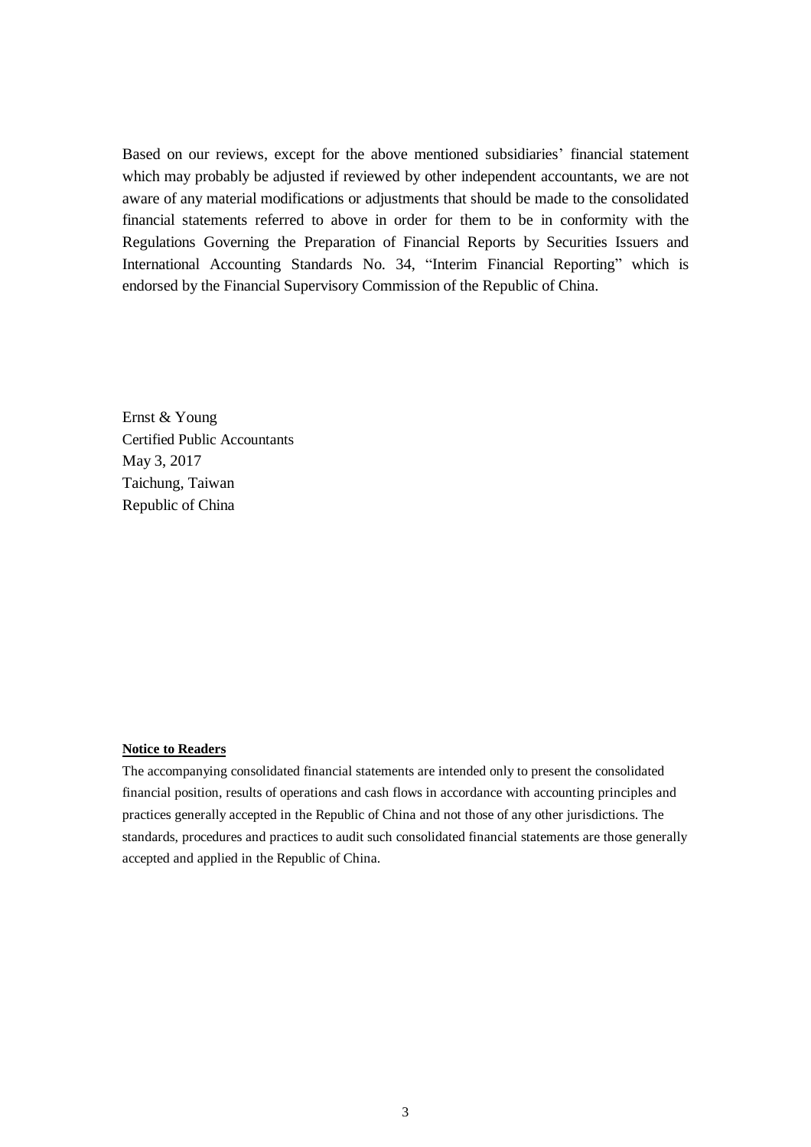Based on our reviews, except for the above mentioned subsidiaries' financial statement which may probably be adjusted if reviewed by other independent accountants, we are not aware of any material modifications or adjustments that should be made to the consolidated financial statements referred to above in order for them to be in conformity with the Regulations Governing the Preparation of Financial Reports by Securities Issuers and International Accounting Standards No. 34, "Interim Financial Reporting" which is endorsed by the Financial Supervisory Commission of the Republic of China.

Ernst & Young Certified Public Accountants May 3, 2017 Taichung, Taiwan Republic of China

#### **Notice to Readers**

The accompanying consolidated financial statements are intended only to present the consolidated financial position, results of operations and cash flows in accordance with accounting principles and practices generally accepted in the Republic of China and not those of any other jurisdictions. The standards, procedures and practices to audit such consolidated financial statements are those generally accepted and applied in the Republic of China.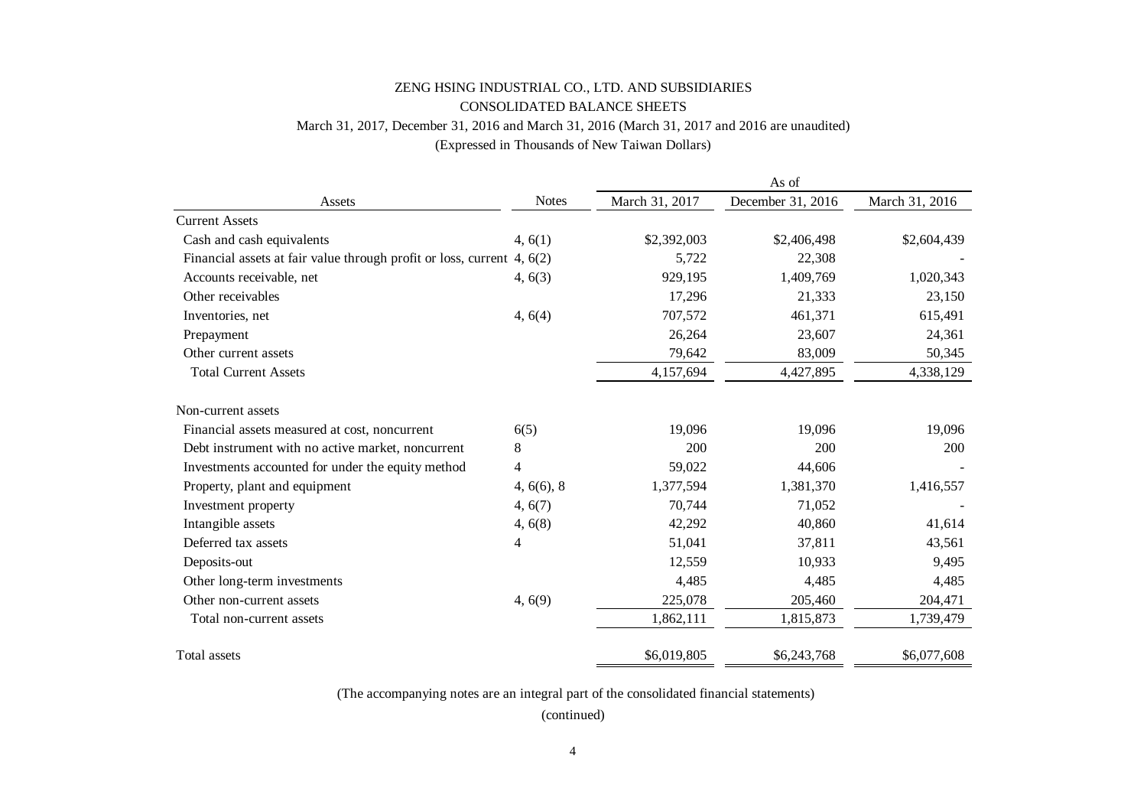# ZENG HSING INDUSTRIAL CO., LTD. AND SUBSIDIARIES CONSOLIDATED BALANCE SHEETS March 31, 2017, December 31, 2016 and March 31, 2016 (March 31, 2017 and 2016 are unaudited)

(Expressed in Thousands of New Taiwan Dollars)

|                                                                          |                |                | As of             |                |
|--------------------------------------------------------------------------|----------------|----------------|-------------------|----------------|
| Assets                                                                   | <b>Notes</b>   | March 31, 2017 | December 31, 2016 | March 31, 2016 |
| <b>Current Assets</b>                                                    |                |                |                   |                |
| Cash and cash equivalents                                                | 4, 6(1)        | \$2,392,003    | \$2,406,498       | \$2,604,439    |
| Financial assets at fair value through profit or loss, current $4, 6(2)$ |                | 5,722          | 22,308            |                |
| Accounts receivable, net                                                 | 4, 6(3)        | 929,195        | 1,409,769         | 1,020,343      |
| Other receivables                                                        |                | 17,296         | 21,333            | 23,150         |
| Inventories, net                                                         | 4, 6(4)        | 707,572        | 461,371           | 615,491        |
| Prepayment                                                               |                | 26,264         | 23,607            | 24,361         |
| Other current assets                                                     |                | 79,642         | 83,009            | 50,345         |
| <b>Total Current Assets</b>                                              |                | 4,157,694      | 4,427,895         | 4,338,129      |
| Non-current assets                                                       |                |                |                   |                |
| Financial assets measured at cost, noncurrent                            | 6(5)           | 19,096         | 19,096            | 19,096         |
| Debt instrument with no active market, noncurrent                        | $\,8\,$        | 200            | 200               | 200            |
| Investments accounted for under the equity method                        | 4              | 59,022         | 44,606            |                |
| Property, plant and equipment                                            | 4, 6(6), 8     | 1,377,594      | 1,381,370         | 1,416,557      |
| Investment property                                                      | 4, 6(7)        | 70,744         | 71,052            |                |
| Intangible assets                                                        | 4, 6(8)        | 42,292         | 40,860            | 41,614         |
| Deferred tax assets                                                      | $\overline{4}$ | 51,041         | 37,811            | 43,561         |
| Deposits-out                                                             |                | 12,559         | 10,933            | 9,495          |
| Other long-term investments                                              |                | 4,485          | 4,485             | 4,485          |
| Other non-current assets                                                 | 4, 6(9)        | 225,078        | 205,460           | 204,471        |
| Total non-current assets                                                 |                | 1,862,111      | 1,815,873         | 1,739,479      |
| Total assets                                                             |                | \$6,019,805    | \$6,243,768       | \$6,077,608    |

(The accompanying notes are an integral part of the consolidated financial statements)

(continued)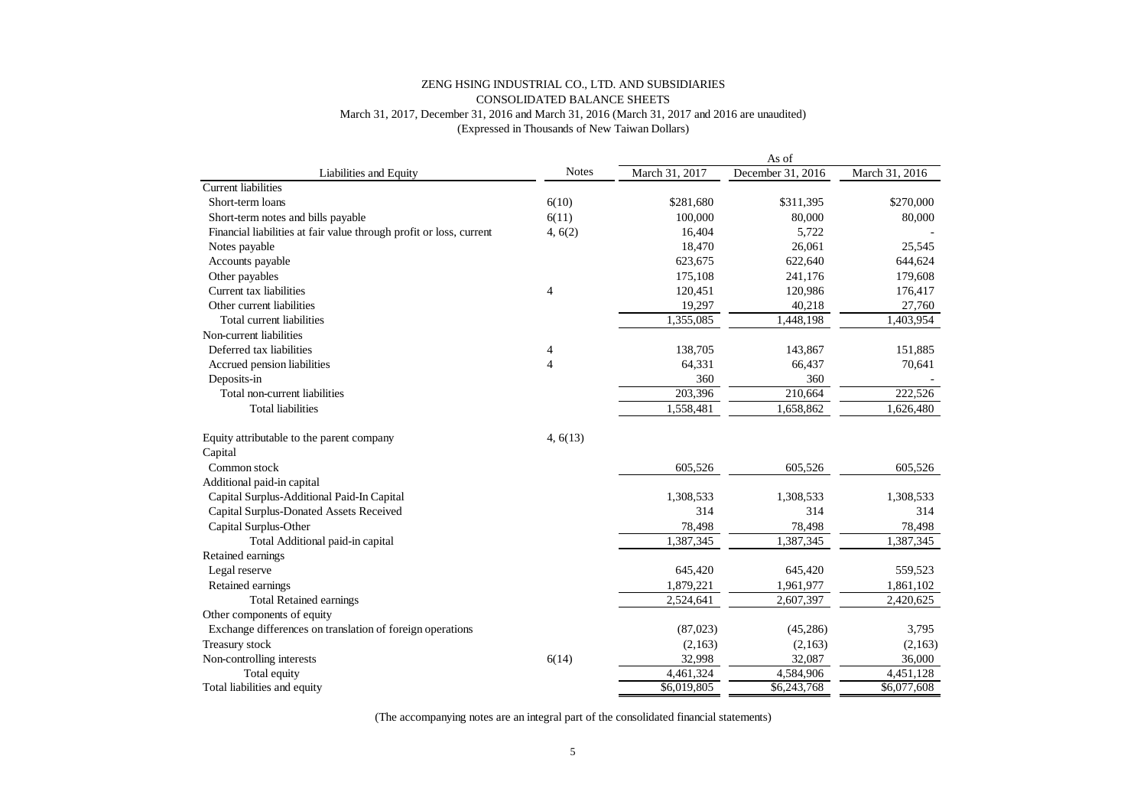#### ZENG HSING INDUSTRIAL CO., LTD. AND SUBSIDIARIES CONSOLIDATED BALANCE SHEETS March 31, 2017, December 31, 2016 and March 31, 2016 (March 31, 2017 and 2016 are unaudited) (Expressed in Thousands of New Taiwan Dollars)

|                                                                     |                |                | As of             |                |
|---------------------------------------------------------------------|----------------|----------------|-------------------|----------------|
| Liabilities and Equity                                              | <b>Notes</b>   | March 31, 2017 | December 31, 2016 | March 31, 2016 |
| <b>Current liabilities</b>                                          |                |                |                   |                |
| Short-term loans                                                    | 6(10)          | \$281,680      | \$311,395         | \$270,000      |
| Short-term notes and bills payable                                  | 6(11)          | 100,000        | 80,000            | 80,000         |
| Financial liabilities at fair value through profit or loss, current | 4, 6(2)        | 16,404         | 5.722             |                |
| Notes payable                                                       |                | 18,470         | 26,061            | 25,545         |
| Accounts payable                                                    |                | 623,675        | 622,640           | 644,624        |
| Other payables                                                      |                | 175,108        | 241,176           | 179,608        |
| Current tax liabilities                                             | $\overline{4}$ | 120,451        | 120,986           | 176,417        |
| Other current liabilities                                           |                | 19,297         | 40,218            | 27,760         |
| Total current liabilities                                           |                | 1,355,085      | 1,448,198         | 1,403,954      |
| Non-current liabilities                                             |                |                |                   |                |
| Deferred tax liabilities                                            | 4              | 138,705        | 143,867           | 151,885        |
| Accrued pension liabilities                                         | $\overline{4}$ | 64,331         | 66,437            | 70,641         |
| Deposits-in                                                         |                | 360            | 360               |                |
| Total non-current liabilities                                       |                | 203,396        | 210,664           | 222,526        |
| <b>Total liabilities</b>                                            |                | 1,558,481      | 1,658,862         | 1,626,480      |
| Equity attributable to the parent company                           | 4, 6(13)       |                |                   |                |
| Capital                                                             |                |                |                   |                |
| Common stock                                                        |                | 605,526        | 605,526           | 605,526        |
| Additional paid-in capital                                          |                |                |                   |                |
| Capital Surplus-Additional Paid-In Capital                          |                | 1,308,533      | 1,308,533         | 1,308,533      |
| Capital Surplus-Donated Assets Received                             |                | 314            | 314               | 314            |
| Capital Surplus-Other                                               |                | 78,498         | 78,498            | 78,498         |
| Total Additional paid-in capital                                    |                | 1,387,345      | 1,387,345         | 1,387,345      |
| Retained earnings                                                   |                |                |                   |                |
| Legal reserve                                                       |                | 645,420        | 645,420           | 559,523        |
| Retained earnings                                                   |                | 1,879,221      | 1,961,977         | 1,861,102      |
| <b>Total Retained earnings</b>                                      |                | 2,524,641      | 2,607,397         | 2,420,625      |
| Other components of equity                                          |                |                |                   |                |
| Exchange differences on translation of foreign operations           |                | (87,023)       | (45, 286)         | 3,795          |
| Treasury stock                                                      |                | (2,163)        | (2,163)           | (2,163)        |
| Non-controlling interests                                           | 6(14)          | 32,998         | 32,087            | 36,000         |
| Total equity                                                        |                | 4,461,324      | 4,584,906         | 4,451,128      |
| Total liabilities and equity                                        |                | \$6,019,805    | \$6,243,768       | \$6,077,608    |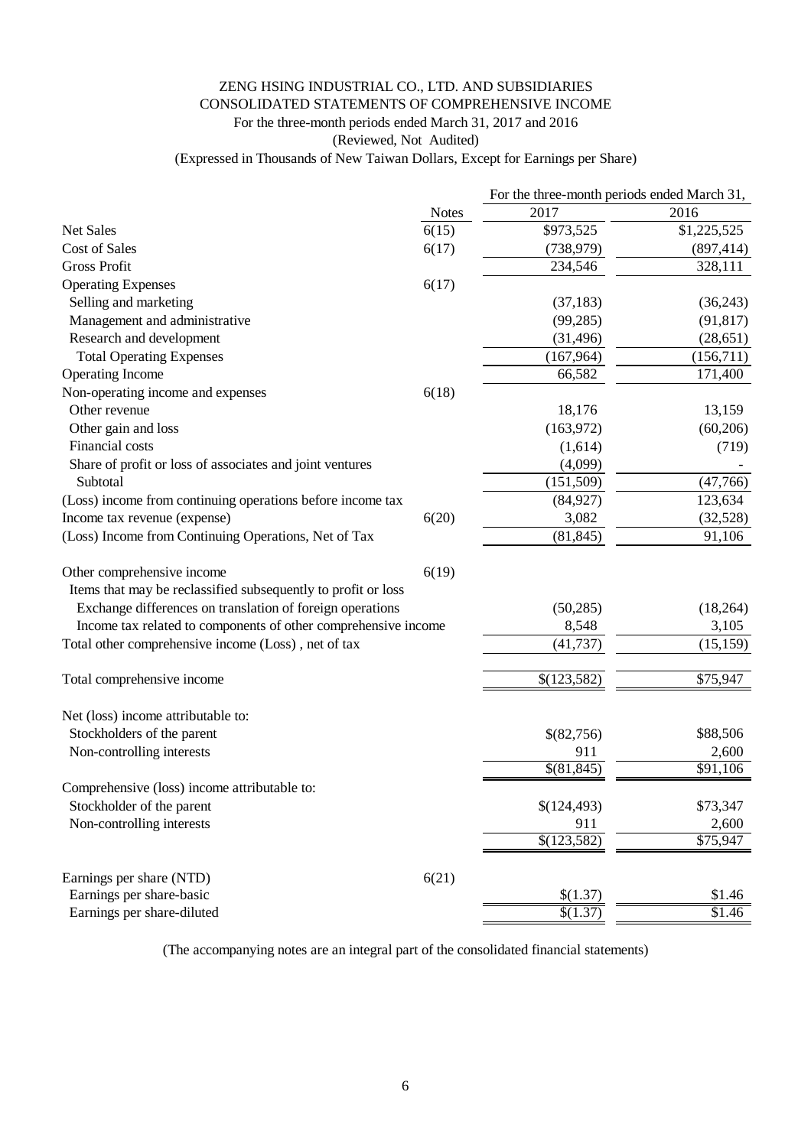## ZENG HSING INDUSTRIAL CO., LTD. AND SUBSIDIARIES CONSOLIDATED STATEMENTS OF COMPREHENSIVE INCOME For the three-month periods ended March 31, 2017 and 2016 (Reviewed, Not Audited)

### (Expressed in Thousands of New Taiwan Dollars, Except for Earnings per Share)

|                                                                |              | For the three-month periods ended March 31, |             |  |  |
|----------------------------------------------------------------|--------------|---------------------------------------------|-------------|--|--|
|                                                                | <b>Notes</b> | 2017                                        | 2016        |  |  |
| <b>Net Sales</b>                                               | 6(15)        | \$973,525                                   | \$1,225,525 |  |  |
| <b>Cost of Sales</b>                                           | 6(17)        | (738, 979)                                  | (897, 414)  |  |  |
| <b>Gross Profit</b>                                            |              | 234,546                                     | 328,111     |  |  |
| <b>Operating Expenses</b>                                      | 6(17)        |                                             |             |  |  |
| Selling and marketing                                          |              | (37, 183)                                   | (36,243)    |  |  |
| Management and administrative                                  |              | (99, 285)                                   | (91, 817)   |  |  |
| Research and development                                       |              | (31, 496)                                   | (28, 651)   |  |  |
| <b>Total Operating Expenses</b>                                |              | (167, 964)                                  | (156,711)   |  |  |
| <b>Operating Income</b>                                        |              | 66,582                                      | 171,400     |  |  |
| Non-operating income and expenses                              | 6(18)        |                                             |             |  |  |
| Other revenue                                                  |              | 18,176                                      | 13,159      |  |  |
| Other gain and loss                                            |              | (163,972)                                   | (60, 206)   |  |  |
| Financial costs                                                |              | (1,614)                                     | (719)       |  |  |
| Share of profit or loss of associates and joint ventures       |              | (4,099)                                     |             |  |  |
| Subtotal                                                       |              | (151, 509)                                  | (47,766)    |  |  |
| (Loss) income from continuing operations before income tax     |              | (84, 927)                                   | 123,634     |  |  |
| Income tax revenue (expense)                                   | 6(20)        | 3,082                                       | (32, 528)   |  |  |
| (Loss) Income from Continuing Operations, Net of Tax           |              | (81, 845)                                   | 91,106      |  |  |
| Other comprehensive income                                     | 6(19)        |                                             |             |  |  |
| Items that may be reclassified subsequently to profit or loss  |              |                                             |             |  |  |
| Exchange differences on translation of foreign operations      |              | (50, 285)                                   | (18, 264)   |  |  |
| Income tax related to components of other comprehensive income |              | 8,548                                       | 3,105       |  |  |
| Total other comprehensive income (Loss), net of tax            |              | (41, 737)                                   | (15, 159)   |  |  |
| Total comprehensive income                                     |              | \$(123,582)                                 | \$75,947    |  |  |
| Net (loss) income attributable to:                             |              |                                             |             |  |  |
| Stockholders of the parent                                     |              | \$(82,756)                                  | \$88,506    |  |  |
| Non-controlling interests                                      |              | 911                                         | 2,600       |  |  |
|                                                                |              | \$(81,845)                                  | \$91,106    |  |  |
| Comprehensive (loss) income attributable to:                   |              |                                             |             |  |  |
| Stockholder of the parent                                      |              | \$(124,493)                                 | \$73,347    |  |  |
| Non-controlling interests                                      |              | 911                                         | 2,600       |  |  |
|                                                                |              | \$(123,582)                                 | \$75,947    |  |  |
| Earnings per share (NTD)                                       | 6(21)        |                                             |             |  |  |
| Earnings per share-basic                                       |              | \$(1.37)                                    | \$1.46      |  |  |
| Earnings per share-diluted                                     |              | $\sqrt{(1.37)}$                             | \$1.46      |  |  |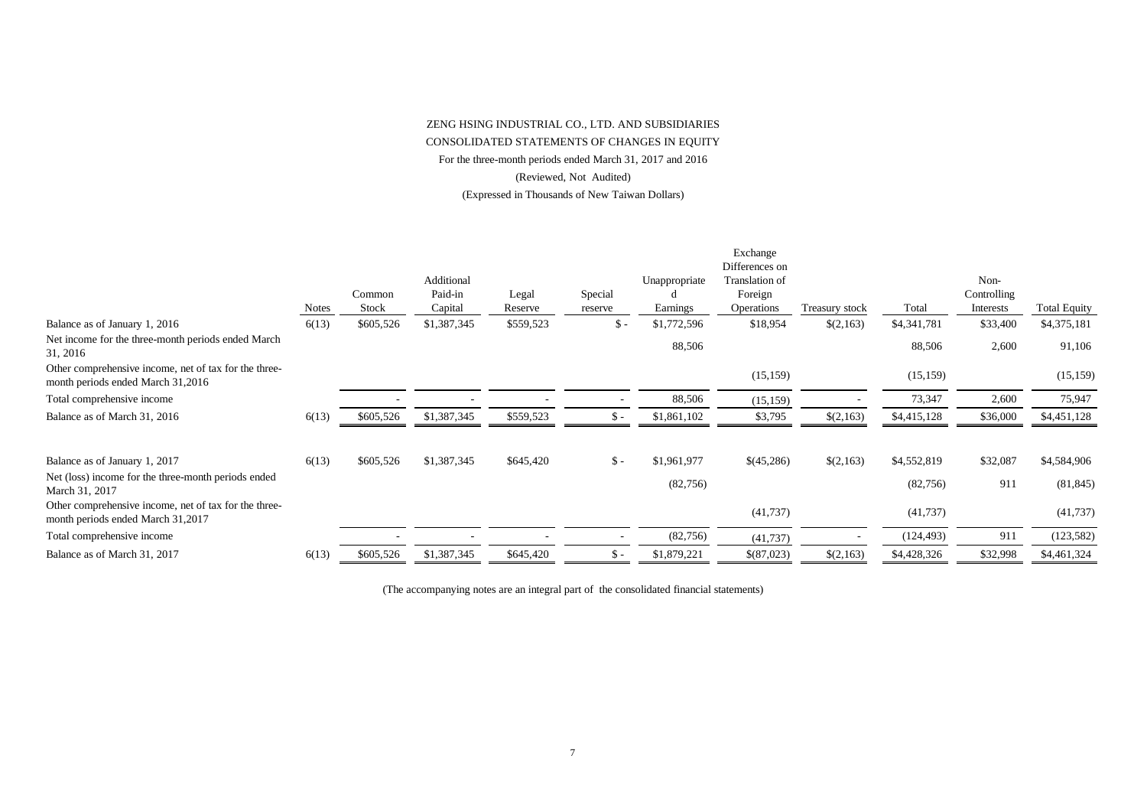### (Reviewed, Not Audited) (Expressed in Thousands of New Taiwan Dollars) ZENG HSING INDUSTRIAL CO., LTD. AND SUBSIDIARIES CONSOLIDATED STATEMENTS OF CHANGES IN EQUITY For the three-month periods ended March 31, 2017 and 2016

|                                                                                            |              |                 |                                  |                  |                    |                           | Exchange<br>Differences on                     |                |             |                                  |                     |
|--------------------------------------------------------------------------------------------|--------------|-----------------|----------------------------------|------------------|--------------------|---------------------------|------------------------------------------------|----------------|-------------|----------------------------------|---------------------|
|                                                                                            | <b>Notes</b> | Common<br>Stock | Additional<br>Paid-in<br>Capital | Legal<br>Reserve | Special<br>reserve | Unappropriate<br>Earnings | <b>Translation</b> of<br>Foreign<br>Operations | Treasury stock | Total       | Non-<br>Controlling<br>Interests | <b>Total Equity</b> |
| Balance as of January 1, 2016                                                              | 6(13)        | \$605,526       | \$1,387,345                      | \$559,523        | $S -$              | \$1,772,596               | \$18,954                                       | \$(2,163)      | \$4,341,781 | \$33,400                         | \$4,375,181         |
| Net income for the three-month periods ended March<br>31, 2016                             |              |                 |                                  |                  |                    | 88,506                    |                                                |                | 88,506      | 2,600                            | 91,106              |
| Other comprehensive income, net of tax for the three-<br>month periods ended March 31,2016 |              |                 |                                  |                  |                    |                           | (15, 159)                                      |                | (15, 159)   |                                  | (15, 159)           |
| Total comprehensive income                                                                 |              |                 |                                  |                  |                    | 88,506                    | (15, 159)                                      |                | 73,347      | 2,600                            | 75,947              |
| Balance as of March 31, 2016                                                               | 6(13)        | \$605,526       | \$1,387,345                      | \$559,523        | $S -$              | \$1,861,102               | \$3,795                                        | \$(2,163)      | \$4,415,128 | \$36,000                         | \$4,451,128         |
| Balance as of January 1, 2017                                                              | 6(13)        | \$605,526       | \$1,387,345                      | \$645,420        | $S -$              | \$1,961,977               | \$(45,286)                                     | \$(2,163)      | \$4,552,819 | \$32,087                         | \$4,584,906         |
| Net (loss) income for the three-month periods ended<br>March 31, 2017                      |              |                 |                                  |                  |                    | (82,756)                  |                                                |                | (82,756)    | 911                              | (81, 845)           |
| Other comprehensive income, net of tax for the three-<br>month periods ended March 31,2017 |              |                 |                                  |                  |                    |                           | (41, 737)                                      |                | (41, 737)   |                                  | (41, 737)           |
| Total comprehensive income                                                                 |              |                 |                                  |                  |                    | (82, 756)                 | (41, 737)                                      |                | (124, 493)  | 911                              | (123, 582)          |
| Balance as of March 31, 2017                                                               | 6(13)        | \$605,526       | \$1,387,345                      | \$645,420        |                    | \$1,879,221               | \$(87,023)                                     | \$(2,163)      | \$4,428,326 | \$32,998                         | \$4,461,324         |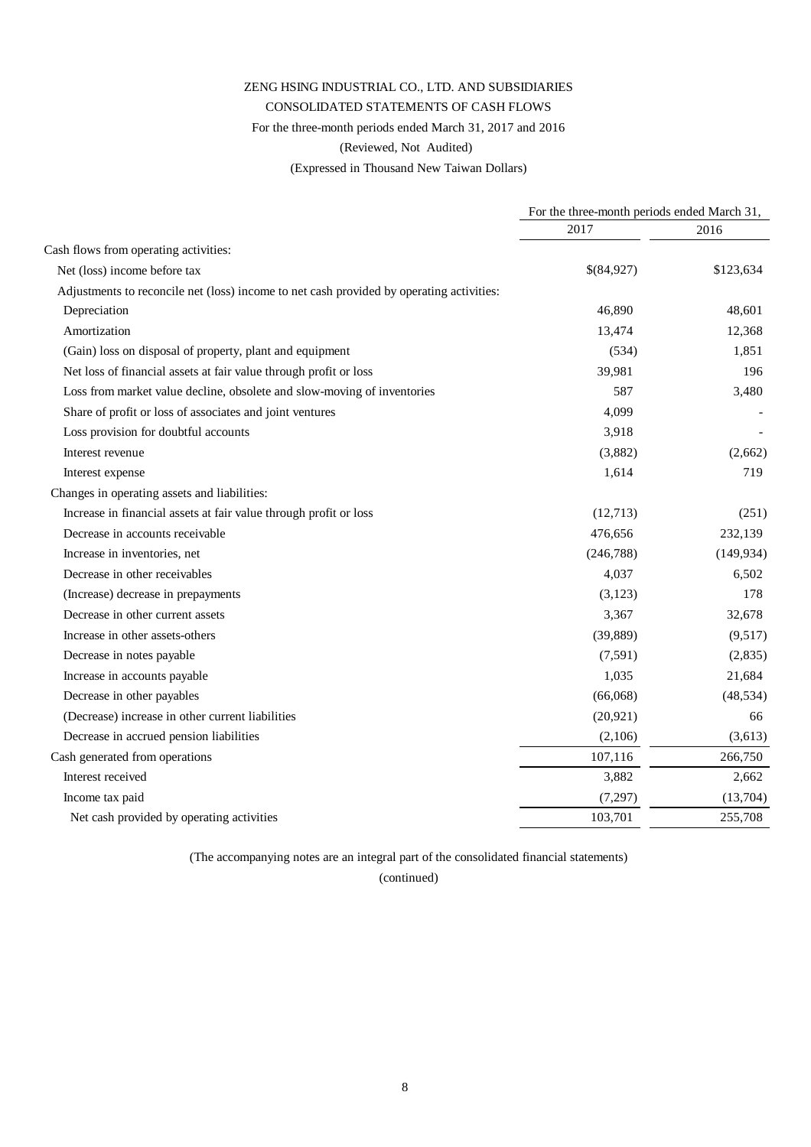### CONSOLIDATED STATEMENTS OF CASH FLOWS

For the three-month periods ended March 31, 2017 and 2016

(Reviewed, Not Audited)

(Expressed in Thousand New Taiwan Dollars)

|                                                                                          | For the three-month periods ended March 31, |            |
|------------------------------------------------------------------------------------------|---------------------------------------------|------------|
|                                                                                          | 2017                                        | 2016       |
| Cash flows from operating activities:                                                    |                                             |            |
| Net (loss) income before tax                                                             | \$(84,927)                                  | \$123,634  |
| Adjustments to reconcile net (loss) income to net cash provided by operating activities: |                                             |            |
| Depreciation                                                                             | 46,890                                      | 48,601     |
| Amortization                                                                             | 13,474                                      | 12,368     |
| (Gain) loss on disposal of property, plant and equipment                                 | (534)                                       | 1,851      |
| Net loss of financial assets at fair value through profit or loss                        | 39,981                                      | 196        |
| Loss from market value decline, obsolete and slow-moving of inventories                  | 587                                         | 3,480      |
| Share of profit or loss of associates and joint ventures                                 | 4,099                                       |            |
| Loss provision for doubtful accounts                                                     | 3,918                                       |            |
| Interest revenue                                                                         | (3,882)                                     | (2,662)    |
| Interest expense                                                                         | 1,614                                       | 719        |
| Changes in operating assets and liabilities:                                             |                                             |            |
| Increase in financial assets at fair value through profit or loss                        | (12,713)                                    | (251)      |
| Decrease in accounts receivable                                                          | 476,656                                     | 232,139    |
| Increase in inventories, net                                                             | (246, 788)                                  | (149, 934) |
| Decrease in other receivables                                                            | 4,037                                       | 6,502      |
| (Increase) decrease in prepayments                                                       | (3, 123)                                    | 178        |
| Decrease in other current assets                                                         | 3,367                                       | 32,678     |
| Increase in other assets-others                                                          | (39, 889)                                   | (9,517)    |
| Decrease in notes payable                                                                | (7,591)                                     | (2,835)    |
| Increase in accounts payable                                                             | 1,035                                       | 21,684     |
| Decrease in other payables                                                               | (66,068)                                    | (48, 534)  |
| (Decrease) increase in other current liabilities                                         | (20, 921)                                   | 66         |
| Decrease in accrued pension liabilities                                                  | (2,106)                                     | (3,613)    |
| Cash generated from operations                                                           | 107,116                                     | 266,750    |
| Interest received                                                                        | 3,882                                       | 2,662      |
| Income tax paid                                                                          | (7,297)                                     | (13,704)   |
| Net cash provided by operating activities                                                | 103,701                                     | 255,708    |

(The accompanying notes are an integral part of the consolidated financial statements)

(continued)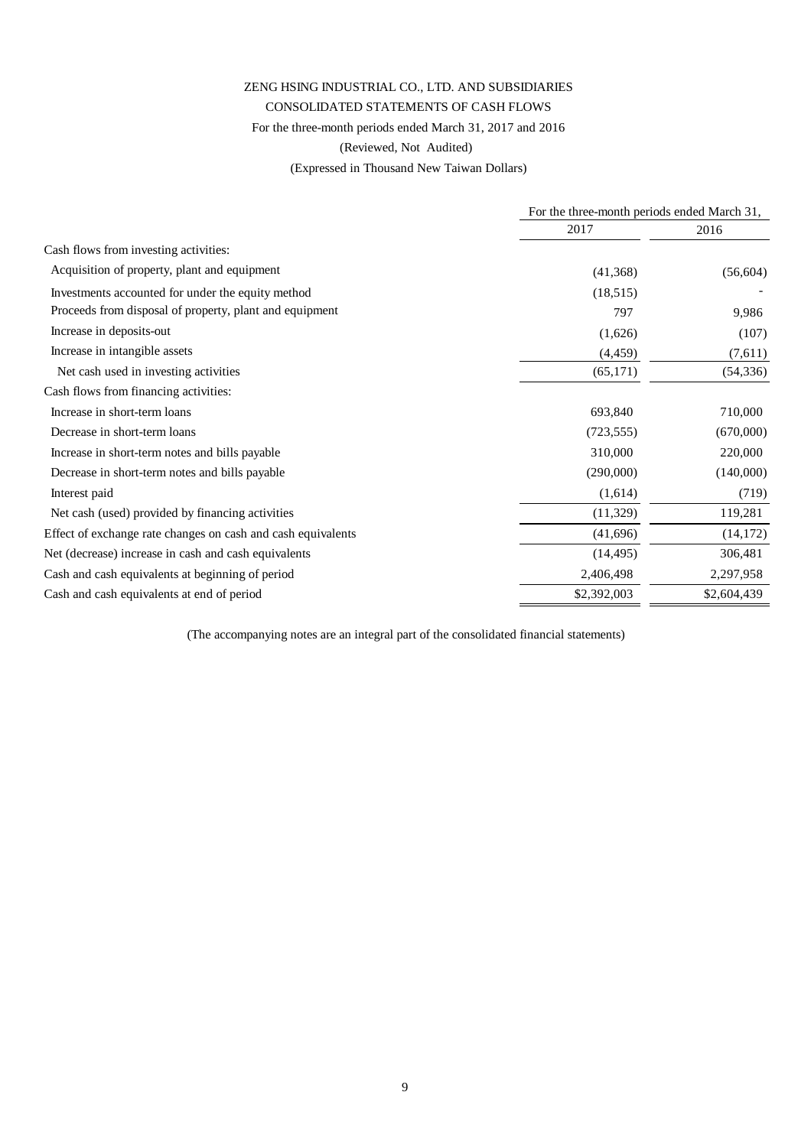# CONSOLIDATED STATEMENTS OF CASH FLOWS

#### For the three-month periods ended March 31, 2017 and 2016

(Reviewed, Not Audited)

#### (Expressed in Thousand New Taiwan Dollars)

|                                                              | For the three-month periods ended March 31, |             |  |
|--------------------------------------------------------------|---------------------------------------------|-------------|--|
|                                                              | 2017                                        | 2016        |  |
| Cash flows from investing activities:                        |                                             |             |  |
| Acquisition of property, plant and equipment                 | (41, 368)                                   | (56, 604)   |  |
| Investments accounted for under the equity method            | (18,515)                                    |             |  |
| Proceeds from disposal of property, plant and equipment      | 797                                         | 9,986       |  |
| Increase in deposits-out                                     | (1,626)                                     | (107)       |  |
| Increase in intangible assets                                | (4, 459)                                    | (7,611)     |  |
| Net cash used in investing activities                        | (65, 171)                                   | (54, 336)   |  |
| Cash flows from financing activities:                        |                                             |             |  |
| Increase in short-term loans                                 | 693,840                                     | 710,000     |  |
| Decrease in short-term loans                                 | (723, 555)                                  | (670,000)   |  |
| Increase in short-term notes and bills payable               | 310,000                                     | 220,000     |  |
| Decrease in short-term notes and bills payable               | (290,000)                                   | (140,000)   |  |
| Interest paid                                                | (1,614)                                     | (719)       |  |
| Net cash (used) provided by financing activities             | (11, 329)                                   | 119,281     |  |
| Effect of exchange rate changes on cash and cash equivalents | (41,696)                                    | (14, 172)   |  |
| Net (decrease) increase in cash and cash equivalents         | (14, 495)                                   | 306,481     |  |
| Cash and cash equivalents at beginning of period             | 2,406,498                                   | 2,297,958   |  |
| Cash and cash equivalents at end of period                   | \$2,392,003                                 | \$2,604,439 |  |
|                                                              |                                             |             |  |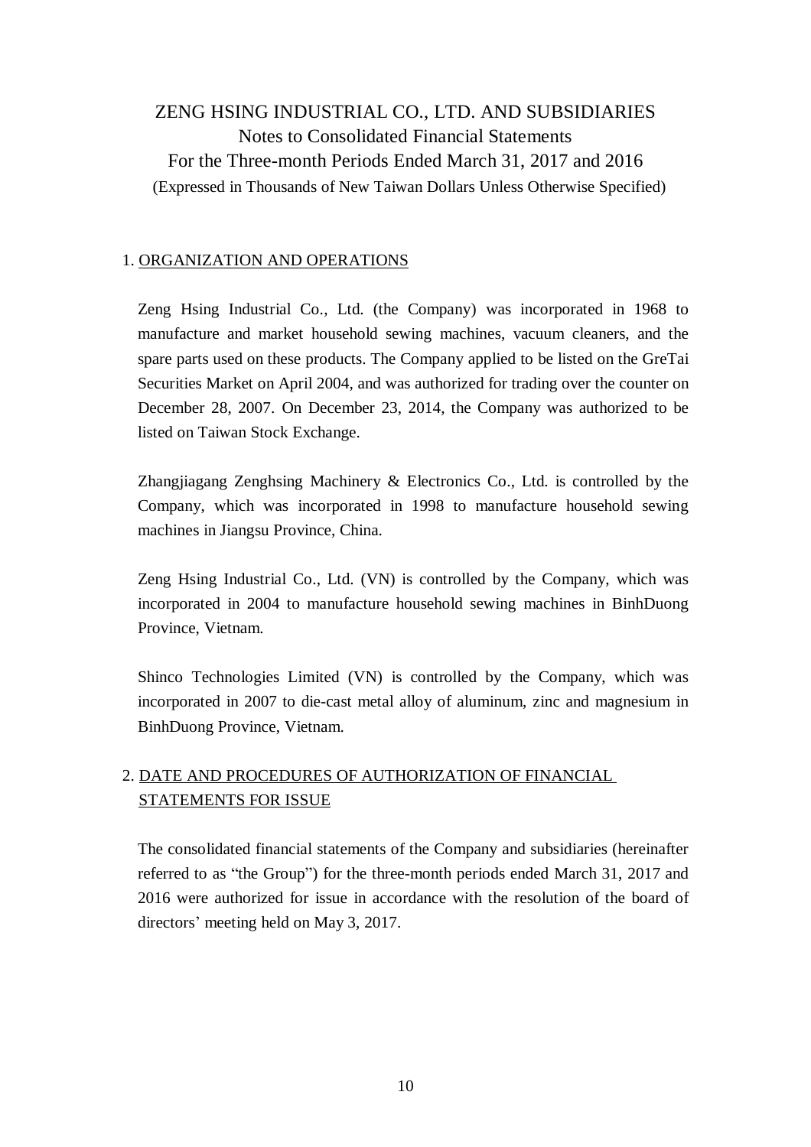# ZENG HSING INDUSTRIAL CO., LTD. AND SUBSIDIARIES Notes to Consolidated Financial Statements For the Three-month Periods Ended March 31, 2017 and 2016 (Expressed in Thousands of New Taiwan Dollars Unless Otherwise Specified)

# 1. ORGANIZATION AND OPERATIONS

Zeng Hsing Industrial Co., Ltd. (the Company) was incorporated in 1968 to manufacture and market household sewing machines, vacuum cleaners, and the spare parts used on these products. The Company applied to be listed on the GreTai Securities Market on April 2004, and was authorized for trading over the counter on December 28, 2007. On December 23, 2014, the Company was authorized to be listed on Taiwan Stock Exchange.

Zhangjiagang Zenghsing Machinery & Electronics Co., Ltd. is controlled by the Company, which was incorporated in 1998 to manufacture household sewing machines in Jiangsu Province, China.

Zeng Hsing Industrial Co., Ltd. (VN) is controlled by the Company, which was incorporated in 2004 to manufacture household sewing machines in BinhDuong Province, Vietnam.

Shinco Technologies Limited (VN) is controlled by the Company, which was incorporated in 2007 to die-cast metal alloy of aluminum, zinc and magnesium in BinhDuong Province, Vietnam.

# 2. DATE AND PROCEDURES OF AUTHORIZATION OF FINANCIAL STATEMENTS FOR ISSUE

The consolidated financial statements of the Company and subsidiaries (hereinafter referred to as "the Group") for the three-month periods ended March 31, 2017 and 2016 were authorized for issue in accordance with the resolution of the board of directors' meeting held on May 3, 2017.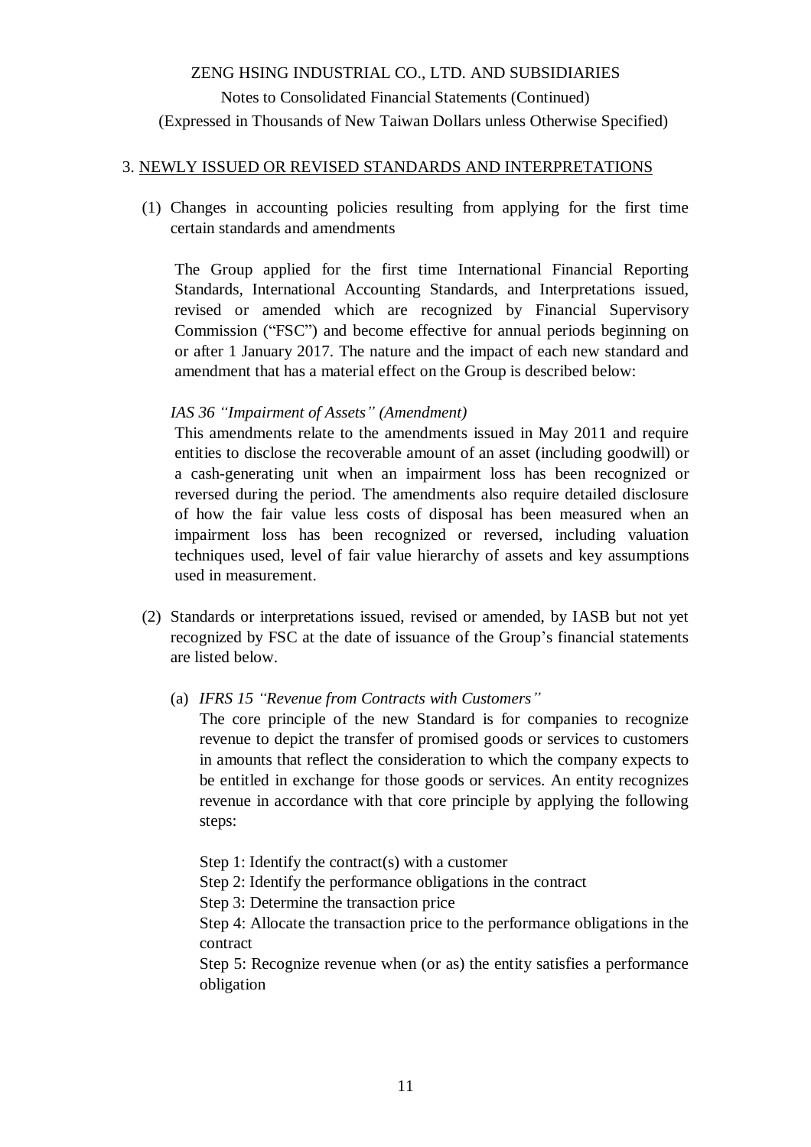# 3. NEWLY ISSUED OR REVISED STANDARDS AND INTERPRETATIONS

(1) Changes in accounting policies resulting from applying for the first time certain standards and amendments

The Group applied for the first time International Financial Reporting Standards, International Accounting Standards, and Interpretations issued, revised or amended which are recognized by Financial Supervisory Commission ("FSC") and become effective for annual periods beginning on or after 1 January 2017. The nature and the impact of each new standard and amendment that has a material effect on the Group is described below:

# *IAS 36 "Impairment of Assets" (Amendment)*

This amendments relate to the amendments issued in May 2011 and require entities to disclose the recoverable amount of an asset (including goodwill) or a cash-generating unit when an impairment loss has been recognized or reversed during the period. The amendments also require detailed disclosure of how the fair value less costs of disposal has been measured when an impairment loss has been recognized or reversed, including valuation techniques used, level of fair value hierarchy of assets and key assumptions used in measurement.

(2) Standards or interpretations issued, revised or amended, by IASB but not yet recognized by FSC at the date of issuance of the Group's financial statements are listed below.

## (a) *IFRS 15 "Revenue from Contracts with Customers"*

The core principle of the new Standard is for companies to recognize revenue to depict the transfer of promised goods or services to customers in amounts that reflect the consideration to which the company expects to be entitled in exchange for those goods or services. An entity recognizes revenue in accordance with that core principle by applying the following steps:

Step 1: Identify the contract(s) with a customer

Step 2: Identify the performance obligations in the contract

Step 3: Determine the transaction price

Step 4: Allocate the transaction price to the performance obligations in the contract

Step 5: Recognize revenue when (or as) the entity satisfies a performance obligation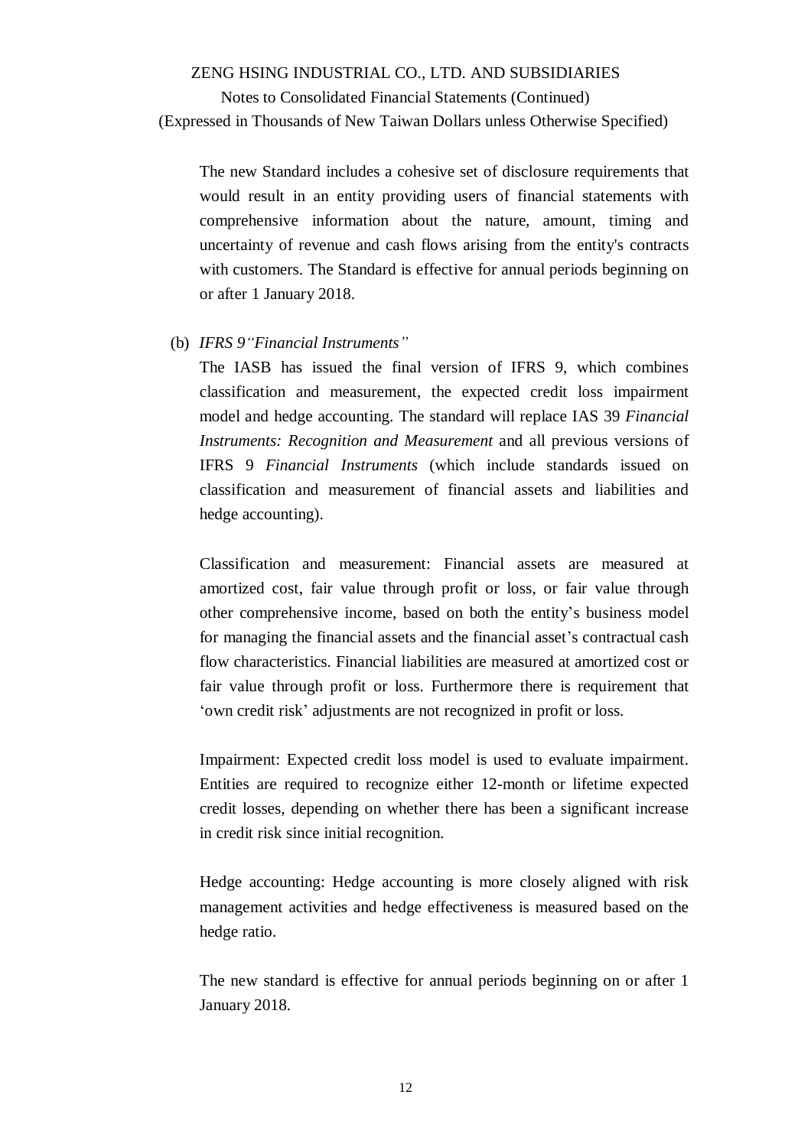Notes to Consolidated Financial Statements (Continued)

(Expressed in Thousands of New Taiwan Dollars unless Otherwise Specified)

The new Standard includes a cohesive set of disclosure requirements that would result in an entity providing users of financial statements with comprehensive information about the nature, amount, timing and uncertainty of revenue and cash flows arising from the entity's contracts with customers. The Standard is effective for annual periods beginning on or after 1 January 2018.

(b) *IFRS 9"Financial Instruments"* 

The IASB has issued the final version of IFRS 9, which combines classification and measurement, the expected credit loss impairment model and hedge accounting. The standard will replace IAS 39 *Financial Instruments: Recognition and Measurement* and all previous versions of IFRS 9 *Financial Instruments* (which include standards issued on classification and measurement of financial assets and liabilities and hedge accounting).

Classification and measurement: Financial assets are measured at amortized cost, fair value through profit or loss, or fair value through other comprehensive income, based on both the entity's business model for managing the financial assets and the financial asset's contractual cash flow characteristics. Financial liabilities are measured at amortized cost or fair value through profit or loss. Furthermore there is requirement that 'own credit risk' adjustments are not recognized in profit or loss.

Impairment: Expected credit loss model is used to evaluate impairment. Entities are required to recognize either 12-month or lifetime expected credit losses, depending on whether there has been a significant increase in credit risk since initial recognition.

Hedge accounting: Hedge accounting is more closely aligned with risk management activities and hedge effectiveness is measured based on the hedge ratio.

The new standard is effective for annual periods beginning on or after 1 January 2018.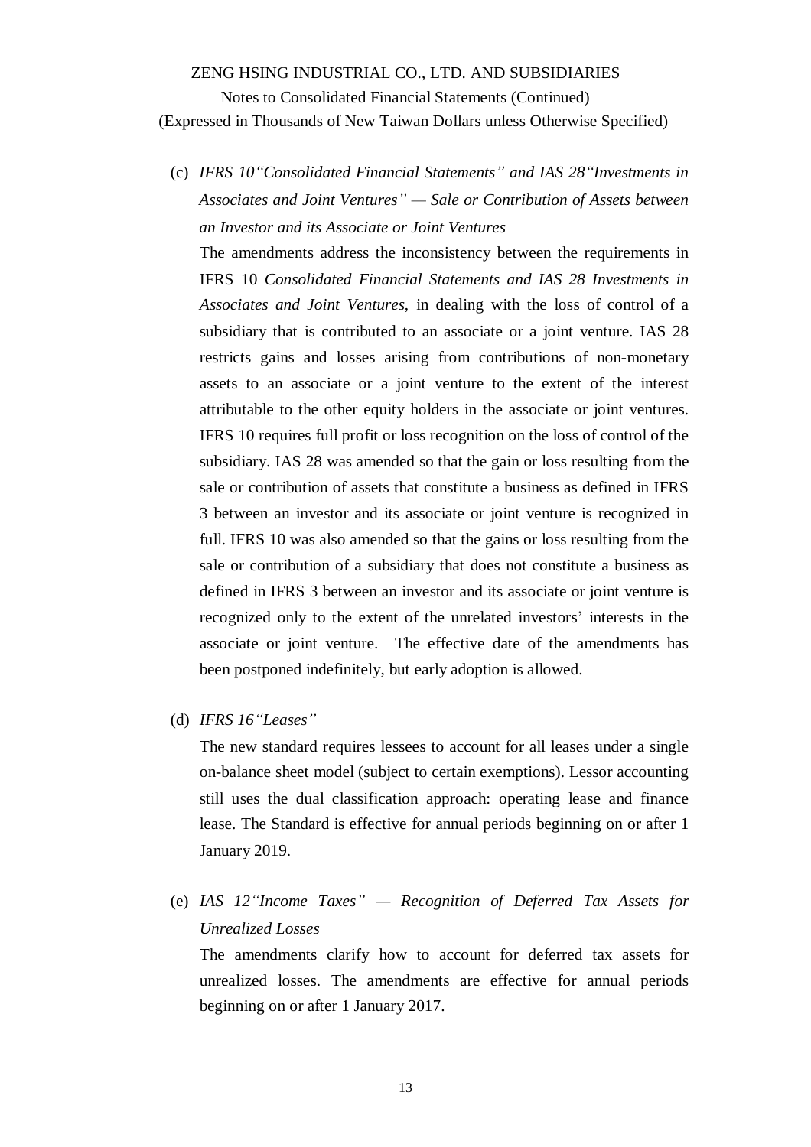Notes to Consolidated Financial Statements (Continued)

(Expressed in Thousands of New Taiwan Dollars unless Otherwise Specified)

(c) *IFRS 10"Consolidated Financial Statements" and IAS 28"Investments in Associates and Joint Ventures" — Sale or Contribution of Assets between an Investor and its Associate or Joint Ventures* 

The amendments address the inconsistency between the requirements in IFRS 10 *Consolidated Financial Statements and IAS 28 Investments in Associates and Joint Ventures*, in dealing with the loss of control of a subsidiary that is contributed to an associate or a joint venture. IAS 28 restricts gains and losses arising from contributions of non-monetary assets to an associate or a joint venture to the extent of the interest attributable to the other equity holders in the associate or joint ventures. IFRS 10 requires full profit or loss recognition on the loss of control of the subsidiary. IAS 28 was amended so that the gain or loss resulting from the sale or contribution of assets that constitute a business as defined in IFRS 3 between an investor and its associate or joint venture is recognized in full. IFRS 10 was also amended so that the gains or loss resulting from the sale or contribution of a subsidiary that does not constitute a business as defined in IFRS 3 between an investor and its associate or joint venture is recognized only to the extent of the unrelated investors' interests in the associate or joint venture. The effective date of the amendments has been postponed indefinitely, but early adoption is allowed.

(d) *IFRS 16"Leases"*

The new standard requires lessees to account for all leases under a single on-balance sheet model (subject to certain exemptions). Lessor accounting still uses the dual classification approach: operating lease and finance lease. The Standard is effective for annual periods beginning on or after 1 January 2019.

# (e) *IAS 12"Income Taxes" — Recognition of Deferred Tax Assets for Unrealized Losses*

The amendments clarify how to account for deferred tax assets for unrealized losses. The amendments are effective for annual periods beginning on or after 1 January 2017.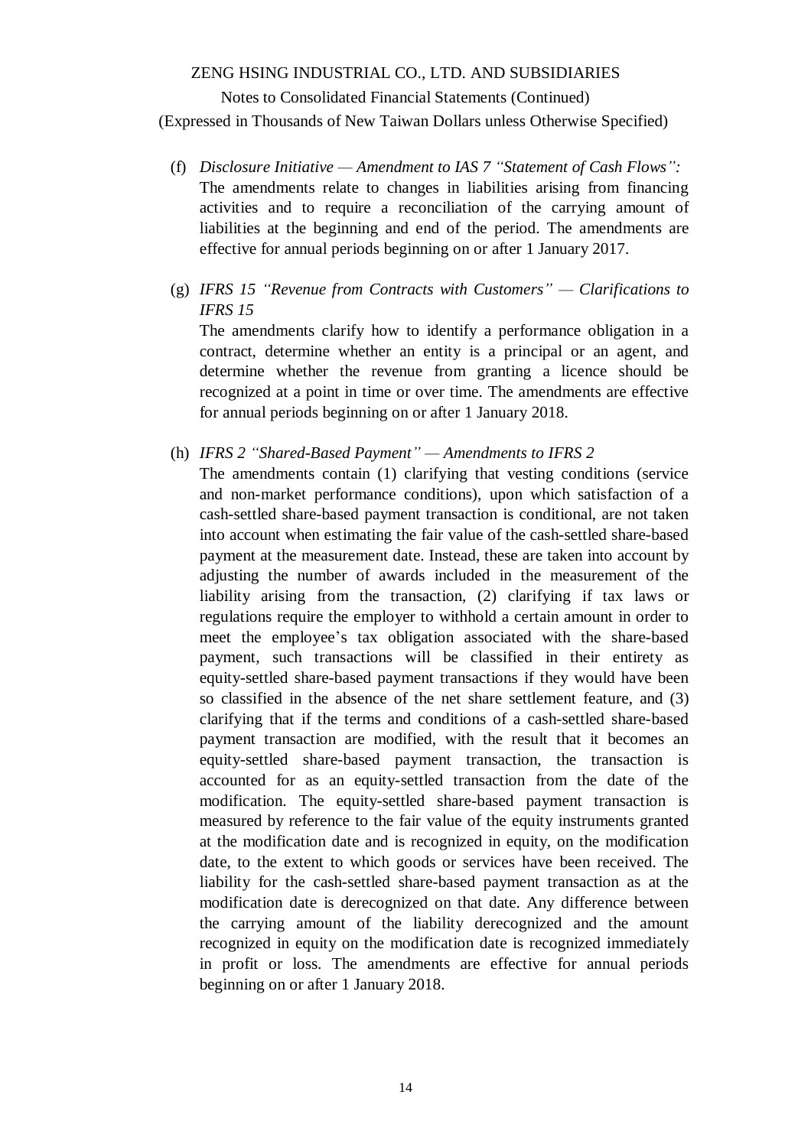## Notes to Consolidated Financial Statements (Continued)

(Expressed in Thousands of New Taiwan Dollars unless Otherwise Specified)

- (f) *Disclosure Initiative — Amendment to IAS 7 "Statement of Cash Flows":* The amendments relate to changes in liabilities arising from financing activities and to require a reconciliation of the carrying amount of liabilities at the beginning and end of the period. The amendments are effective for annual periods beginning on or after 1 January 2017.
- (g) *IFRS 15 "Revenue from Contracts with Customers" — Clarifications to IFRS 15*

The amendments clarify how to identify a performance obligation in a contract, determine whether an entity is a principal or an agent, and determine whether the revenue from granting a licence should be recognized at a point in time or over time. The amendments are effective for annual periods beginning on or after 1 January 2018.

- (h) *IFRS 2 "Shared-Based Payment" — Amendments to IFRS 2*
	- The amendments contain (1) clarifying that vesting conditions (service and non-market performance conditions), upon which satisfaction of a cash-settled share-based payment transaction is conditional, are not taken into account when estimating the fair value of the cash-settled share-based payment at the measurement date. Instead, these are taken into account by adjusting the number of awards included in the measurement of the liability arising from the transaction, (2) clarifying if tax laws or regulations require the employer to withhold a certain amount in order to meet the employee's tax obligation associated with the share-based payment, such transactions will be classified in their entirety as equity-settled share-based payment transactions if they would have been so classified in the absence of the net share settlement feature, and (3) clarifying that if the terms and conditions of a cash-settled share-based payment transaction are modified, with the result that it becomes an equity-settled share-based payment transaction, the transaction is accounted for as an equity-settled transaction from the date of the modification. The equity-settled share-based payment transaction is measured by reference to the fair value of the equity instruments granted at the modification date and is recognized in equity, on the modification date, to the extent to which goods or services have been received. The liability for the cash-settled share-based payment transaction as at the modification date is derecognized on that date. Any difference between the carrying amount of the liability derecognized and the amount recognized in equity on the modification date is recognized immediately in profit or loss. The amendments are effective for annual periods beginning on or after 1 January 2018.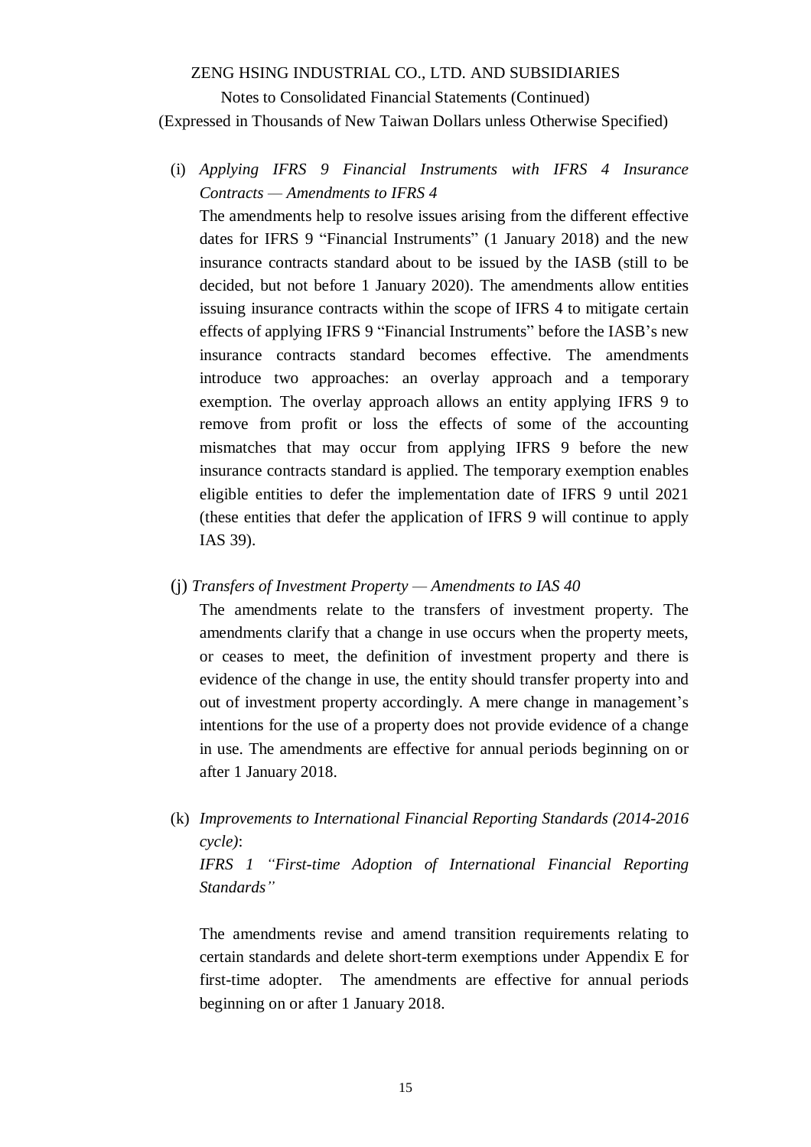Notes to Consolidated Financial Statements (Continued) (Expressed in Thousands of New Taiwan Dollars unless Otherwise Specified)

(i) *Applying IFRS 9 Financial Instruments with IFRS 4 Insurance Contracts — Amendments to IFRS 4*

The amendments help to resolve issues arising from the different effective dates for IFRS 9 "Financial Instruments" (1 January 2018) and the new insurance contracts standard about to be issued by the IASB (still to be decided, but not before 1 January 2020). The amendments allow entities issuing insurance contracts within the scope of IFRS 4 to mitigate certain effects of applying IFRS 9 "Financial Instruments" before the IASB's new insurance contracts standard becomes effective. The amendments introduce two approaches: an overlay approach and a temporary exemption. The overlay approach allows an entity applying IFRS 9 to remove from profit or loss the effects of some of the accounting mismatches that may occur from applying IFRS 9 before the new insurance contracts standard is applied. The temporary exemption enables eligible entities to defer the implementation date of IFRS 9 until 2021 (these entities that defer the application of IFRS 9 will continue to apply IAS 39).

(j) *Transfers of Investment Property — Amendments to IAS 40* 

The amendments relate to the transfers of investment property. The amendments clarify that a change in use occurs when the property meets, or ceases to meet, the definition of investment property and there is evidence of the change in use, the entity should transfer property into and out of investment property accordingly. A mere change in management's intentions for the use of a property does not provide evidence of a change in use. The amendments are effective for annual periods beginning on or after 1 January 2018.

(k) *Improvements to International Financial Reporting Standards (2014-2016 cycle)*:

*IFRS 1 "First-time Adoption of International Financial Reporting Standards"*

The amendments revise and amend transition requirements relating to certain standards and delete short-term exemptions under Appendix E for first-time adopter. The amendments are effective for annual periods beginning on or after 1 January 2018.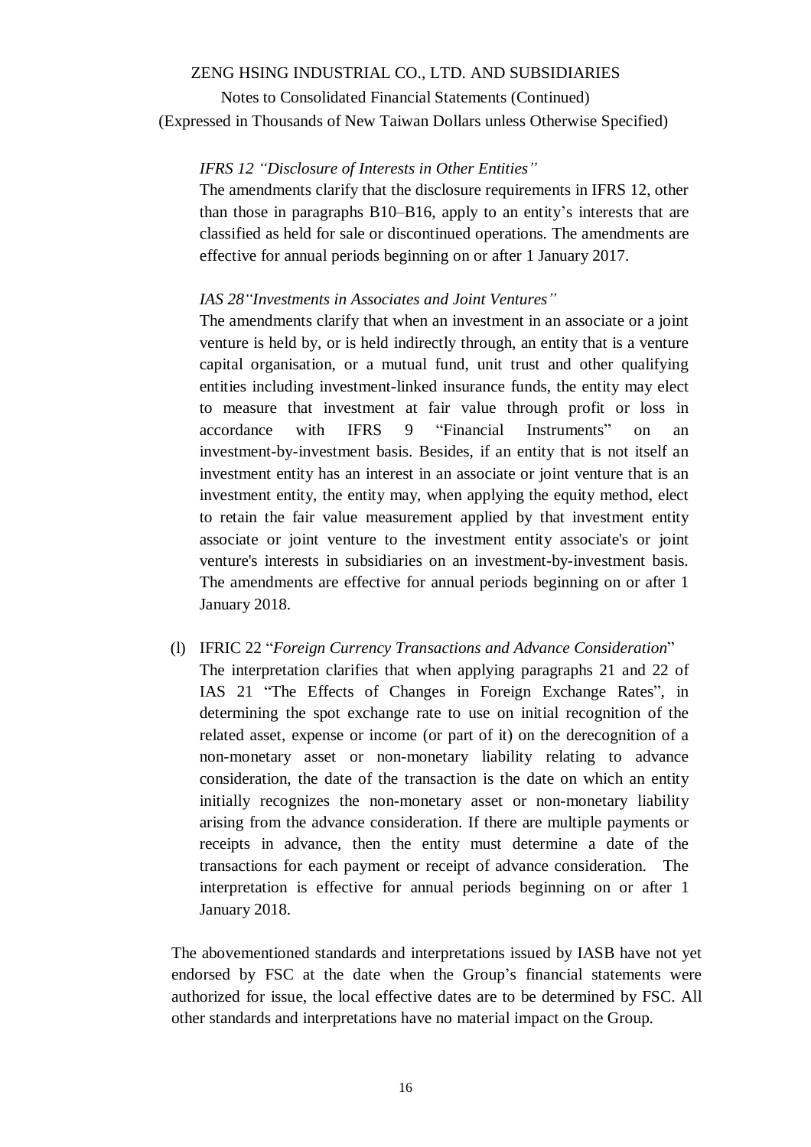Notes to Consolidated Financial Statements (Continued) (Expressed in Thousands of New Taiwan Dollars unless Otherwise Specified)

# *IFRS 12 "Disclosure of Interests in Other Entities"*

The amendments clarify that the disclosure requirements in IFRS 12, other than those in paragraphs B10–B16, apply to an entity's interests that are classified as held for sale or discontinued operations. The amendments are effective for annual periods beginning on or after 1 January 2017.

## *IAS 28"Investments in Associates and Joint Ventures"*

The amendments clarify that when an investment in an associate or a joint venture is held by, or is held indirectly through, an entity that is a venture capital organisation, or a mutual fund, unit trust and other qualifying entities including investment-linked insurance funds, the entity may elect to measure that investment at fair value through profit or loss in accordance with IFRS 9 "Financial Instruments" on an investment-by-investment basis. Besides, if an entity that is not itself an investment entity has an interest in an associate or joint venture that is an investment entity, the entity may, when applying the equity method, elect to retain the fair value measurement applied by that investment entity associate or joint venture to the investment entity associate's or joint venture's interests in subsidiaries on an investment-by-investment basis. The amendments are effective for annual periods beginning on or after 1 January 2018.

(l) IFRIC 22 "*Foreign Currency Transactions and Advance Consideration*" The interpretation clarifies that when applying paragraphs 21 and 22 of IAS 21 "The Effects of Changes in Foreign Exchange Rates", in determining the spot exchange rate to use on initial recognition of the related asset, expense or income (or part of it) on the derecognition of a non-monetary asset or non-monetary liability relating to advance consideration, the date of the transaction is the date on which an entity initially recognizes the non-monetary asset or non-monetary liability arising from the advance consideration. If there are multiple payments or receipts in advance, then the entity must determine a date of the transactions for each payment or receipt of advance consideration. The interpretation is effective for annual periods beginning on or after 1 January 2018.

The abovementioned standards and interpretations issued by IASB have not yet endorsed by FSC at the date when the Group's financial statements were authorized for issue, the local effective dates are to be determined by FSC. All other standards and interpretations have no material impact on the Group.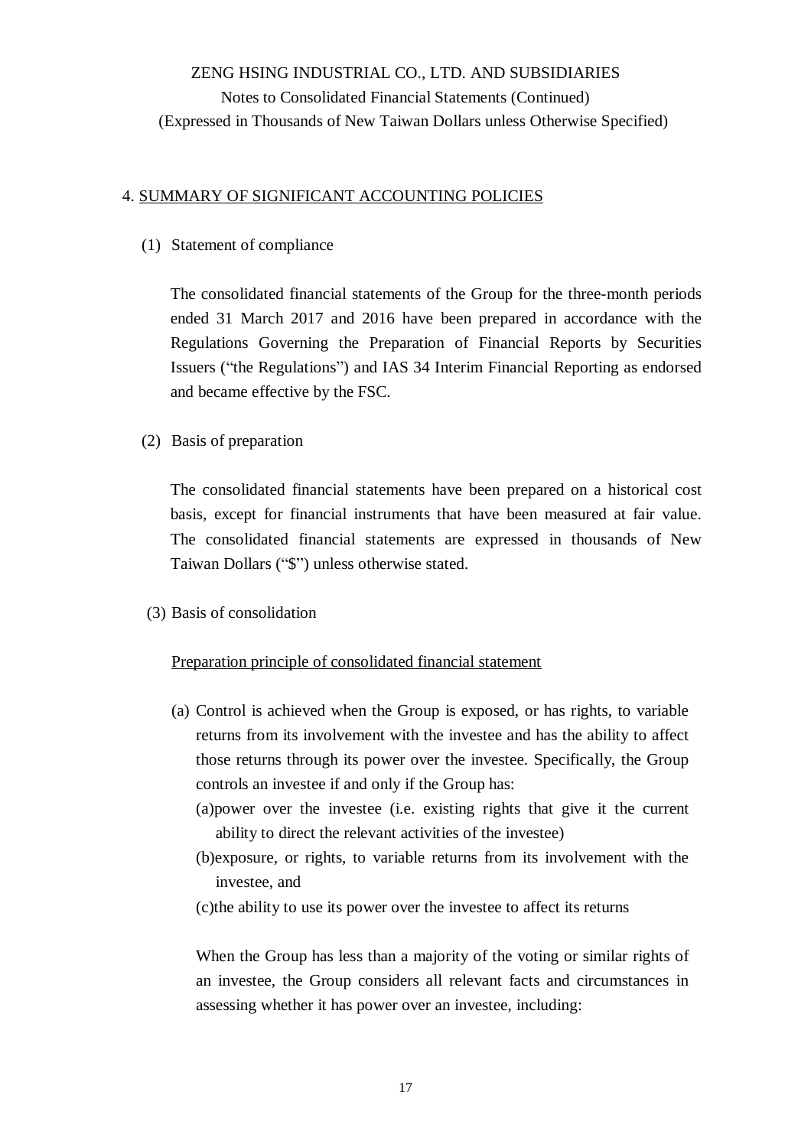# 4. SUMMARY OF SIGNIFICANT ACCOUNTING POLICIES

(1) Statement of compliance

The consolidated financial statements of the Group for the three-month periods ended 31 March 2017 and 2016 have been prepared in accordance with the Regulations Governing the Preparation of Financial Reports by Securities Issuers ("the Regulations") and IAS 34 Interim Financial Reporting as endorsed and became effective by the FSC.

(2) Basis of preparation

The consolidated financial statements have been prepared on a historical cost basis, except for financial instruments that have been measured at fair value. The consolidated financial statements are expressed in thousands of New Taiwan Dollars ("\$") unless otherwise stated.

(3) Basis of consolidation

# Preparation principle of consolidated financial statement

- (a) Control is achieved when the Group is exposed, or has rights, to variable returns from its involvement with the investee and has the ability to affect those returns through its power over the investee. Specifically, the Group controls an investee if and only if the Group has:
	- (a)power over the investee (i.e. existing rights that give it the current ability to direct the relevant activities of the investee)
	- (b)exposure, or rights, to variable returns from its involvement with the investee, and
	- (c)the ability to use its power over the investee to affect its returns

When the Group has less than a majority of the voting or similar rights of an investee, the Group considers all relevant facts and circumstances in assessing whether it has power over an investee, including: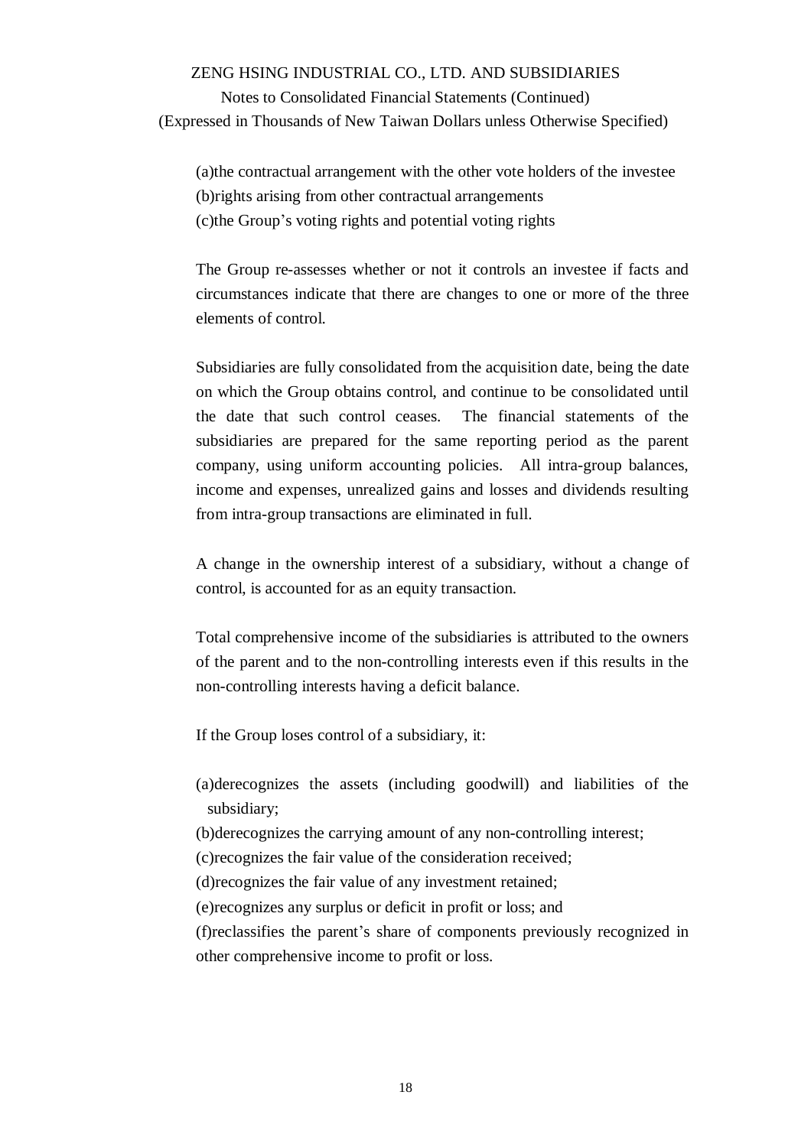Notes to Consolidated Financial Statements (Continued) (Expressed in Thousands of New Taiwan Dollars unless Otherwise Specified)

(a)the contractual arrangement with the other vote holders of the investee (b)rights arising from other contractual arrangements (c)the Group's voting rights and potential voting rights

The Group re-assesses whether or not it controls an investee if facts and circumstances indicate that there are changes to one or more of the three elements of control.

Subsidiaries are fully consolidated from the acquisition date, being the date on which the Group obtains control, and continue to be consolidated until the date that such control ceases. The financial statements of the subsidiaries are prepared for the same reporting period as the parent company, using uniform accounting policies. All intra-group balances, income and expenses, unrealized gains and losses and dividends resulting from intra-group transactions are eliminated in full.

A change in the ownership interest of a subsidiary, without a change of control, is accounted for as an equity transaction.

Total comprehensive income of the subsidiaries is attributed to the owners of the parent and to the non-controlling interests even if this results in the non-controlling interests having a deficit balance.

If the Group loses control of a subsidiary, it:

(a)derecognizes the assets (including goodwill) and liabilities of the subsidiary;

(b)derecognizes the carrying amount of any non-controlling interest;

(c)recognizes the fair value of the consideration received;

(d)recognizes the fair value of any investment retained;

(e)recognizes any surplus or deficit in profit or loss; and

(f)reclassifies the parent's share of components previously recognized in other comprehensive income to profit or loss.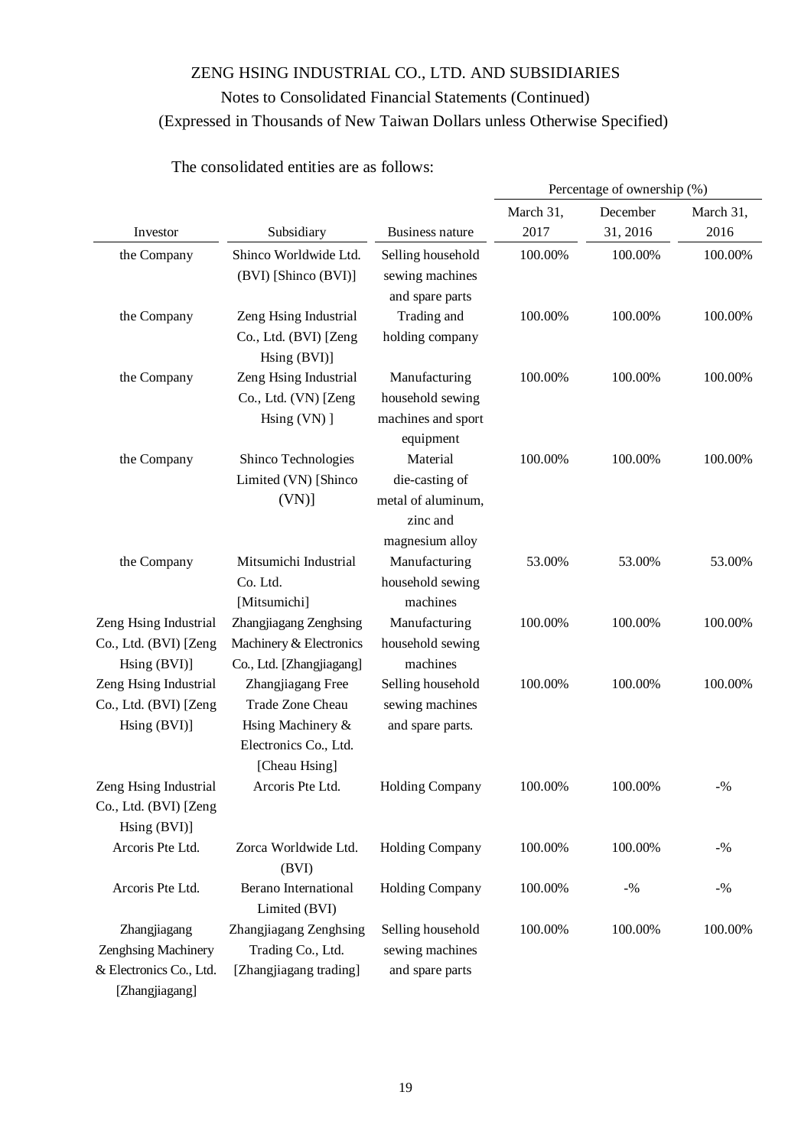|                                                                                  |                                                                                                      |                                                                                 | Percentage of ownership (%) |                      |                   |
|----------------------------------------------------------------------------------|------------------------------------------------------------------------------------------------------|---------------------------------------------------------------------------------|-----------------------------|----------------------|-------------------|
| Investor                                                                         | Subsidiary                                                                                           | <b>Business nature</b>                                                          | March 31,<br>2017           | December<br>31, 2016 | March 31,<br>2016 |
| the Company                                                                      | Shinco Worldwide Ltd.<br>(BVI) [Shinco (BVI)]                                                        | Selling household<br>sewing machines<br>and spare parts                         | 100.00%                     | 100.00%              | 100.00%           |
| the Company                                                                      | Zeng Hsing Industrial<br>Co., Ltd. (BVI) [Zeng<br>Hsing(BVI)                                         | Trading and<br>holding company                                                  | 100.00%                     | 100.00%              | 100.00%           |
| the Company                                                                      | Zeng Hsing Industrial<br>Co., Ltd. (VN) [Zeng<br>Hsing (VN) ]                                        | Manufacturing<br>household sewing<br>machines and sport<br>equipment            | 100.00%                     | 100.00%              | 100.00%           |
| the Company                                                                      | Shinco Technologies<br>Limited (VN) [Shinco<br>$(VN)$ ]                                              | Material<br>die-casting of<br>metal of aluminum,<br>zinc and<br>magnesium alloy | 100.00%                     | 100.00%              | 100.00%           |
| the Company                                                                      | Mitsumichi Industrial<br>Co. Ltd.<br>[Mitsumichi]                                                    | Manufacturing<br>household sewing<br>machines                                   | 53.00%                      | 53.00%               | 53.00%            |
| Zeng Hsing Industrial<br>Co., Ltd. (BVI) [Zeng<br>Hsing (BVI)]                   | Zhangjiagang Zenghsing<br>Machinery & Electronics<br>Co., Ltd. [Zhangjiagang]                        | Manufacturing<br>household sewing<br>machines                                   | 100.00%                     | 100.00%              | 100.00%           |
| Zeng Hsing Industrial<br>Co., Ltd. (BVI) [Zeng<br>Hsing (BVI)]                   | Zhangjiagang Free<br>Trade Zone Cheau<br>Hsing Machinery &<br>Electronics Co., Ltd.<br>[Cheau Hsing] | Selling household<br>sewing machines<br>and spare parts.                        | 100.00%                     | 100.00%              | 100.00%           |
| Zeng Hsing Industrial<br>Co., Ltd. (BVI) [Zeng<br>Hsing (BVI)]                   | Arcoris Pte Ltd.                                                                                     | <b>Holding Company</b>                                                          | 100.00%                     | 100.00%              | $-9/0$            |
| Arcoris Pte Ltd.                                                                 | Zorca Worldwide Ltd.<br>(BVI)                                                                        | <b>Holding Company</b>                                                          | 100.00%                     | 100.00%              | $-9/0$            |
| Arcoris Pte Ltd.                                                                 | Berano International<br>Limited (BVI)                                                                | <b>Holding Company</b>                                                          | 100.00%                     | $-9/0$               | $-9/0$            |
| Zhangjiagang<br>Zenghsing Machinery<br>& Electronics Co., Ltd.<br>[Zhangjiagang] | Zhangjiagang Zenghsing<br>Trading Co., Ltd.<br>[Zhangjiagang trading]                                | Selling household<br>sewing machines<br>and spare parts                         | 100.00%                     | 100.00%              | 100.00%           |

# The consolidated entities are as follows: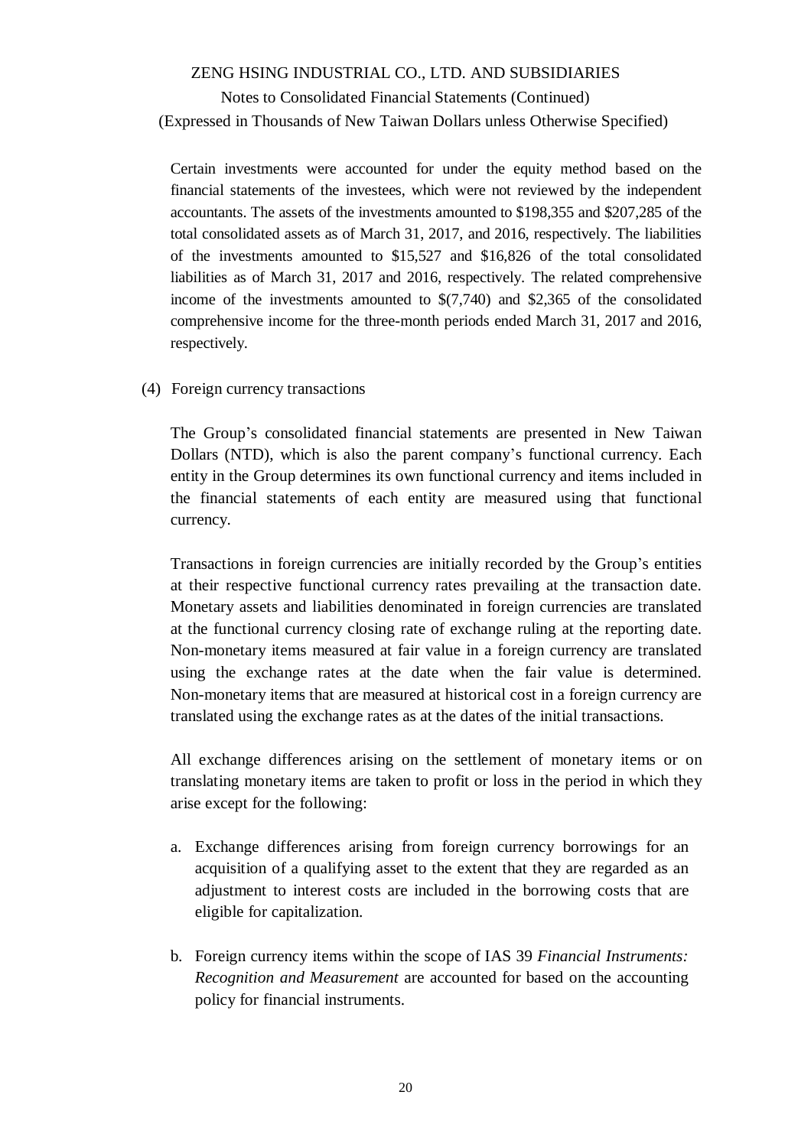# Notes to Consolidated Financial Statements (Continued) (Expressed in Thousands of New Taiwan Dollars unless Otherwise Specified)

Certain investments were accounted for under the equity method based on the financial statements of the investees, which were not reviewed by the independent accountants. The assets of the investments amounted to \$198,355 and \$207,285 of the total consolidated assets as of March 31, 2017, and 2016, respectively. The liabilities of the investments amounted to \$15,527 and \$16,826 of the total consolidated liabilities as of March 31, 2017 and 2016, respectively. The related comprehensive income of the investments amounted to \$(7,740) and \$2,365 of the consolidated comprehensive income for the three-month periods ended March 31, 2017 and 2016, respectively.

(4) Foreign currency transactions

The Group's consolidated financial statements are presented in New Taiwan Dollars (NTD), which is also the parent company's functional currency. Each entity in the Group determines its own functional currency and items included in the financial statements of each entity are measured using that functional currency.

Transactions in foreign currencies are initially recorded by the Group's entities at their respective functional currency rates prevailing at the transaction date. Monetary assets and liabilities denominated in foreign currencies are translated at the functional currency closing rate of exchange ruling at the reporting date. Non-monetary items measured at fair value in a foreign currency are translated using the exchange rates at the date when the fair value is determined. Non-monetary items that are measured at historical cost in a foreign currency are translated using the exchange rates as at the dates of the initial transactions.

All exchange differences arising on the settlement of monetary items or on translating monetary items are taken to profit or loss in the period in which they arise except for the following:

- a. Exchange differences arising from foreign currency borrowings for an acquisition of a qualifying asset to the extent that they are regarded as an adjustment to interest costs are included in the borrowing costs that are eligible for capitalization.
- b. Foreign currency items within the scope of IAS 39 *Financial Instruments: Recognition and Measurement* are accounted for based on the accounting policy for financial instruments.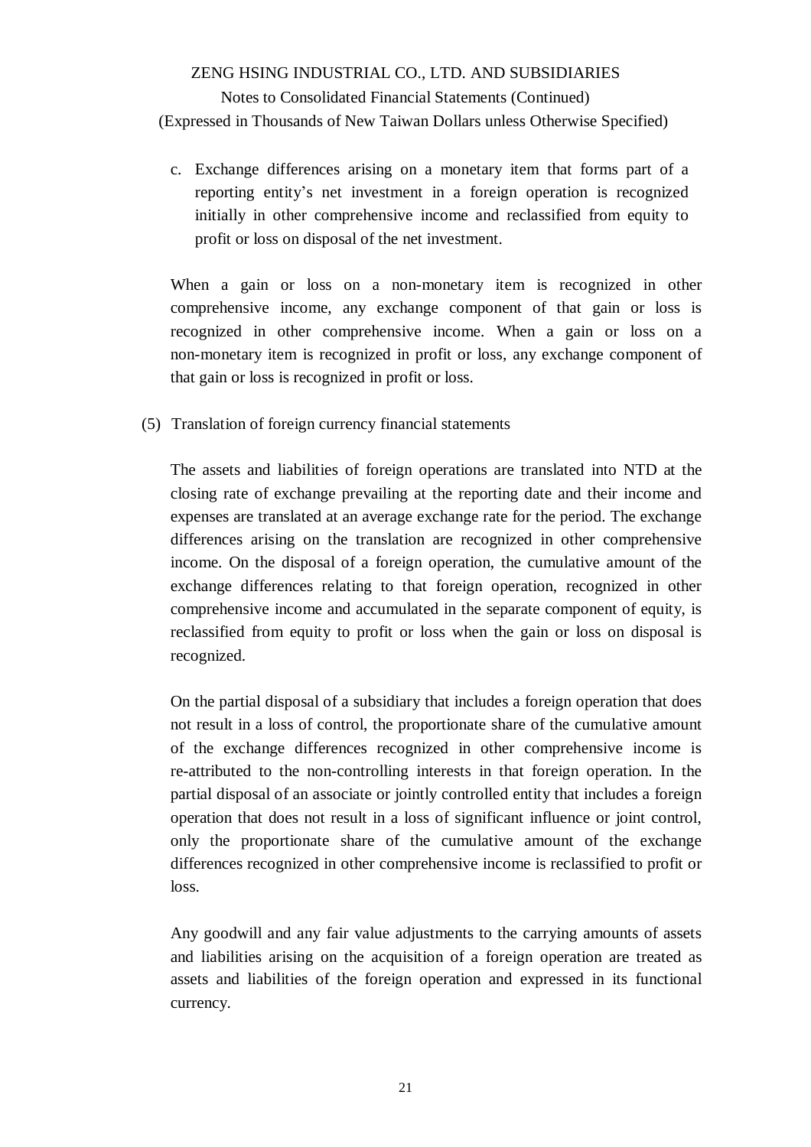# Notes to Consolidated Financial Statements (Continued) (Expressed in Thousands of New Taiwan Dollars unless Otherwise Specified)

c. Exchange differences arising on a monetary item that forms part of a reporting entity's net investment in a foreign operation is recognized initially in other comprehensive income and reclassified from equity to profit or loss on disposal of the net investment.

When a gain or loss on a non-monetary item is recognized in other comprehensive income, any exchange component of that gain or loss is recognized in other comprehensive income. When a gain or loss on a non-monetary item is recognized in profit or loss, any exchange component of that gain or loss is recognized in profit or loss.

(5) Translation of foreign currency financial statements

The assets and liabilities of foreign operations are translated into NTD at the closing rate of exchange prevailing at the reporting date and their income and expenses are translated at an average exchange rate for the period. The exchange differences arising on the translation are recognized in other comprehensive income. On the disposal of a foreign operation, the cumulative amount of the exchange differences relating to that foreign operation, recognized in other comprehensive income and accumulated in the separate component of equity, is reclassified from equity to profit or loss when the gain or loss on disposal is recognized.

On the partial disposal of a subsidiary that includes a foreign operation that does not result in a loss of control, the proportionate share of the cumulative amount of the exchange differences recognized in other comprehensive income is re-attributed to the non-controlling interests in that foreign operation. In the partial disposal of an associate or jointly controlled entity that includes a foreign operation that does not result in a loss of significant influence or joint control, only the proportionate share of the cumulative amount of the exchange differences recognized in other comprehensive income is reclassified to profit or loss.

Any goodwill and any fair value adjustments to the carrying amounts of assets and liabilities arising on the acquisition of a foreign operation are treated as assets and liabilities of the foreign operation and expressed in its functional currency.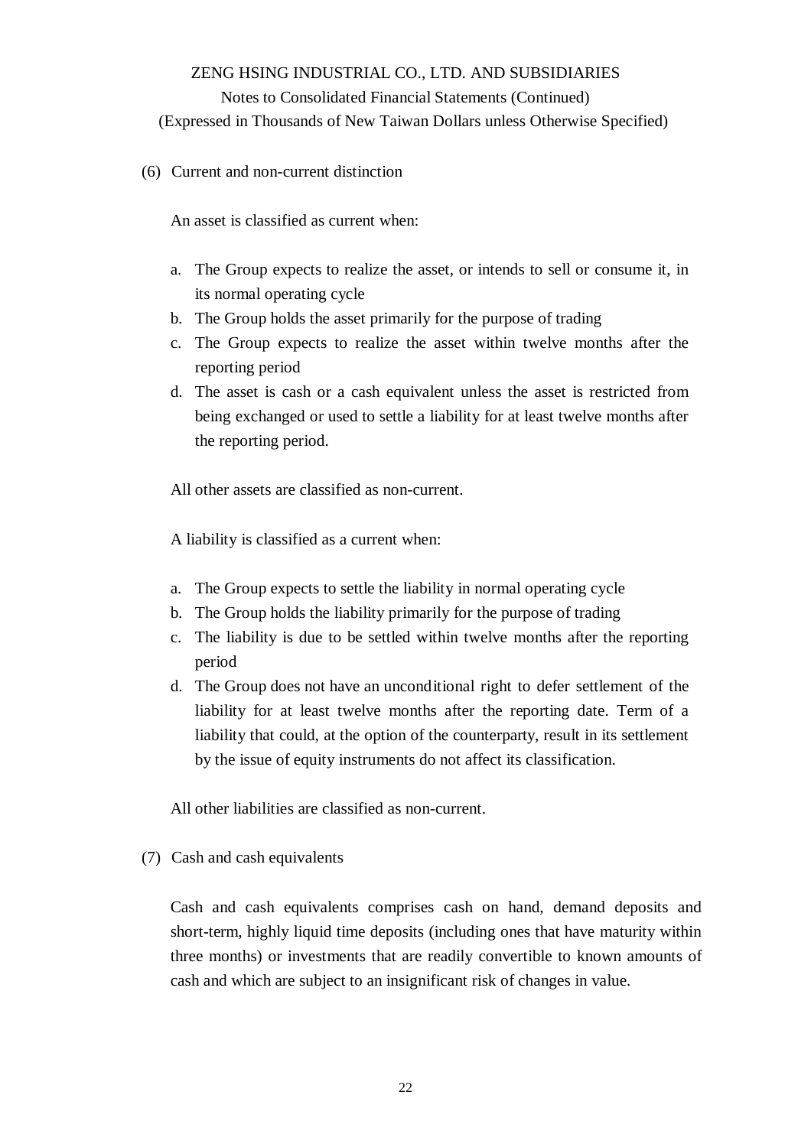# Notes to Consolidated Financial Statements (Continued) (Expressed in Thousands of New Taiwan Dollars unless Otherwise Specified)

(6) Current and non-current distinction

An asset is classified as current when:

- a. The Group expects to realize the asset, or intends to sell or consume it, in its normal operating cycle
- b. The Group holds the asset primarily for the purpose of trading
- c. The Group expects to realize the asset within twelve months after the reporting period
- d. The asset is cash or a cash equivalent unless the asset is restricted from being exchanged or used to settle a liability for at least twelve months after the reporting period.

All other assets are classified as non-current.

A liability is classified as a current when:

- a. The Group expects to settle the liability in normal operating cycle
- b. The Group holds the liability primarily for the purpose of trading
- c. The liability is due to be settled within twelve months after the reporting period
- d. The Group does not have an unconditional right to defer settlement of the liability for at least twelve months after the reporting date. Term of a liability that could, at the option of the counterparty, result in its settlement by the issue of equity instruments do not affect its classification.

All other liabilities are classified as non-current.

(7) Cash and cash equivalents

Cash and cash equivalents comprises cash on hand, demand deposits and short-term, highly liquid time deposits (including ones that have maturity within three months) or investments that are readily convertible to known amounts of cash and which are subject to an insignificant risk of changes in value.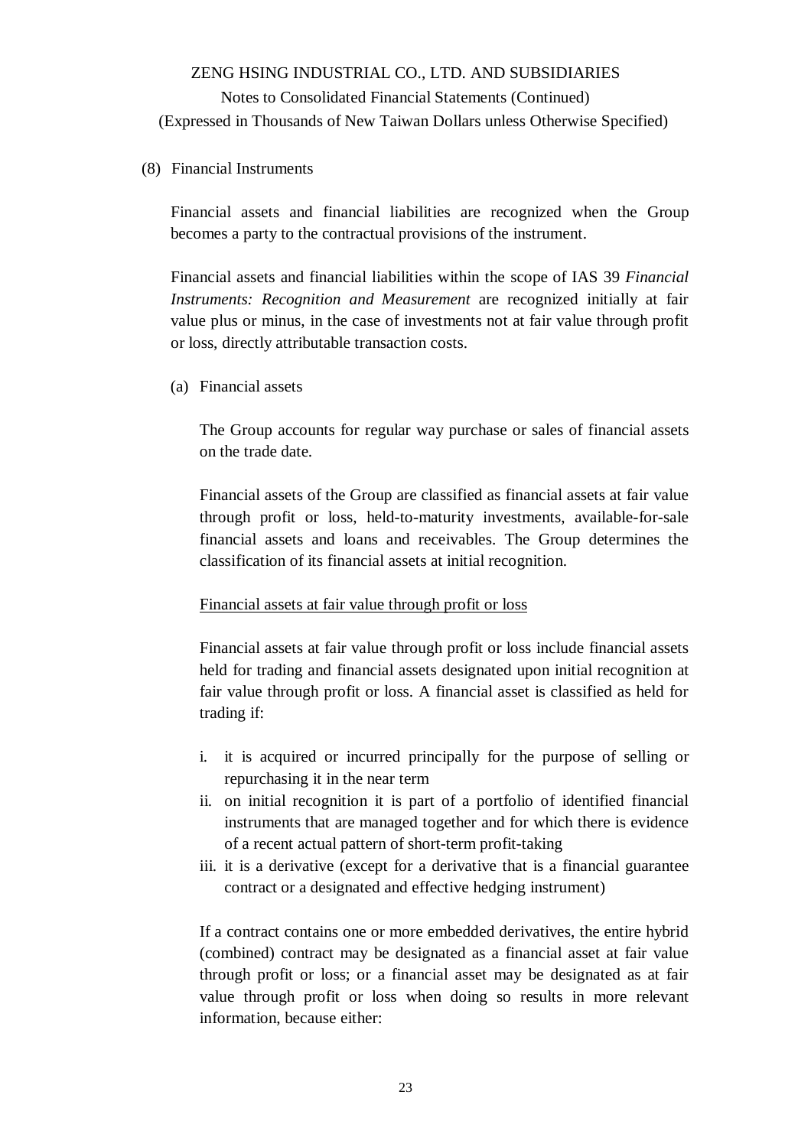# (8) Financial Instruments

Financial assets and financial liabilities are recognized when the Group becomes a party to the contractual provisions of the instrument.

Financial assets and financial liabilities within the scope of IAS 39 *Financial Instruments: Recognition and Measurement* are recognized initially at fair value plus or minus, in the case of investments not at fair value through profit or loss, directly attributable transaction costs.

(a) Financial assets

The Group accounts for regular way purchase or sales of financial assets on the trade date.

Financial assets of the Group are classified as financial assets at fair value through profit or loss, held-to-maturity investments, available-for-sale financial assets and loans and receivables. The Group determines the classification of its financial assets at initial recognition.

# Financial assets at fair value through profit or loss

Financial assets at fair value through profit or loss include financial assets held for trading and financial assets designated upon initial recognition at fair value through profit or loss. A financial asset is classified as held for trading if:

- i. it is acquired or incurred principally for the purpose of selling or repurchasing it in the near term
- ii. on initial recognition it is part of a portfolio of identified financial instruments that are managed together and for which there is evidence of a recent actual pattern of short-term profit-taking
- iii. it is a derivative (except for a derivative that is a financial guarantee contract or a designated and effective hedging instrument)

If a contract contains one or more embedded derivatives, the entire hybrid (combined) contract may be designated as a financial asset at fair value through profit or loss; or a financial asset may be designated as at fair value through profit or loss when doing so results in more relevant information, because either: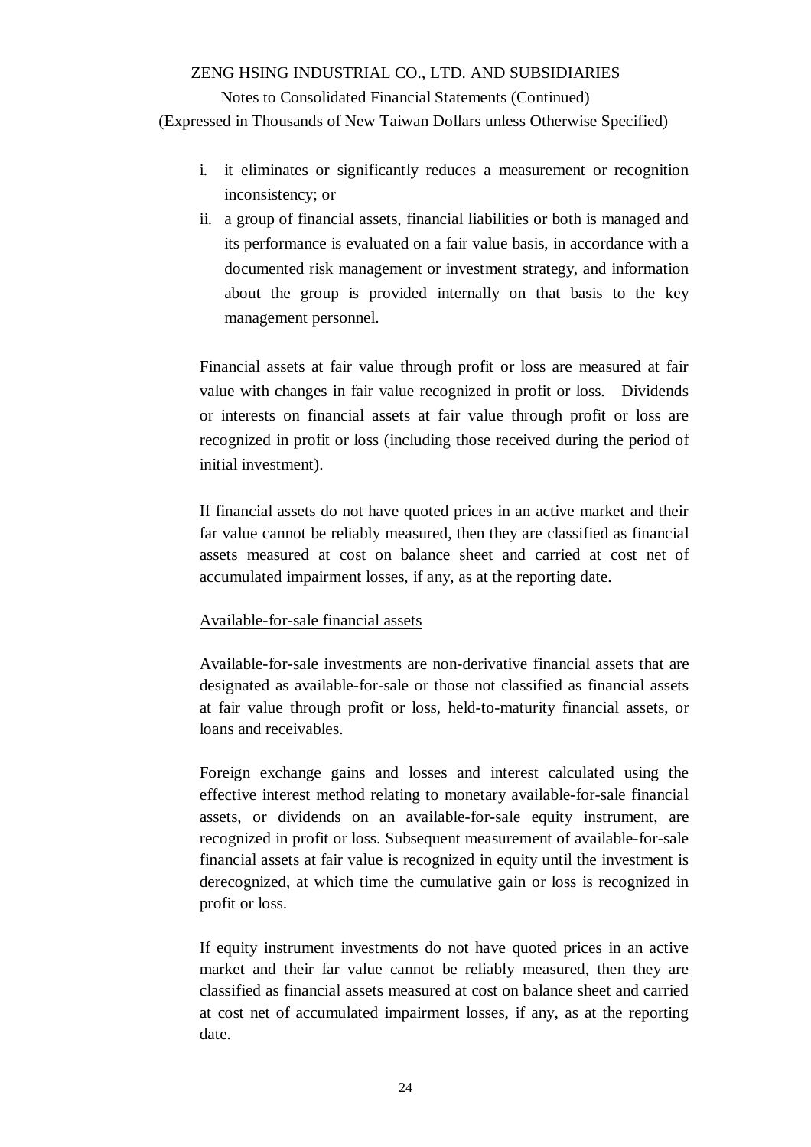Notes to Consolidated Financial Statements (Continued)

(Expressed in Thousands of New Taiwan Dollars unless Otherwise Specified)

- i. it eliminates or significantly reduces a measurement or recognition inconsistency; or
- ii. a group of financial assets, financial liabilities or both is managed and its performance is evaluated on a fair value basis, in accordance with a documented risk management or investment strategy, and information about the group is provided internally on that basis to the key management personnel.

Financial assets at fair value through profit or loss are measured at fair value with changes in fair value recognized in profit or loss. Dividends or interests on financial assets at fair value through profit or loss are recognized in profit or loss (including those received during the period of initial investment).

If financial assets do not have quoted prices in an active market and their far value cannot be reliably measured, then they are classified as financial assets measured at cost on balance sheet and carried at cost net of accumulated impairment losses, if any, as at the reporting date.

## Available-for-sale financial assets

Available-for-sale investments are non-derivative financial assets that are designated as available-for-sale or those not classified as financial assets at fair value through profit or loss, held-to-maturity financial assets, or loans and receivables.

Foreign exchange gains and losses and interest calculated using the effective interest method relating to monetary available-for-sale financial assets, or dividends on an available-for-sale equity instrument, are recognized in profit or loss. Subsequent measurement of available-for-sale financial assets at fair value is recognized in equity until the investment is derecognized, at which time the cumulative gain or loss is recognized in profit or loss.

If equity instrument investments do not have quoted prices in an active market and their far value cannot be reliably measured, then they are classified as financial assets measured at cost on balance sheet and carried at cost net of accumulated impairment losses, if any, as at the reporting date.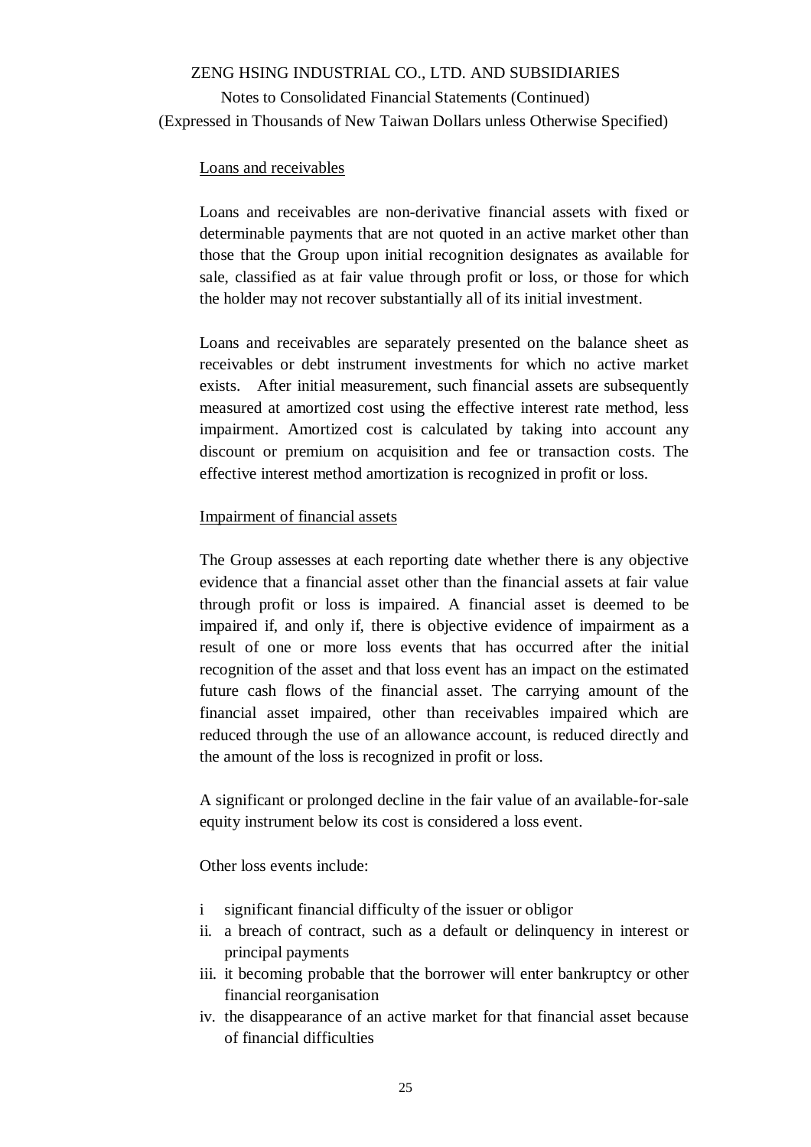# Loans and receivables

Loans and receivables are non-derivative financial assets with fixed or determinable payments that are not quoted in an active market other than those that the Group upon initial recognition designates as available for sale, classified as at fair value through profit or loss, or those for which the holder may not recover substantially all of its initial investment.

Loans and receivables are separately presented on the balance sheet as receivables or debt instrument investments for which no active market exists. After initial measurement, such financial assets are subsequently measured at amortized cost using the effective interest rate method, less impairment. Amortized cost is calculated by taking into account any discount or premium on acquisition and fee or transaction costs. The effective interest method amortization is recognized in profit or loss.

# Impairment of financial assets

The Group assesses at each reporting date whether there is any objective evidence that a financial asset other than the financial assets at fair value through profit or loss is impaired. A financial asset is deemed to be impaired if, and only if, there is objective evidence of impairment as a result of one or more loss events that has occurred after the initial recognition of the asset and that loss event has an impact on the estimated future cash flows of the financial asset. The carrying amount of the financial asset impaired, other than receivables impaired which are reduced through the use of an allowance account, is reduced directly and the amount of the loss is recognized in profit or loss.

A significant or prolonged decline in the fair value of an available-for-sale equity instrument below its cost is considered a loss event.

Other loss events include:

- i significant financial difficulty of the issuer or obligor
- ii. a breach of contract, such as a default or delinquency in interest or principal payments
- iii. it becoming probable that the borrower will enter bankruptcy or other financial reorganisation
- iv. the disappearance of an active market for that financial asset because of financial difficulties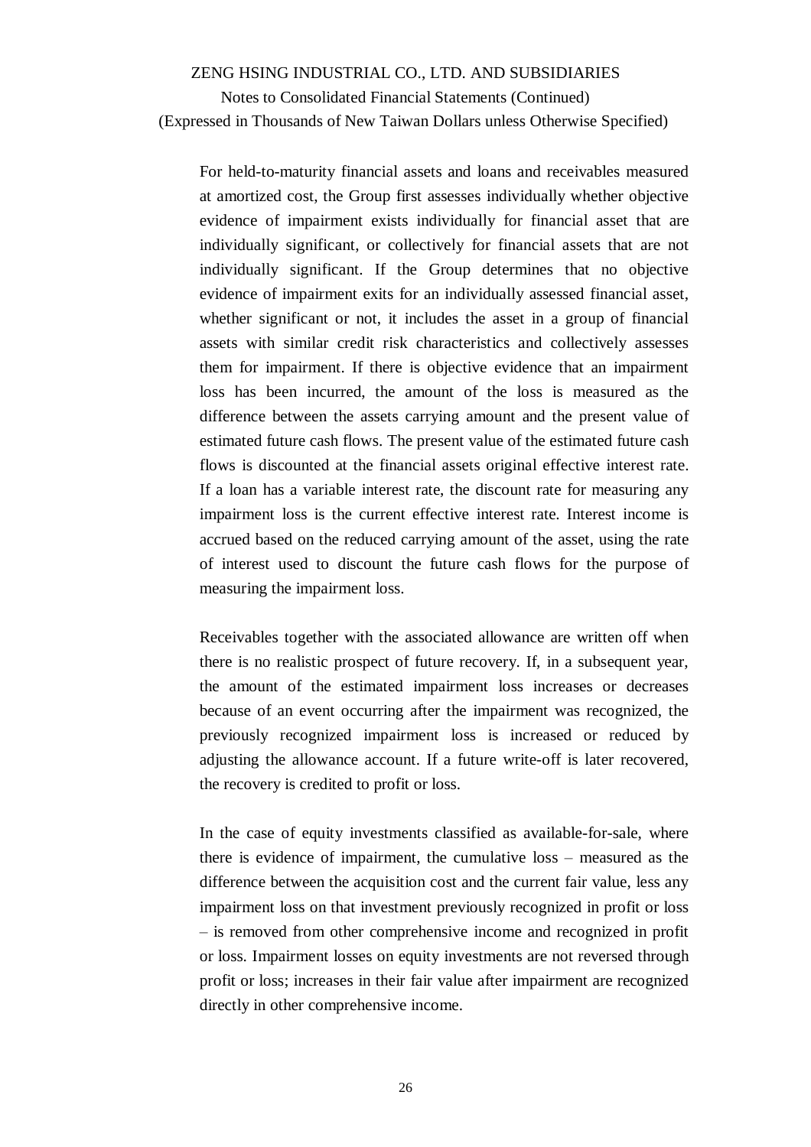Notes to Consolidated Financial Statements (Continued) (Expressed in Thousands of New Taiwan Dollars unless Otherwise Specified)

For held-to-maturity financial assets and loans and receivables measured at amortized cost, the Group first assesses individually whether objective evidence of impairment exists individually for financial asset that are individually significant, or collectively for financial assets that are not individually significant. If the Group determines that no objective evidence of impairment exits for an individually assessed financial asset, whether significant or not, it includes the asset in a group of financial assets with similar credit risk characteristics and collectively assesses them for impairment. If there is objective evidence that an impairment loss has been incurred, the amount of the loss is measured as the difference between the assets carrying amount and the present value of estimated future cash flows. The present value of the estimated future cash flows is discounted at the financial assets original effective interest rate. If a loan has a variable interest rate, the discount rate for measuring any impairment loss is the current effective interest rate. Interest income is accrued based on the reduced carrying amount of the asset, using the rate of interest used to discount the future cash flows for the purpose of measuring the impairment loss.

Receivables together with the associated allowance are written off when there is no realistic prospect of future recovery. If, in a subsequent year, the amount of the estimated impairment loss increases or decreases because of an event occurring after the impairment was recognized, the previously recognized impairment loss is increased or reduced by adjusting the allowance account. If a future write-off is later recovered, the recovery is credited to profit or loss.

In the case of equity investments classified as available-for-sale, where there is evidence of impairment, the cumulative loss – measured as the difference between the acquisition cost and the current fair value, less any impairment loss on that investment previously recognized in profit or loss – is removed from other comprehensive income and recognized in profit or loss. Impairment losses on equity investments are not reversed through profit or loss; increases in their fair value after impairment are recognized directly in other comprehensive income.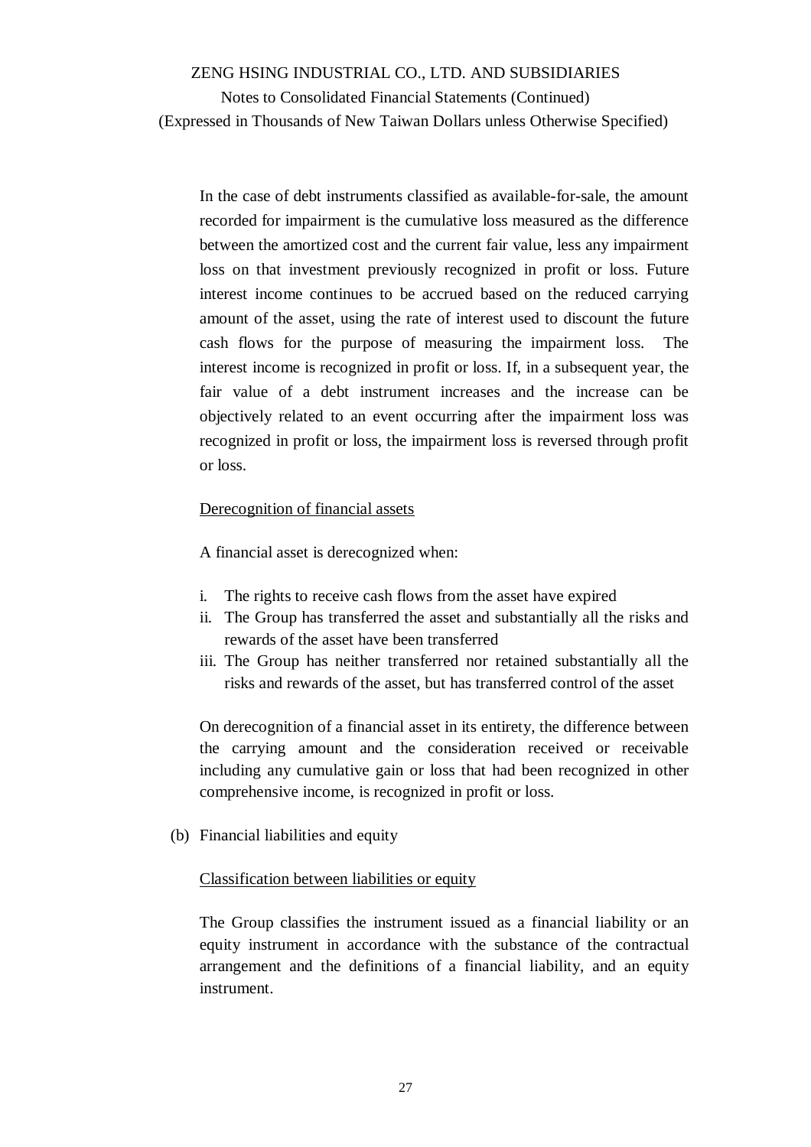Notes to Consolidated Financial Statements (Continued) (Expressed in Thousands of New Taiwan Dollars unless Otherwise Specified)

In the case of debt instruments classified as available-for-sale, the amount recorded for impairment is the cumulative loss measured as the difference between the amortized cost and the current fair value, less any impairment loss on that investment previously recognized in profit or loss. Future interest income continues to be accrued based on the reduced carrying amount of the asset, using the rate of interest used to discount the future cash flows for the purpose of measuring the impairment loss. The interest income is recognized in profit or loss. If, in a subsequent year, the fair value of a debt instrument increases and the increase can be objectively related to an event occurring after the impairment loss was recognized in profit or loss, the impairment loss is reversed through profit or loss.

### Derecognition of financial assets

A financial asset is derecognized when:

- i. The rights to receive cash flows from the asset have expired
- ii. The Group has transferred the asset and substantially all the risks and rewards of the asset have been transferred
- iii. The Group has neither transferred nor retained substantially all the risks and rewards of the asset, but has transferred control of the asset

On derecognition of a financial asset in its entirety, the difference between the carrying amount and the consideration received or receivable including any cumulative gain or loss that had been recognized in other comprehensive income, is recognized in profit or loss.

(b) Financial liabilities and equity

## Classification between liabilities or equity

The Group classifies the instrument issued as a financial liability or an equity instrument in accordance with the substance of the contractual arrangement and the definitions of a financial liability, and an equity instrument.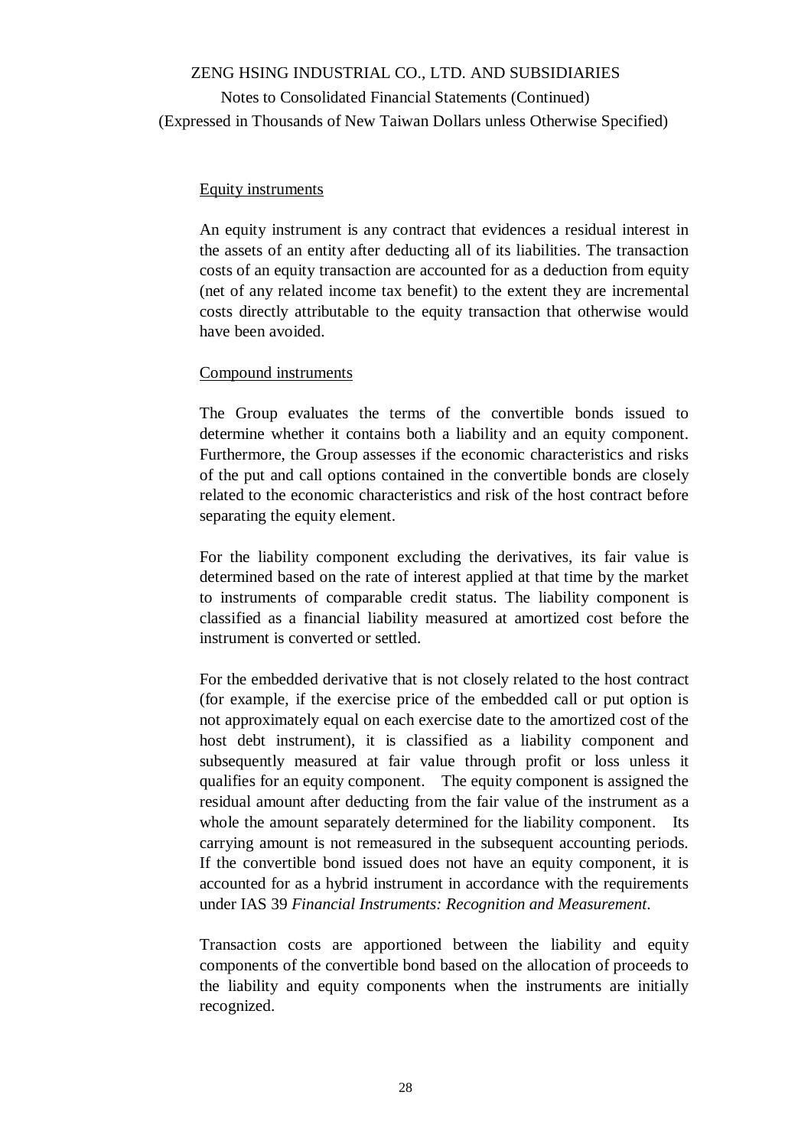# Equity instruments

An equity instrument is any contract that evidences a residual interest in the assets of an entity after deducting all of its liabilities. The transaction costs of an equity transaction are accounted for as a deduction from equity (net of any related income tax benefit) to the extent they are incremental costs directly attributable to the equity transaction that otherwise would have been avoided.

# Compound instruments

The Group evaluates the terms of the convertible bonds issued to determine whether it contains both a liability and an equity component. Furthermore, the Group assesses if the economic characteristics and risks of the put and call options contained in the convertible bonds are closely related to the economic characteristics and risk of the host contract before separating the equity element.

For the liability component excluding the derivatives, its fair value is determined based on the rate of interest applied at that time by the market to instruments of comparable credit status. The liability component is classified as a financial liability measured at amortized cost before the instrument is converted or settled.

For the embedded derivative that is not closely related to the host contract (for example, if the exercise price of the embedded call or put option is not approximately equal on each exercise date to the amortized cost of the host debt instrument), it is classified as a liability component and subsequently measured at fair value through profit or loss unless it qualifies for an equity component. The equity component is assigned the residual amount after deducting from the fair value of the instrument as a whole the amount separately determined for the liability component. Its carrying amount is not remeasured in the subsequent accounting periods. If the convertible bond issued does not have an equity component, it is accounted for as a hybrid instrument in accordance with the requirements under IAS 39 *Financial Instruments: Recognition and Measurement*.

Transaction costs are apportioned between the liability and equity components of the convertible bond based on the allocation of proceeds to the liability and equity components when the instruments are initially recognized.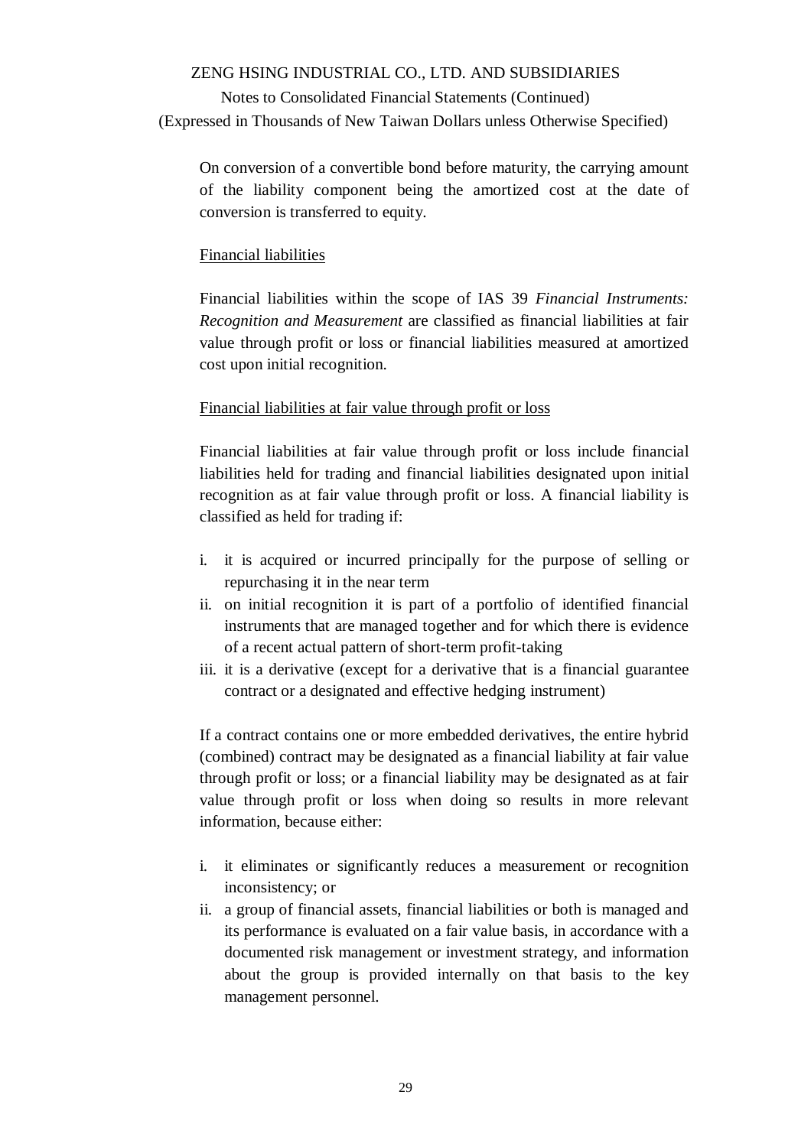Notes to Consolidated Financial Statements (Continued) (Expressed in Thousands of New Taiwan Dollars unless Otherwise Specified)

On conversion of a convertible bond before maturity, the carrying amount of the liability component being the amortized cost at the date of conversion is transferred to equity.

# Financial liabilities

Financial liabilities within the scope of IAS 39 *Financial Instruments: Recognition and Measurement* are classified as financial liabilities at fair value through profit or loss or financial liabilities measured at amortized cost upon initial recognition.

# Financial liabilities at fair value through profit or loss

Financial liabilities at fair value through profit or loss include financial liabilities held for trading and financial liabilities designated upon initial recognition as at fair value through profit or loss. A financial liability is classified as held for trading if:

- i. it is acquired or incurred principally for the purpose of selling or repurchasing it in the near term
- ii. on initial recognition it is part of a portfolio of identified financial instruments that are managed together and for which there is evidence of a recent actual pattern of short-term profit-taking
- iii. it is a derivative (except for a derivative that is a financial guarantee contract or a designated and effective hedging instrument)

If a contract contains one or more embedded derivatives, the entire hybrid (combined) contract may be designated as a financial liability at fair value through profit or loss; or a financial liability may be designated as at fair value through profit or loss when doing so results in more relevant information, because either:

- i. it eliminates or significantly reduces a measurement or recognition inconsistency; or
- ii. a group of financial assets, financial liabilities or both is managed and its performance is evaluated on a fair value basis, in accordance with a documented risk management or investment strategy, and information about the group is provided internally on that basis to the key management personnel.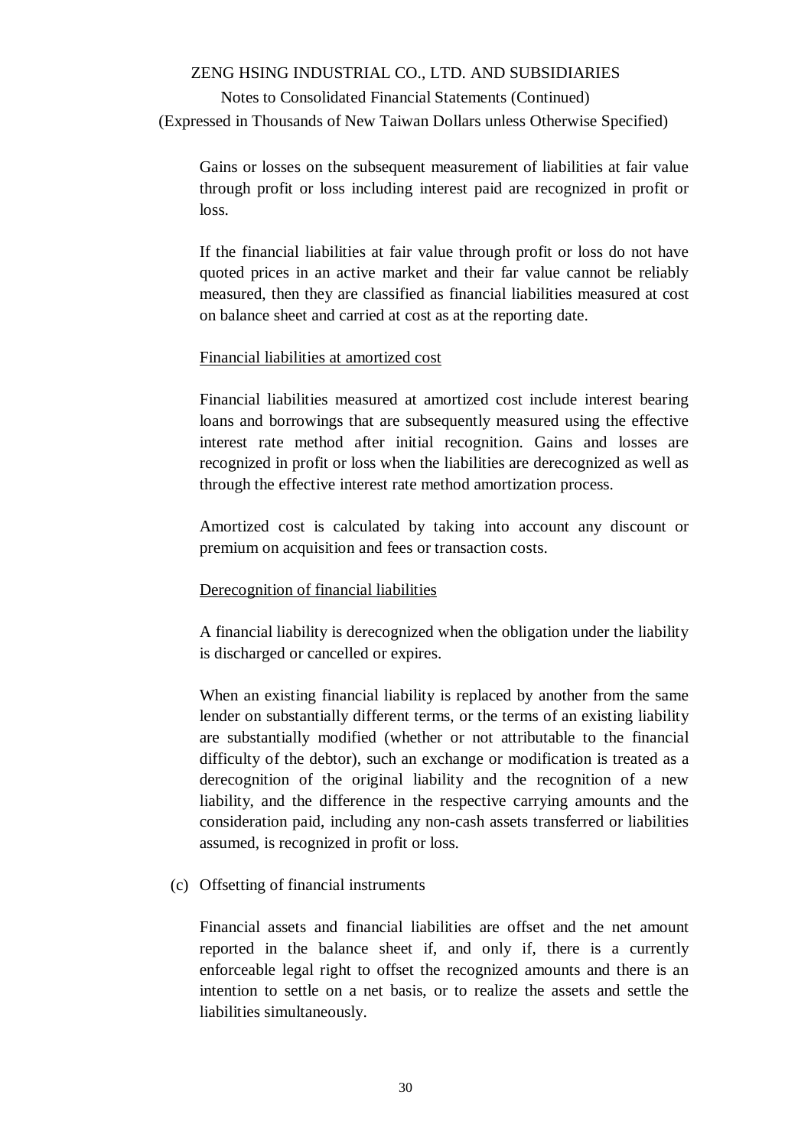# Notes to Consolidated Financial Statements (Continued) (Expressed in Thousands of New Taiwan Dollars unless Otherwise Specified)

Gains or losses on the subsequent measurement of liabilities at fair value through profit or loss including interest paid are recognized in profit or loss.

If the financial liabilities at fair value through profit or loss do not have quoted prices in an active market and their far value cannot be reliably measured, then they are classified as financial liabilities measured at cost on balance sheet and carried at cost as at the reporting date.

# Financial liabilities at amortized cost

Financial liabilities measured at amortized cost include interest bearing loans and borrowings that are subsequently measured using the effective interest rate method after initial recognition. Gains and losses are recognized in profit or loss when the liabilities are derecognized as well as through the effective interest rate method amortization process.

Amortized cost is calculated by taking into account any discount or premium on acquisition and fees or transaction costs.

# Derecognition of financial liabilities

A financial liability is derecognized when the obligation under the liability is discharged or cancelled or expires.

When an existing financial liability is replaced by another from the same lender on substantially different terms, or the terms of an existing liability are substantially modified (whether or not attributable to the financial difficulty of the debtor), such an exchange or modification is treated as a derecognition of the original liability and the recognition of a new liability, and the difference in the respective carrying amounts and the consideration paid, including any non-cash assets transferred or liabilities assumed, is recognized in profit or loss.

## (c) Offsetting of financial instruments

Financial assets and financial liabilities are offset and the net amount reported in the balance sheet if, and only if, there is a currently enforceable legal right to offset the recognized amounts and there is an intention to settle on a net basis, or to realize the assets and settle the liabilities simultaneously.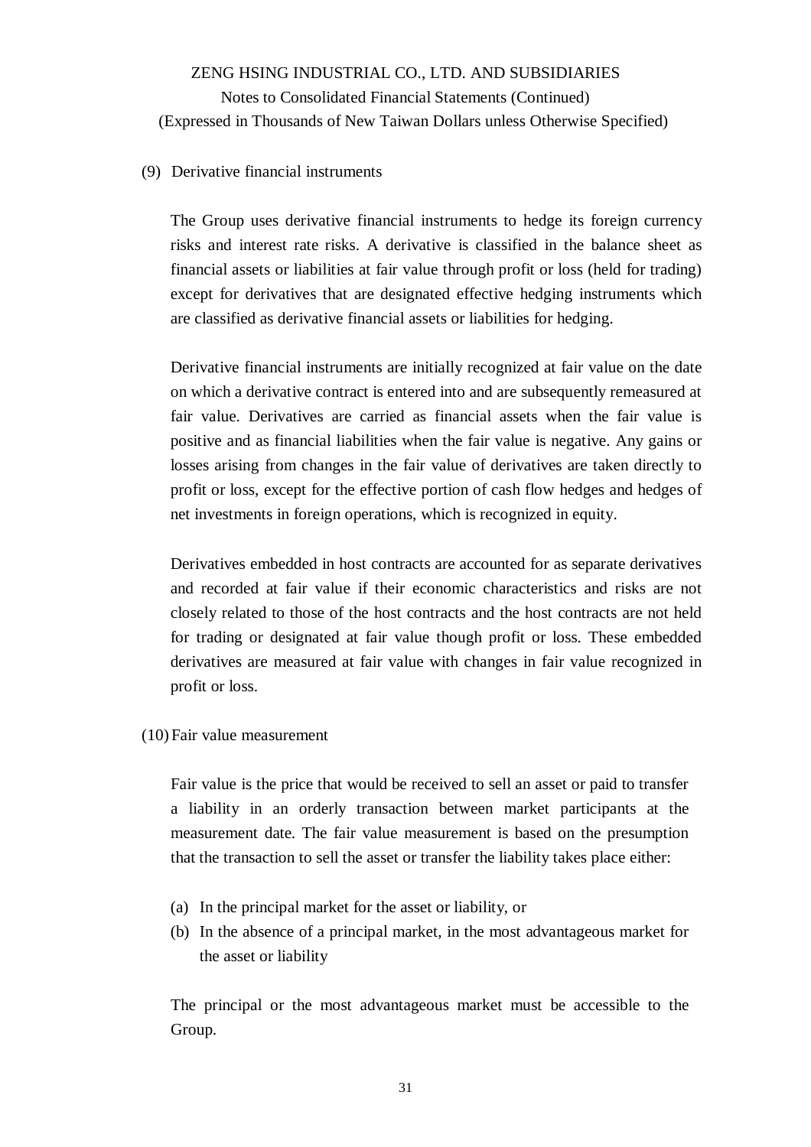## (9) Derivative financial instruments

The Group uses derivative financial instruments to hedge its foreign currency risks and interest rate risks. A derivative is classified in the balance sheet as financial assets or liabilities at fair value through profit or loss (held for trading) except for derivatives that are designated effective hedging instruments which are classified as derivative financial assets or liabilities for hedging.

Derivative financial instruments are initially recognized at fair value on the date on which a derivative contract is entered into and are subsequently remeasured at fair value. Derivatives are carried as financial assets when the fair value is positive and as financial liabilities when the fair value is negative. Any gains or losses arising from changes in the fair value of derivatives are taken directly to profit or loss, except for the effective portion of cash flow hedges and hedges of net investments in foreign operations, which is recognized in equity.

Derivatives embedded in host contracts are accounted for as separate derivatives and recorded at fair value if their economic characteristics and risks are not closely related to those of the host contracts and the host contracts are not held for trading or designated at fair value though profit or loss. These embedded derivatives are measured at fair value with changes in fair value recognized in profit or loss.

(10) Fair value measurement

Fair value is the price that would be received to sell an asset or paid to transfer a liability in an orderly transaction between market participants at the measurement date. The fair value measurement is based on the presumption that the transaction to sell the asset or transfer the liability takes place either:

- (a) In the principal market for the asset or liability, or
- (b) In the absence of a principal market, in the most advantageous market for the asset or liability

The principal or the most advantageous market must be accessible to the Group.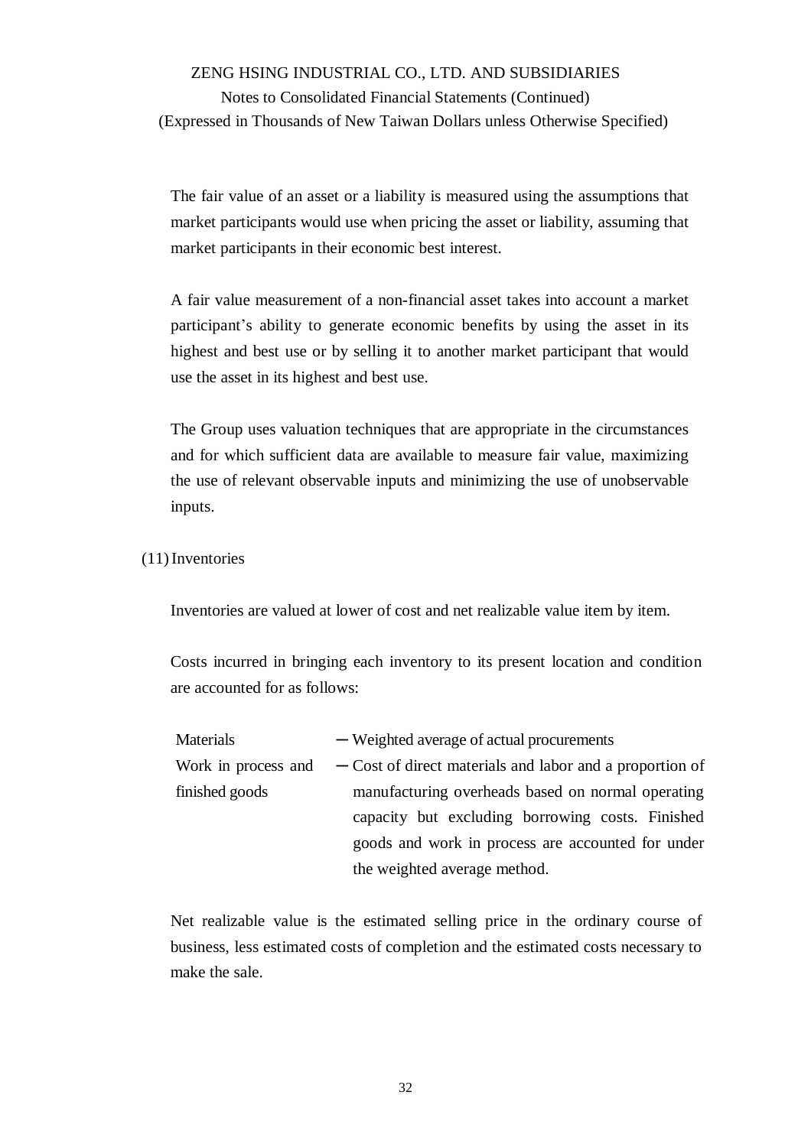Notes to Consolidated Financial Statements (Continued) (Expressed in Thousands of New Taiwan Dollars unless Otherwise Specified)

The fair value of an asset or a liability is measured using the assumptions that market participants would use when pricing the asset or liability, assuming that market participants in their economic best interest.

A fair value measurement of a non-financial asset takes into account a market participant's ability to generate economic benefits by using the asset in its highest and best use or by selling it to another market participant that would use the asset in its highest and best use.

The Group uses valuation techniques that are appropriate in the circumstances and for which sufficient data are available to measure fair value, maximizing the use of relevant observable inputs and minimizing the use of unobservable inputs.

## (11)Inventories

Inventories are valued at lower of cost and net realizable value item by item.

Costs incurred in bringing each inventory to its present location and condition are accounted for as follows:

| Materials           | - Weighted average of actual procurements                |
|---------------------|----------------------------------------------------------|
| Work in process and | - Cost of direct materials and labor and a proportion of |
| finished goods      | manufacturing overheads based on normal operating        |
|                     | capacity but excluding borrowing costs. Finished         |
|                     | goods and work in process are accounted for under        |
|                     | the weighted average method.                             |

Net realizable value is the estimated selling price in the ordinary course of business, less estimated costs of completion and the estimated costs necessary to make the sale.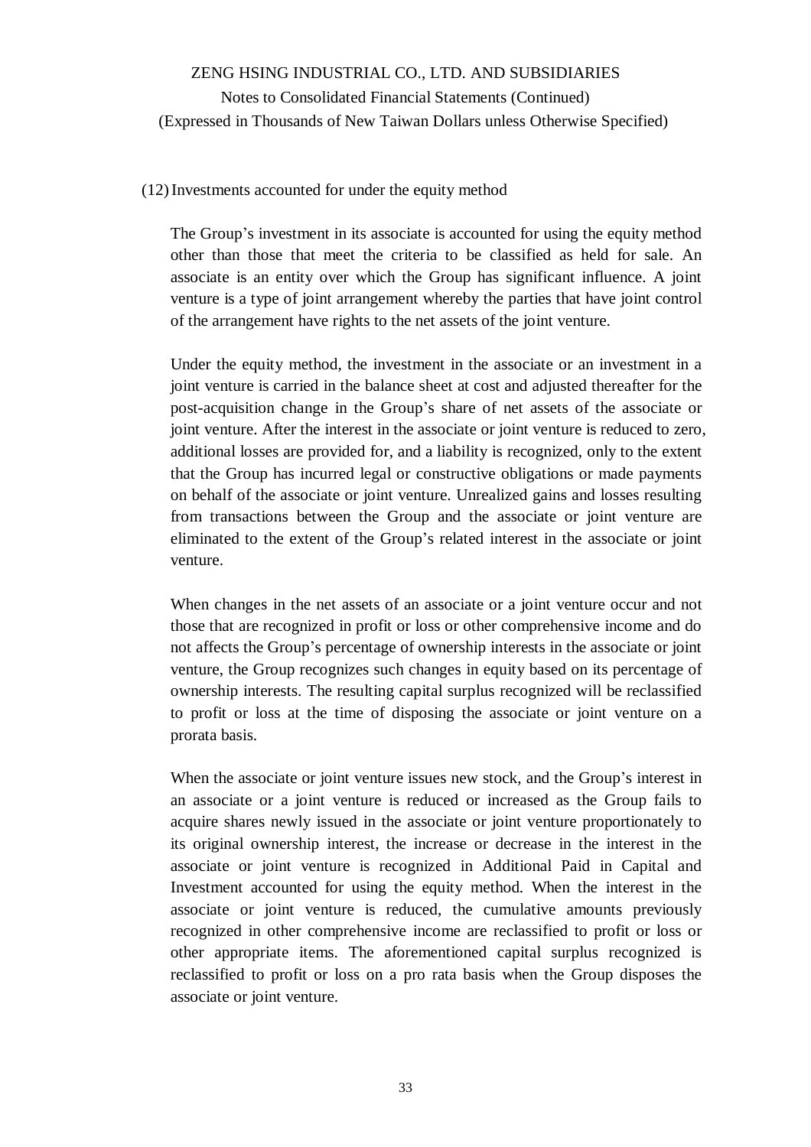# (12)Investments accounted for under the equity method

The Group's investment in its associate is accounted for using the equity method other than those that meet the criteria to be classified as held for sale. An associate is an entity over which the Group has significant influence. A joint venture is a type of joint arrangement whereby the parties that have joint control of the arrangement have rights to the net assets of the joint venture.

Under the equity method, the investment in the associate or an investment in a joint venture is carried in the balance sheet at cost and adjusted thereafter for the post-acquisition change in the Group's share of net assets of the associate or joint venture. After the interest in the associate or joint venture is reduced to zero, additional losses are provided for, and a liability is recognized, only to the extent that the Group has incurred legal or constructive obligations or made payments on behalf of the associate or joint venture. Unrealized gains and losses resulting from transactions between the Group and the associate or joint venture are eliminated to the extent of the Group's related interest in the associate or joint venture.

When changes in the net assets of an associate or a joint venture occur and not those that are recognized in profit or loss or other comprehensive income and do not affects the Group's percentage of ownership interests in the associate or joint venture, the Group recognizes such changes in equity based on its percentage of ownership interests. The resulting capital surplus recognized will be reclassified to profit or loss at the time of disposing the associate or joint venture on a prorata basis.

When the associate or joint venture issues new stock, and the Group's interest in an associate or a joint venture is reduced or increased as the Group fails to acquire shares newly issued in the associate or joint venture proportionately to its original ownership interest, the increase or decrease in the interest in the associate or joint venture is recognized in Additional Paid in Capital and Investment accounted for using the equity method. When the interest in the associate or joint venture is reduced, the cumulative amounts previously recognized in other comprehensive income are reclassified to profit or loss or other appropriate items. The aforementioned capital surplus recognized is reclassified to profit or loss on a pro rata basis when the Group disposes the associate or joint venture.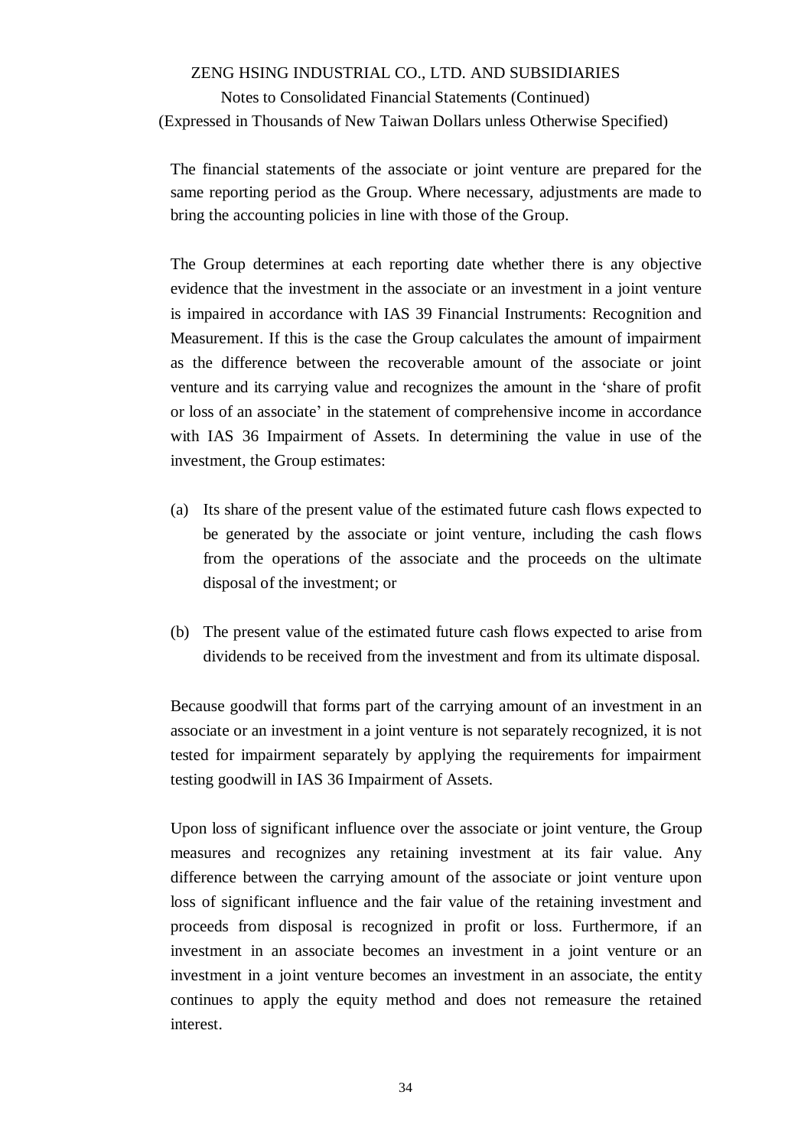Notes to Consolidated Financial Statements (Continued) (Expressed in Thousands of New Taiwan Dollars unless Otherwise Specified)

The financial statements of the associate or joint venture are prepared for the same reporting period as the Group. Where necessary, adjustments are made to bring the accounting policies in line with those of the Group.

The Group determines at each reporting date whether there is any objective evidence that the investment in the associate or an investment in a joint venture is impaired in accordance with IAS 39 Financial Instruments: Recognition and Measurement. If this is the case the Group calculates the amount of impairment as the difference between the recoverable amount of the associate or joint venture and its carrying value and recognizes the amount in the 'share of profit or loss of an associate' in the statement of comprehensive income in accordance with IAS 36 Impairment of Assets. In determining the value in use of the investment, the Group estimates:

- (a) Its share of the present value of the estimated future cash flows expected to be generated by the associate or joint venture, including the cash flows from the operations of the associate and the proceeds on the ultimate disposal of the investment; or
- (b) The present value of the estimated future cash flows expected to arise from dividends to be received from the investment and from its ultimate disposal.

Because goodwill that forms part of the carrying amount of an investment in an associate or an investment in a joint venture is not separately recognized, it is not tested for impairment separately by applying the requirements for impairment testing goodwill in IAS 36 Impairment of Assets.

Upon loss of significant influence over the associate or joint venture, the Group measures and recognizes any retaining investment at its fair value. Any difference between the carrying amount of the associate or joint venture upon loss of significant influence and the fair value of the retaining investment and proceeds from disposal is recognized in profit or loss. Furthermore, if an investment in an associate becomes an investment in a joint venture or an investment in a joint venture becomes an investment in an associate, the entity continues to apply the equity method and does not remeasure the retained interest.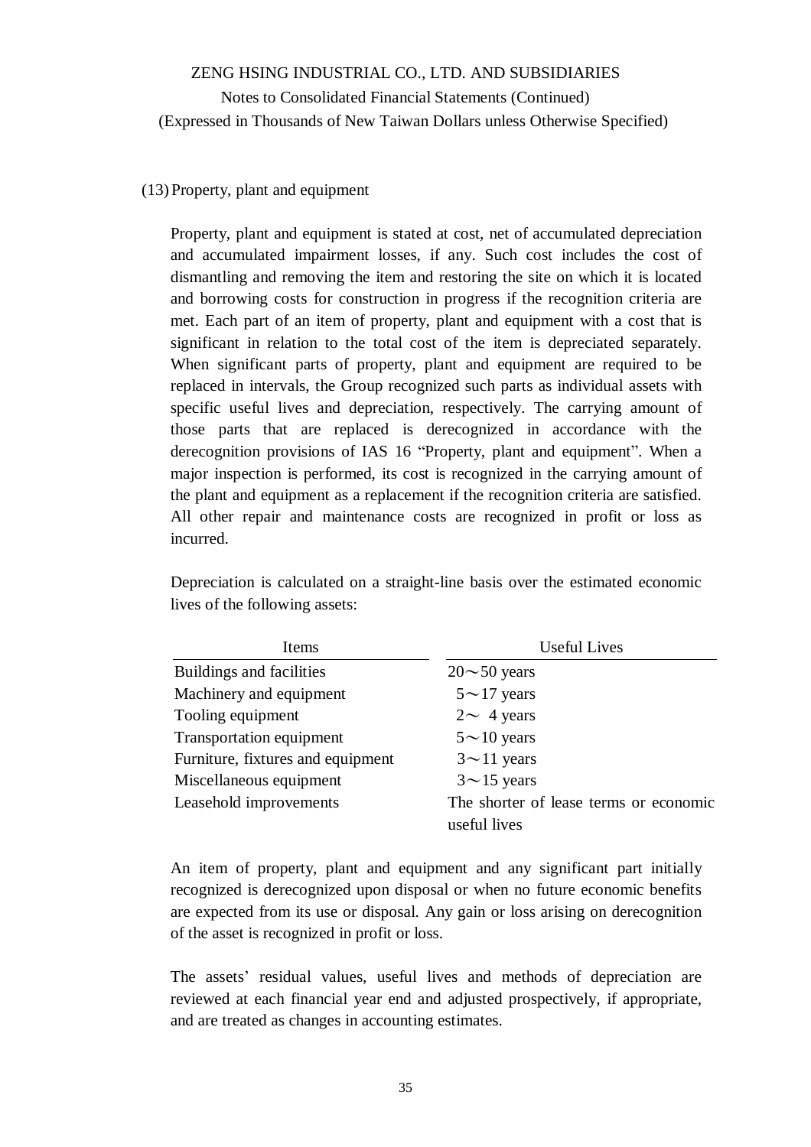# (13) Property, plant and equipment

Property, plant and equipment is stated at cost, net of accumulated depreciation and accumulated impairment losses, if any. Such cost includes the cost of dismantling and removing the item and restoring the site on which it is located and borrowing costs for construction in progress if the recognition criteria are met. Each part of an item of property, plant and equipment with a cost that is significant in relation to the total cost of the item is depreciated separately. When significant parts of property, plant and equipment are required to be replaced in intervals, the Group recognized such parts as individual assets with specific useful lives and depreciation, respectively. The carrying amount of those parts that are replaced is derecognized in accordance with the derecognition provisions of IAS 16 "Property, plant and equipment". When a major inspection is performed, its cost is recognized in the carrying amount of the plant and equipment as a replacement if the recognition criteria are satisfied. All other repair and maintenance costs are recognized in profit or loss as incurred.

Depreciation is calculated on a straight-line basis over the estimated economic lives of the following assets:

| Items                             | <b>Useful Lives</b>                    |
|-----------------------------------|----------------------------------------|
| Buildings and facilities          | $20 \sim 50$ years                     |
| Machinery and equipment           | $5 \sim 17$ years                      |
| Tooling equipment                 | $2 \sim 4$ years                       |
| Transportation equipment          | $5 \sim 10$ years                      |
| Furniture, fixtures and equipment | $3 \sim 11$ years                      |
| Miscellaneous equipment           | $3{\sim}15$ years                      |
| Leasehold improvements            | The shorter of lease terms or economic |
|                                   | useful lives                           |

An item of property, plant and equipment and any significant part initially recognized is derecognized upon disposal or when no future economic benefits are expected from its use or disposal. Any gain or loss arising on derecognition of the asset is recognized in profit or loss.

The assets' residual values, useful lives and methods of depreciation are reviewed at each financial year end and adjusted prospectively, if appropriate, and are treated as changes in accounting estimates.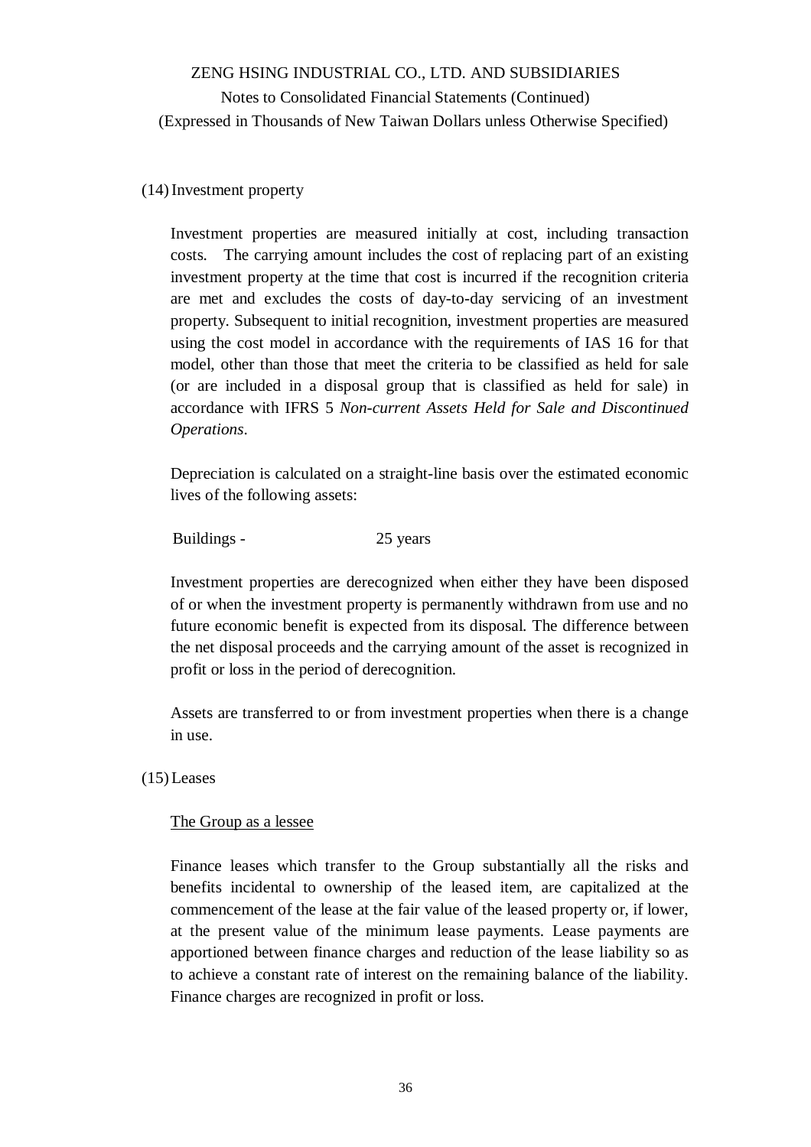# (14)Investment property

Investment properties are measured initially at cost, including transaction costs. The carrying amount includes the cost of replacing part of an existing investment property at the time that cost is incurred if the recognition criteria are met and excludes the costs of day-to-day servicing of an investment property. Subsequent to initial recognition, investment properties are measured using the cost model in accordance with the requirements of IAS 16 for that model, other than those that meet the criteria to be classified as held for sale (or are included in a disposal group that is classified as held for sale) in accordance with IFRS 5 *Non-current Assets Held for Sale and Discontinued Operations*.

Depreciation is calculated on a straight-line basis over the estimated economic lives of the following assets:

Buildings - 25 years

Investment properties are derecognized when either they have been disposed of or when the investment property is permanently withdrawn from use and no future economic benefit is expected from its disposal. The difference between the net disposal proceeds and the carrying amount of the asset is recognized in profit or loss in the period of derecognition.

Assets are transferred to or from investment properties when there is a change in use.

(15)Leases

# The Group as a lessee

Finance leases which transfer to the Group substantially all the risks and benefits incidental to ownership of the leased item, are capitalized at the commencement of the lease at the fair value of the leased property or, if lower, at the present value of the minimum lease payments. Lease payments are apportioned between finance charges and reduction of the lease liability so as to achieve a constant rate of interest on the remaining balance of the liability. Finance charges are recognized in profit or loss.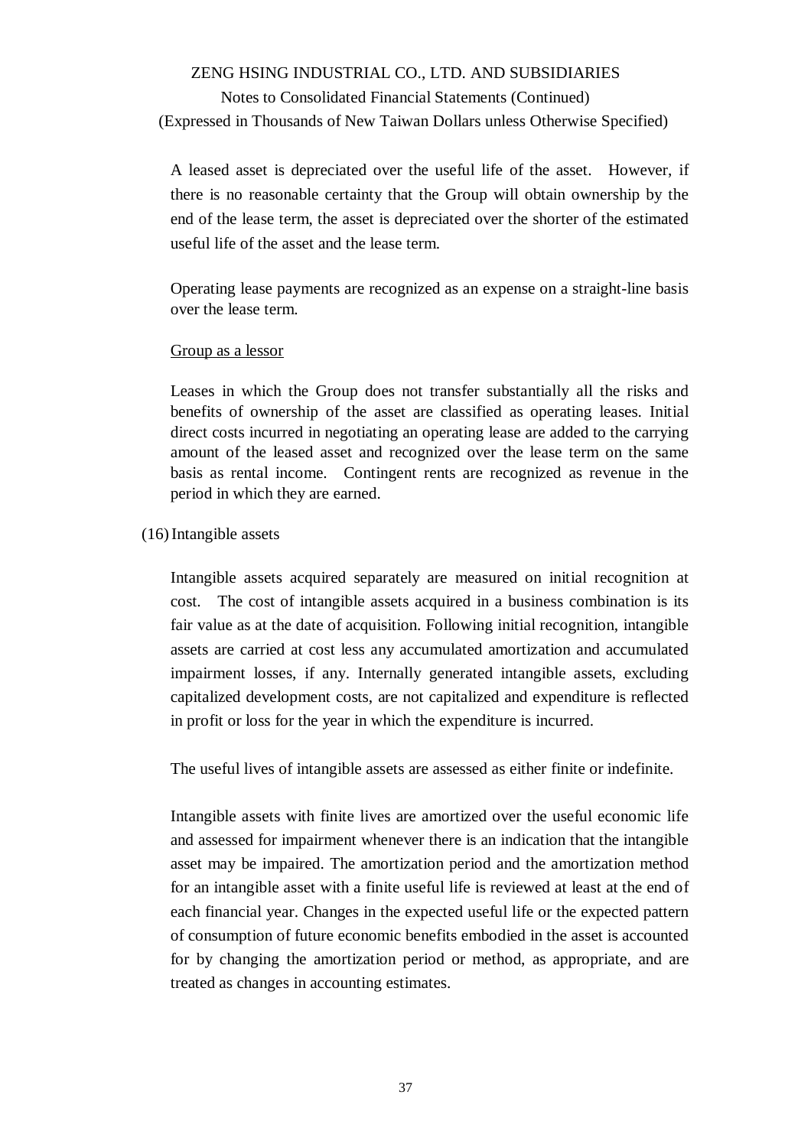Notes to Consolidated Financial Statements (Continued) (Expressed in Thousands of New Taiwan Dollars unless Otherwise Specified)

A leased asset is depreciated over the useful life of the asset. However, if there is no reasonable certainty that the Group will obtain ownership by the end of the lease term, the asset is depreciated over the shorter of the estimated useful life of the asset and the lease term.

Operating lease payments are recognized as an expense on a straight-line basis over the lease term.

#### Group as a lessor

Leases in which the Group does not transfer substantially all the risks and benefits of ownership of the asset are classified as operating leases. Initial direct costs incurred in negotiating an operating lease are added to the carrying amount of the leased asset and recognized over the lease term on the same basis as rental income. Contingent rents are recognized as revenue in the period in which they are earned.

#### (16)Intangible assets

Intangible assets acquired separately are measured on initial recognition at cost. The cost of intangible assets acquired in a business combination is its fair value as at the date of acquisition. Following initial recognition, intangible assets are carried at cost less any accumulated amortization and accumulated impairment losses, if any. Internally generated intangible assets, excluding capitalized development costs, are not capitalized and expenditure is reflected in profit or loss for the year in which the expenditure is incurred.

The useful lives of intangible assets are assessed as either finite or indefinite.

Intangible assets with finite lives are amortized over the useful economic life and assessed for impairment whenever there is an indication that the intangible asset may be impaired. The amortization period and the amortization method for an intangible asset with a finite useful life is reviewed at least at the end of each financial year. Changes in the expected useful life or the expected pattern of consumption of future economic benefits embodied in the asset is accounted for by changing the amortization period or method, as appropriate, and are treated as changes in accounting estimates.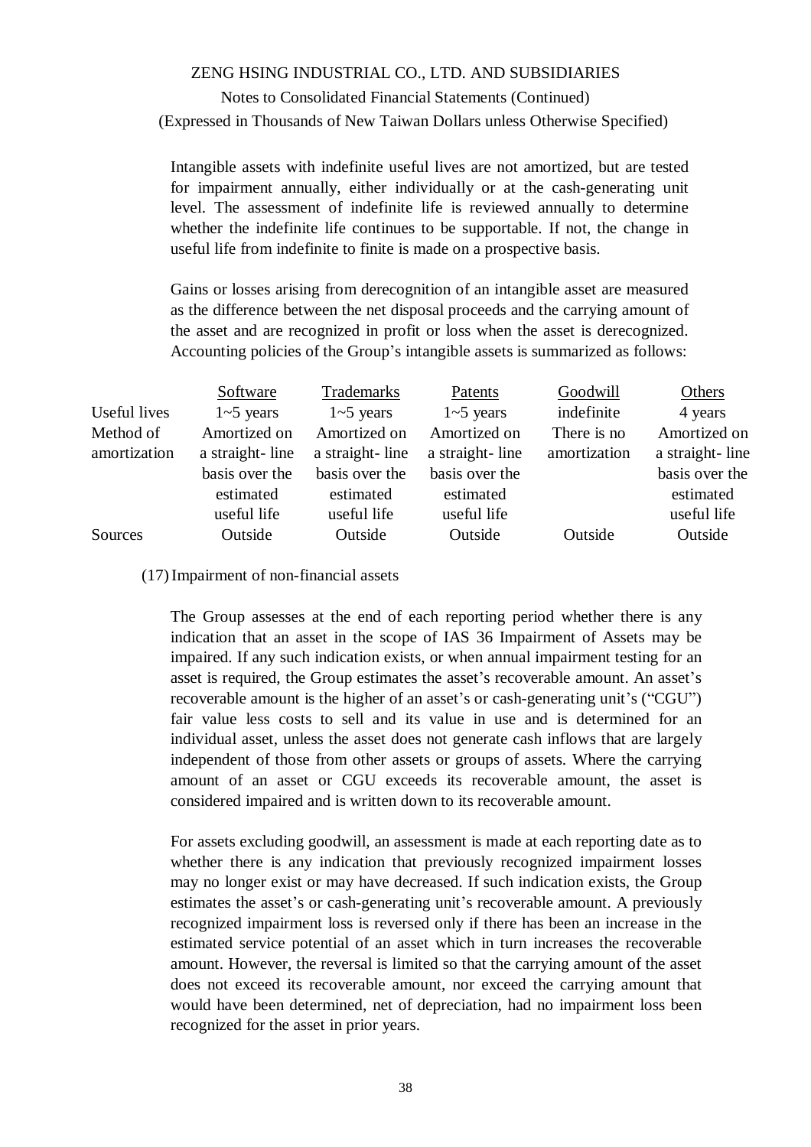Notes to Consolidated Financial Statements (Continued) (Expressed in Thousands of New Taiwan Dollars unless Otherwise Specified)

Intangible assets with indefinite useful lives are not amortized, but are tested for impairment annually, either individually or at the cash-generating unit level. The assessment of indefinite life is reviewed annually to determine whether the indefinite life continues to be supportable. If not, the change in useful life from indefinite to finite is made on a prospective basis.

Gains or losses arising from derecognition of an intangible asset are measured as the difference between the net disposal proceeds and the carrying amount of the asset and are recognized in profit or loss when the asset is derecognized. Accounting policies of the Group's intangible assets is summarized as follows:

|              | Software        | Trademarks      | Patents         | Goodwill     | Others          |
|--------------|-----------------|-----------------|-----------------|--------------|-----------------|
| Useful lives | $1 - 5$ years   | $1 - 5$ years   | $1 - 5$ years   | indefinite   | 4 years         |
| Method of    | Amortized on    | Amortized on    | Amortized on    | There is no  | Amortized on    |
| amortization | a straight-line | a straight-line | a straight-line | amortization | a straight-line |
|              | basis over the  | basis over the  | basis over the  |              | basis over the  |
|              | estimated       | estimated       | estimated       |              | estimated       |
|              | useful life     | useful life     | useful life     |              | useful life     |
| Sources      | Outside         | Outside         | Outside         | Outside      | Outside         |

(17)Impairment of non-financial assets

The Group assesses at the end of each reporting period whether there is any indication that an asset in the scope of IAS 36 Impairment of Assets may be impaired. If any such indication exists, or when annual impairment testing for an asset is required, the Group estimates the asset's recoverable amount. An asset's recoverable amount is the higher of an asset's or cash-generating unit's ("CGU") fair value less costs to sell and its value in use and is determined for an individual asset, unless the asset does not generate cash inflows that are largely independent of those from other assets or groups of assets. Where the carrying amount of an asset or CGU exceeds its recoverable amount, the asset is considered impaired and is written down to its recoverable amount.

For assets excluding goodwill, an assessment is made at each reporting date as to whether there is any indication that previously recognized impairment losses may no longer exist or may have decreased. If such indication exists, the Group estimates the asset's or cash-generating unit's recoverable amount. A previously recognized impairment loss is reversed only if there has been an increase in the estimated service potential of an asset which in turn increases the recoverable amount. However, the reversal is limited so that the carrying amount of the asset does not exceed its recoverable amount, nor exceed the carrying amount that would have been determined, net of depreciation, had no impairment loss been recognized for the asset in prior years.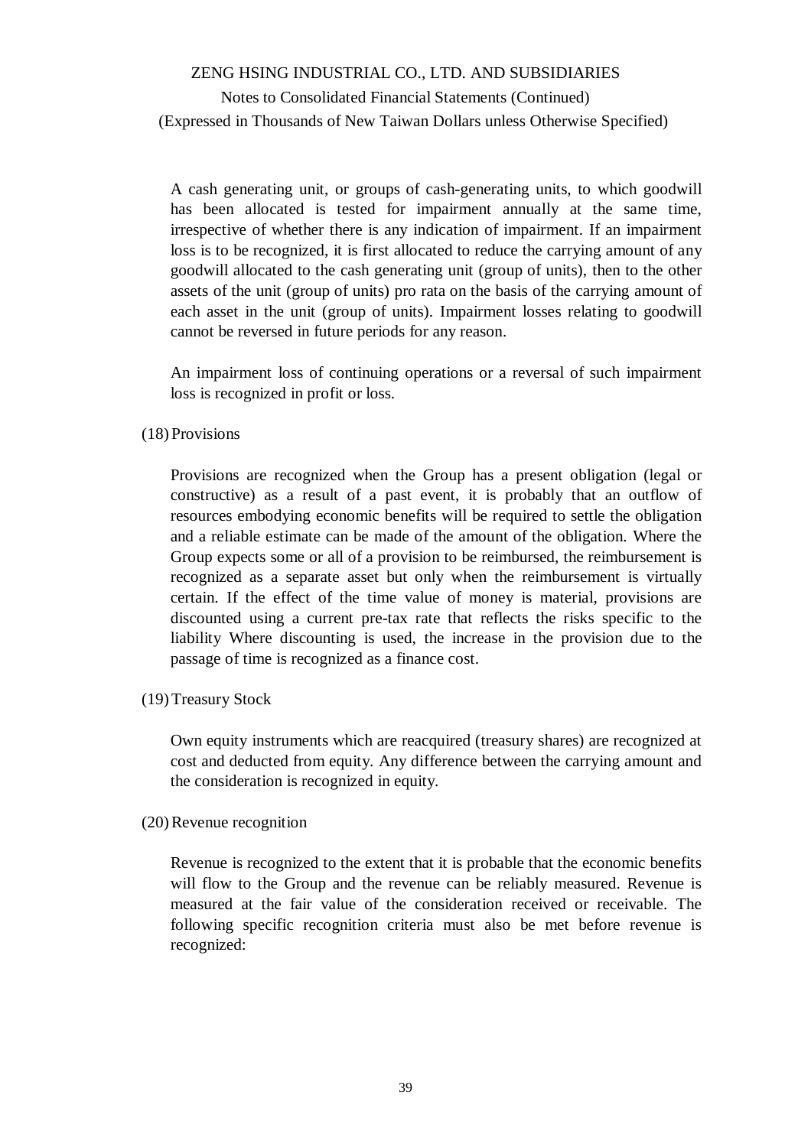A cash generating unit, or groups of cash-generating units, to which goodwill has been allocated is tested for impairment annually at the same time, irrespective of whether there is any indication of impairment. If an impairment loss is to be recognized, it is first allocated to reduce the carrying amount of any goodwill allocated to the cash generating unit (group of units), then to the other assets of the unit (group of units) pro rata on the basis of the carrying amount of each asset in the unit (group of units). Impairment losses relating to goodwill cannot be reversed in future periods for any reason.

An impairment loss of continuing operations or a reversal of such impairment loss is recognized in profit or loss.

(18) Provisions

Provisions are recognized when the Group has a present obligation (legal or constructive) as a result of a past event, it is probably that an outflow of resources embodying economic benefits will be required to settle the obligation and a reliable estimate can be made of the amount of the obligation. Where the Group expects some or all of a provision to be reimbursed, the reimbursement is recognized as a separate asset but only when the reimbursement is virtually certain. If the effect of the time value of money is material, provisions are discounted using a current pre-tax rate that reflects the risks specific to the liability Where discounting is used, the increase in the provision due to the passage of time is recognized as a finance cost.

(19)Treasury Stock

Own equity instruments which are reacquired (treasury shares) are recognized at cost and deducted from equity. Any difference between the carrying amount and the consideration is recognized in equity.

(20)Revenue recognition

Revenue is recognized to the extent that it is probable that the economic benefits will flow to the Group and the revenue can be reliably measured. Revenue is measured at the fair value of the consideration received or receivable. The following specific recognition criteria must also be met before revenue is recognized: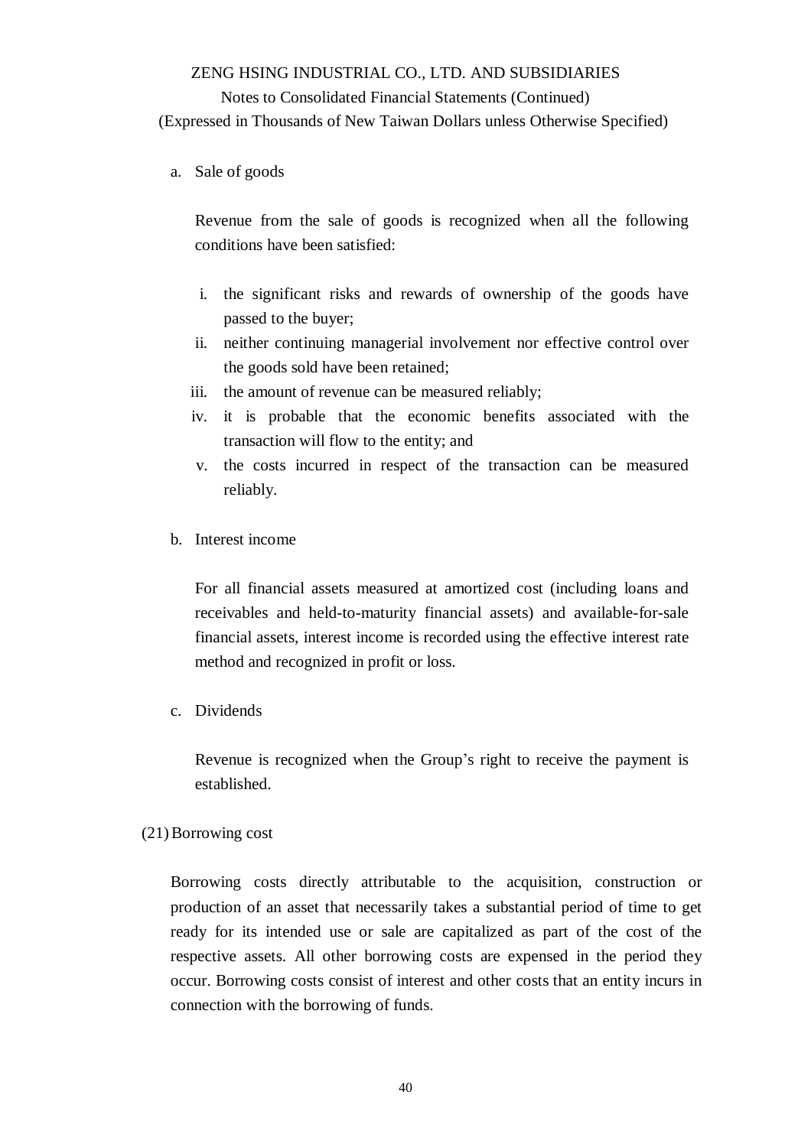# Notes to Consolidated Financial Statements (Continued) (Expressed in Thousands of New Taiwan Dollars unless Otherwise Specified)

a. Sale of goods

Revenue from the sale of goods is recognized when all the following conditions have been satisfied:

- i. the significant risks and rewards of ownership of the goods have passed to the buyer;
- ii. neither continuing managerial involvement nor effective control over the goods sold have been retained;
- iii. the amount of revenue can be measured reliably;
- iv. it is probable that the economic benefits associated with the transaction will flow to the entity; and
- v. the costs incurred in respect of the transaction can be measured reliably.
- b. Interest income

For all financial assets measured at amortized cost (including loans and receivables and held-to-maturity financial assets) and available-for-sale financial assets, interest income is recorded using the effective interest rate method and recognized in profit or loss.

c. Dividends

Revenue is recognized when the Group's right to receive the payment is established.

#### (21)Borrowing cost

Borrowing costs directly attributable to the acquisition, construction or production of an asset that necessarily takes a substantial period of time to get ready for its intended use or sale are capitalized as part of the cost of the respective assets. All other borrowing costs are expensed in the period they occur. Borrowing costs consist of interest and other costs that an entity incurs in connection with the borrowing of funds.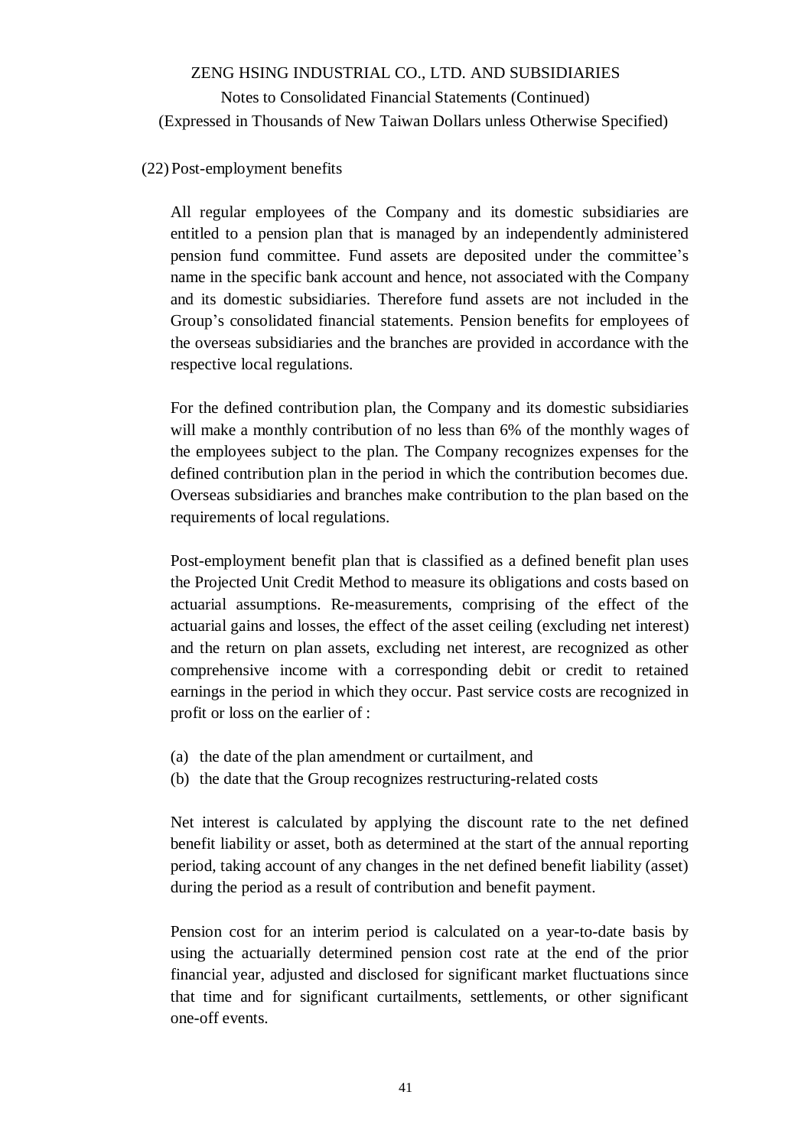#### (22) Post-employment benefits

All regular employees of the Company and its domestic subsidiaries are entitled to a pension plan that is managed by an independently administered pension fund committee. Fund assets are deposited under the committee's name in the specific bank account and hence, not associated with the Company and its domestic subsidiaries. Therefore fund assets are not included in the Group's consolidated financial statements. Pension benefits for employees of the overseas subsidiaries and the branches are provided in accordance with the respective local regulations.

For the defined contribution plan, the Company and its domestic subsidiaries will make a monthly contribution of no less than 6% of the monthly wages of the employees subject to the plan. The Company recognizes expenses for the defined contribution plan in the period in which the contribution becomes due. Overseas subsidiaries and branches make contribution to the plan based on the requirements of local regulations.

Post-employment benefit plan that is classified as a defined benefit plan uses the Projected Unit Credit Method to measure its obligations and costs based on actuarial assumptions. Re-measurements, comprising of the effect of the actuarial gains and losses, the effect of the asset ceiling (excluding net interest) and the return on plan assets, excluding net interest, are recognized as other comprehensive income with a corresponding debit or credit to retained earnings in the period in which they occur. Past service costs are recognized in profit or loss on the earlier of :

- (a) the date of the plan amendment or curtailment, and
- (b) the date that the Group recognizes restructuring-related costs

Net interest is calculated by applying the discount rate to the net defined benefit liability or asset, both as determined at the start of the annual reporting period, taking account of any changes in the net defined benefit liability (asset) during the period as a result of contribution and benefit payment.

Pension cost for an interim period is calculated on a year-to-date basis by using the actuarially determined pension cost rate at the end of the prior financial year, adjusted and disclosed for significant market fluctuations since that time and for significant curtailments, settlements, or other significant one-off events.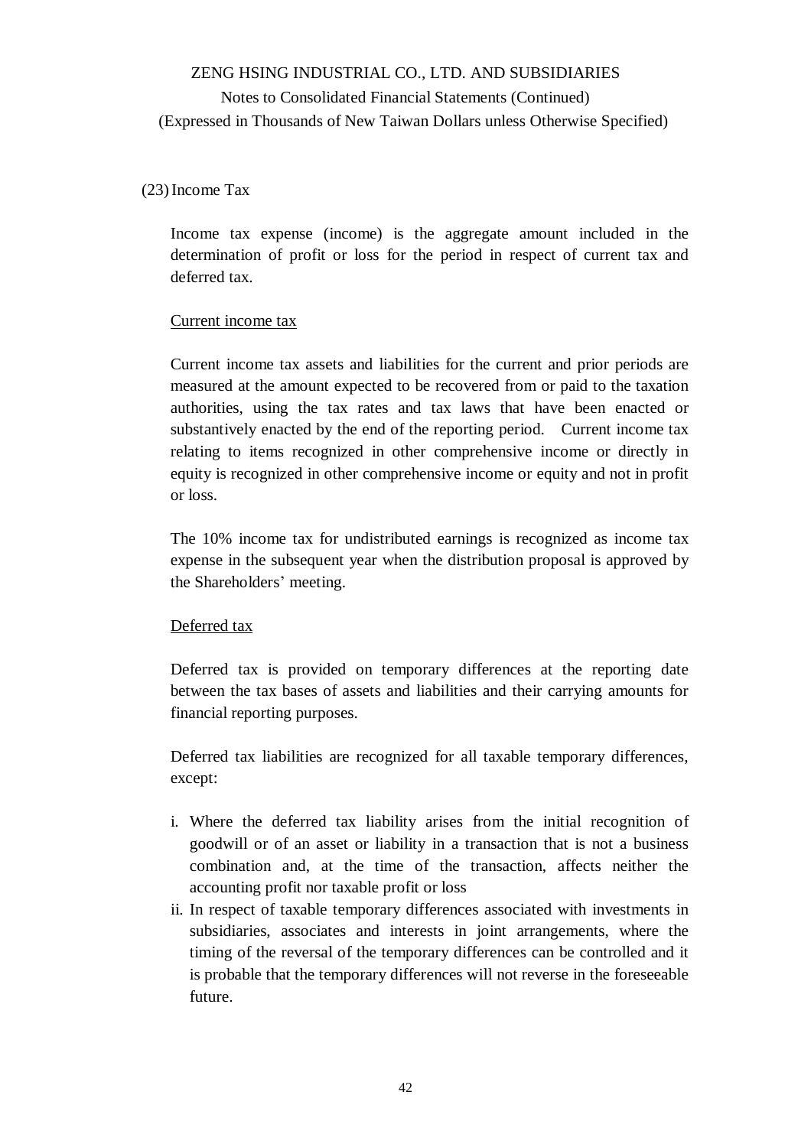### (23)Income Tax

Income tax expense (income) is the aggregate amount included in the determination of profit or loss for the period in respect of current tax and deferred tax.

### Current income tax

Current income tax assets and liabilities for the current and prior periods are measured at the amount expected to be recovered from or paid to the taxation authorities, using the tax rates and tax laws that have been enacted or substantively enacted by the end of the reporting period. Current income tax relating to items recognized in other comprehensive income or directly in equity is recognized in other comprehensive income or equity and not in profit or loss.

The 10% income tax for undistributed earnings is recognized as income tax expense in the subsequent year when the distribution proposal is approved by the Shareholders' meeting.

### Deferred tax

Deferred tax is provided on temporary differences at the reporting date between the tax bases of assets and liabilities and their carrying amounts for financial reporting purposes.

Deferred tax liabilities are recognized for all taxable temporary differences, except:

- i. Where the deferred tax liability arises from the initial recognition of goodwill or of an asset or liability in a transaction that is not a business combination and, at the time of the transaction, affects neither the accounting profit nor taxable profit or loss
- ii. In respect of taxable temporary differences associated with investments in subsidiaries, associates and interests in joint arrangements, where the timing of the reversal of the temporary differences can be controlled and it is probable that the temporary differences will not reverse in the foreseeable future.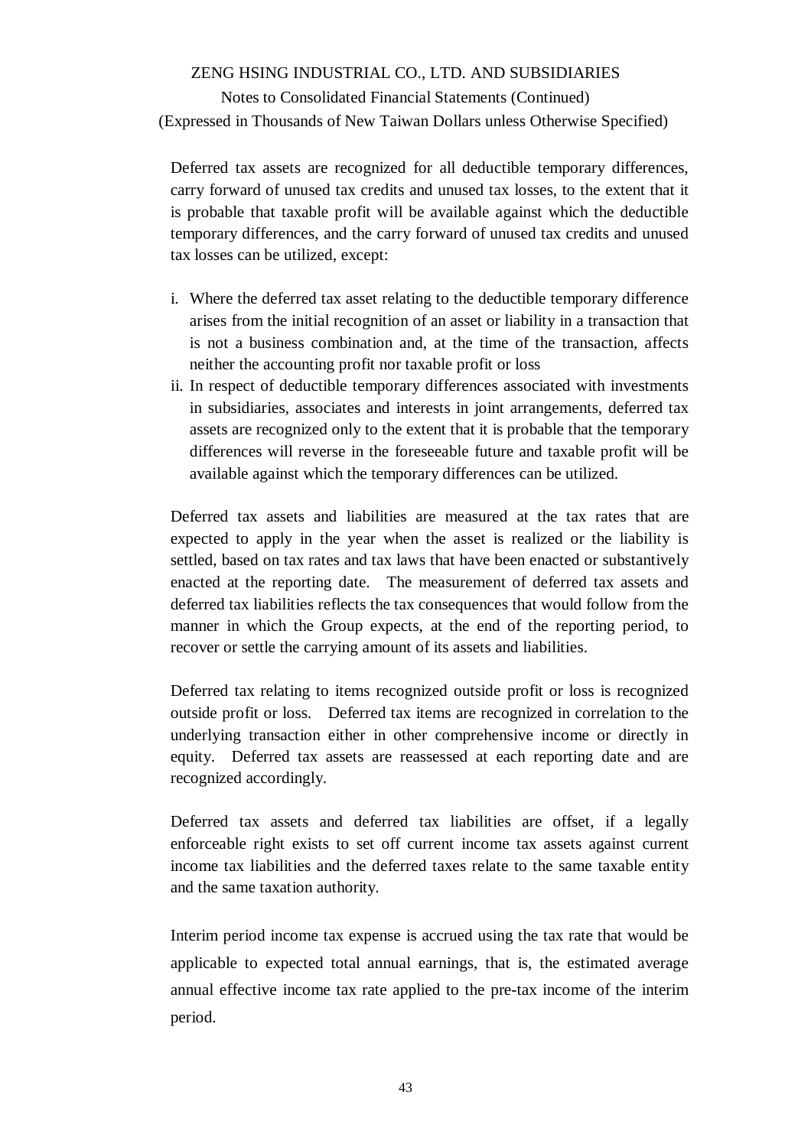# Notes to Consolidated Financial Statements (Continued) (Expressed in Thousands of New Taiwan Dollars unless Otherwise Specified)

Deferred tax assets are recognized for all deductible temporary differences, carry forward of unused tax credits and unused tax losses, to the extent that it is probable that taxable profit will be available against which the deductible temporary differences, and the carry forward of unused tax credits and unused tax losses can be utilized, except:

- i. Where the deferred tax asset relating to the deductible temporary difference arises from the initial recognition of an asset or liability in a transaction that is not a business combination and, at the time of the transaction, affects neither the accounting profit nor taxable profit or loss
- ii. In respect of deductible temporary differences associated with investments in subsidiaries, associates and interests in joint arrangements, deferred tax assets are recognized only to the extent that it is probable that the temporary differences will reverse in the foreseeable future and taxable profit will be available against which the temporary differences can be utilized.

Deferred tax assets and liabilities are measured at the tax rates that are expected to apply in the year when the asset is realized or the liability is settled, based on tax rates and tax laws that have been enacted or substantively enacted at the reporting date. The measurement of deferred tax assets and deferred tax liabilities reflects the tax consequences that would follow from the manner in which the Group expects, at the end of the reporting period, to recover or settle the carrying amount of its assets and liabilities.

Deferred tax relating to items recognized outside profit or loss is recognized outside profit or loss. Deferred tax items are recognized in correlation to the underlying transaction either in other comprehensive income or directly in equity. Deferred tax assets are reassessed at each reporting date and are recognized accordingly.

Deferred tax assets and deferred tax liabilities are offset, if a legally enforceable right exists to set off current income tax assets against current income tax liabilities and the deferred taxes relate to the same taxable entity and the same taxation authority.

Interim period income tax expense is accrued using the tax rate that would be applicable to expected total annual earnings, that is, the estimated average annual effective income tax rate applied to the pre-tax income of the interim period.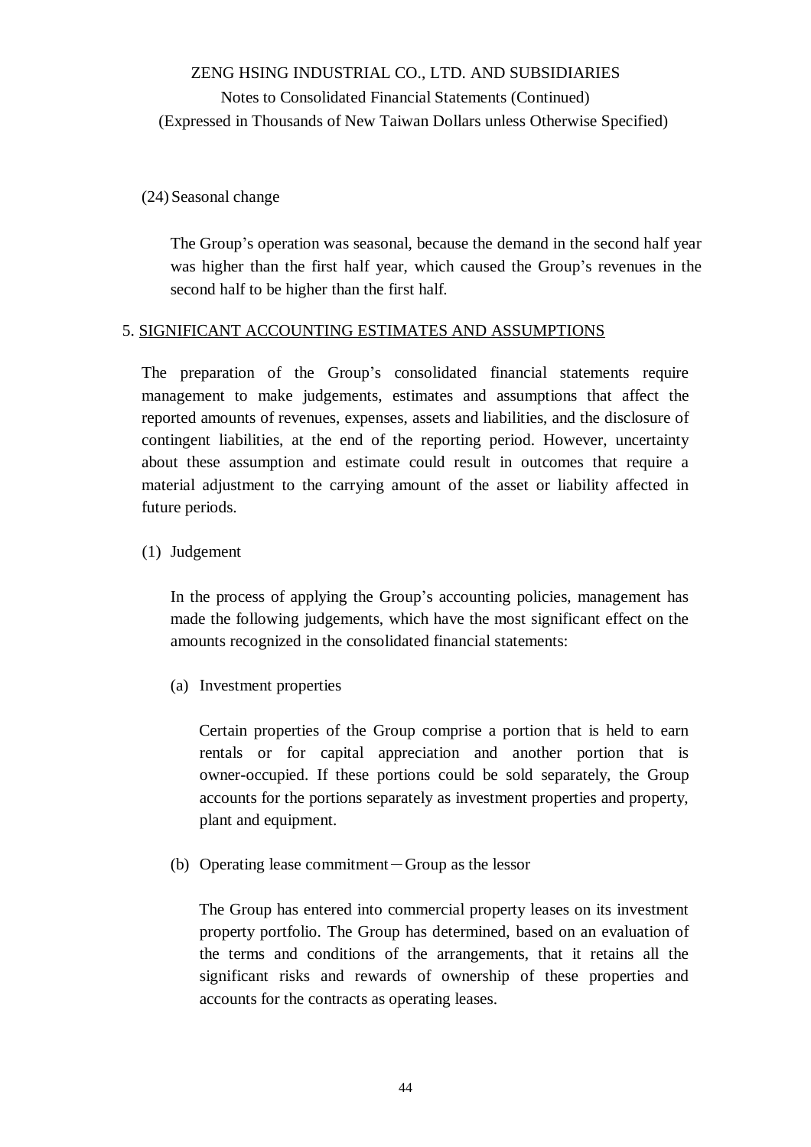### (24) Seasonal change

The Group's operation was seasonal, because the demand in the second half year was higher than the first half year, which caused the Group's revenues in the second half to be higher than the first half.

### 5. SIGNIFICANT ACCOUNTING ESTIMATES AND ASSUMPTIONS

The preparation of the Group's consolidated financial statements require management to make judgements, estimates and assumptions that affect the reported amounts of revenues, expenses, assets and liabilities, and the disclosure of contingent liabilities, at the end of the reporting period. However, uncertainty about these assumption and estimate could result in outcomes that require a material adjustment to the carrying amount of the asset or liability affected in future periods.

### (1) Judgement

In the process of applying the Group's accounting policies, management has made the following judgements, which have the most significant effect on the amounts recognized in the consolidated financial statements:

(a) Investment properties

Certain properties of the Group comprise a portion that is held to earn rentals or for capital appreciation and another portion that is owner-occupied. If these portions could be sold separately, the Group accounts for the portions separately as investment properties and property, plant and equipment.

(b) Operating lease commitment $-Group$  as the lessor

The Group has entered into commercial property leases on its investment property portfolio. The Group has determined, based on an evaluation of the terms and conditions of the arrangements, that it retains all the significant risks and rewards of ownership of these properties and accounts for the contracts as operating leases.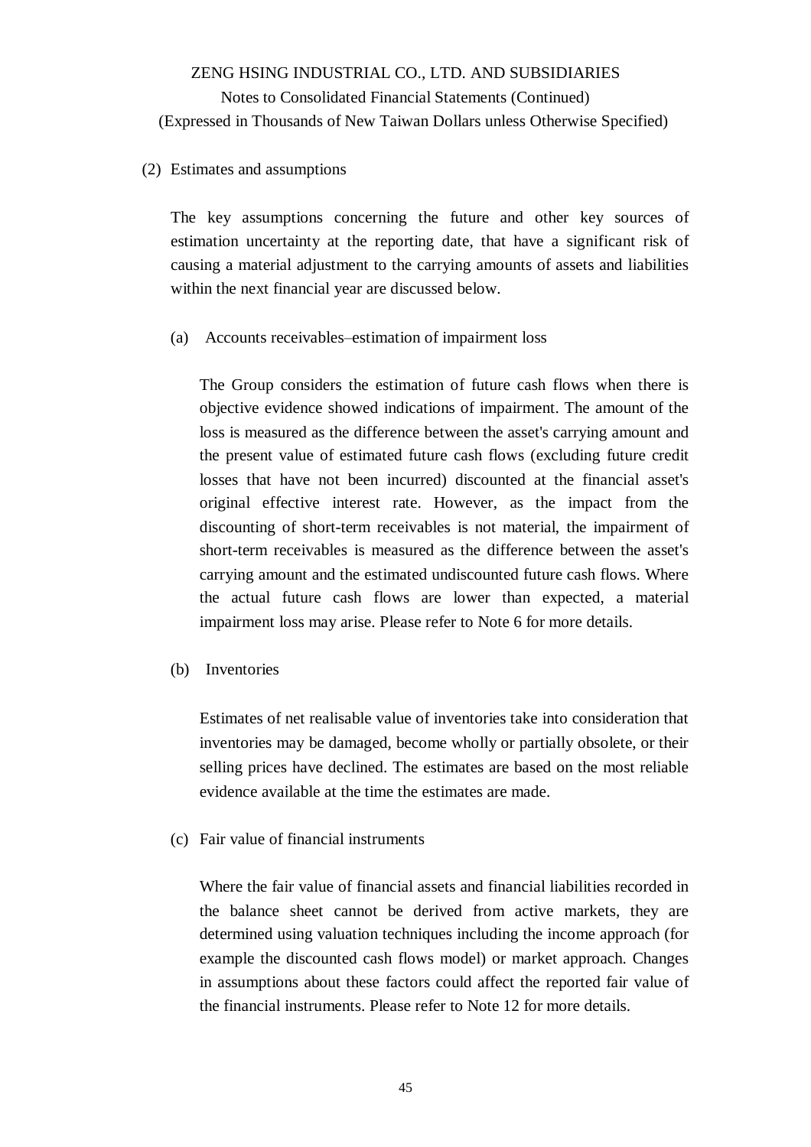#### (2) Estimates and assumptions

The key assumptions concerning the future and other key sources of estimation uncertainty at the reporting date, that have a significant risk of causing a material adjustment to the carrying amounts of assets and liabilities within the next financial year are discussed below.

#### (a) Accounts receivables–estimation of impairment loss

The Group considers the estimation of future cash flows when there is objective evidence showed indications of impairment. The amount of the loss is measured as the difference between the asset's carrying amount and the present value of estimated future cash flows (excluding future credit losses that have not been incurred) discounted at the financial asset's original effective interest rate. However, as the impact from the discounting of short-term receivables is not material, the impairment of short-term receivables is measured as the difference between the asset's carrying amount and the estimated undiscounted future cash flows. Where the actual future cash flows are lower than expected, a material impairment loss may arise. Please refer to Note 6 for more details.

#### (b) Inventories

Estimates of net realisable value of inventories take into consideration that inventories may be damaged, become wholly or partially obsolete, or their selling prices have declined. The estimates are based on the most reliable evidence available at the time the estimates are made.

#### (c) Fair value of financial instruments

Where the fair value of financial assets and financial liabilities recorded in the balance sheet cannot be derived from active markets, they are determined using valuation techniques including the income approach (for example the discounted cash flows model) or market approach. Changes in assumptions about these factors could affect the reported fair value of the financial instruments. Please refer to Note 12 for more details.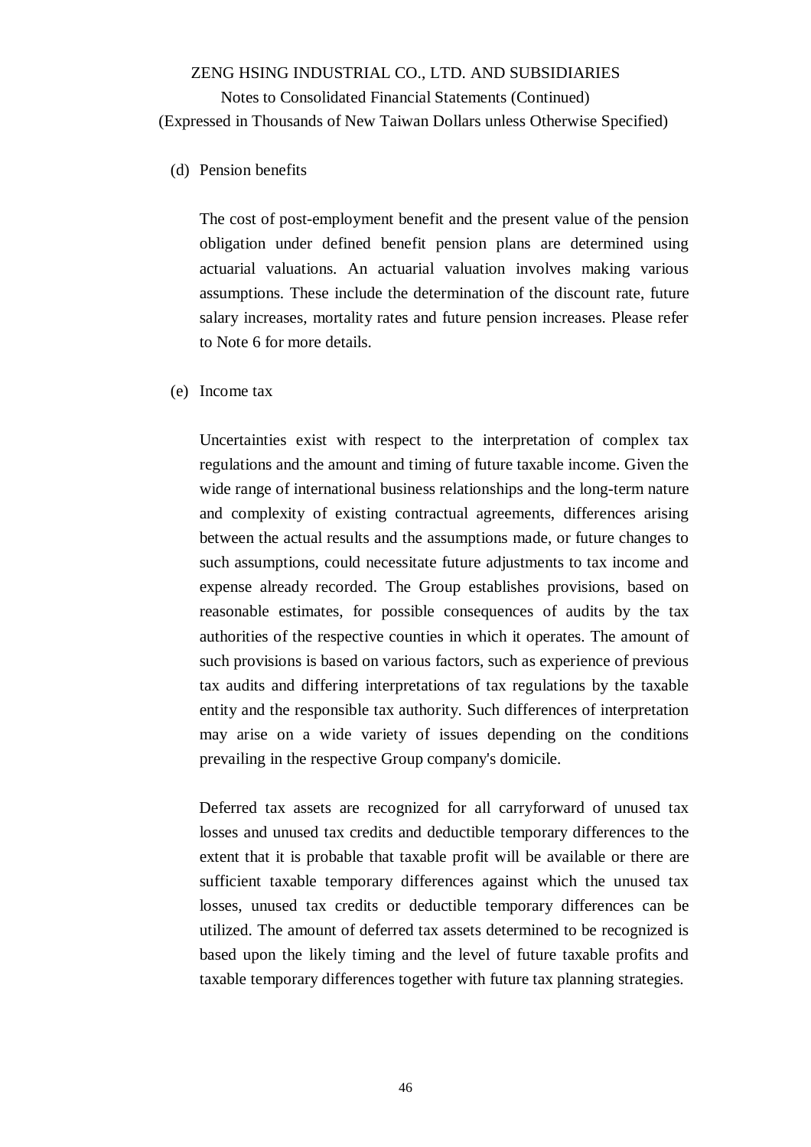#### (d) Pension benefits

The cost of post-employment benefit and the present value of the pension obligation under defined benefit pension plans are determined using actuarial valuations. An actuarial valuation involves making various assumptions. These include the determination of the discount rate, future salary increases, mortality rates and future pension increases. Please refer to Note 6 for more details.

#### (e) Income tax

Uncertainties exist with respect to the interpretation of complex tax regulations and the amount and timing of future taxable income. Given the wide range of international business relationships and the long-term nature and complexity of existing contractual agreements, differences arising between the actual results and the assumptions made, or future changes to such assumptions, could necessitate future adjustments to tax income and expense already recorded. The Group establishes provisions, based on reasonable estimates, for possible consequences of audits by the tax authorities of the respective counties in which it operates. The amount of such provisions is based on various factors, such as experience of previous tax audits and differing interpretations of tax regulations by the taxable entity and the responsible tax authority. Such differences of interpretation may arise on a wide variety of issues depending on the conditions prevailing in the respective Group company's domicile.

Deferred tax assets are recognized for all carryforward of unused tax losses and unused tax credits and deductible temporary differences to the extent that it is probable that taxable profit will be available or there are sufficient taxable temporary differences against which the unused tax losses, unused tax credits or deductible temporary differences can be utilized. The amount of deferred tax assets determined to be recognized is based upon the likely timing and the level of future taxable profits and taxable temporary differences together with future tax planning strategies.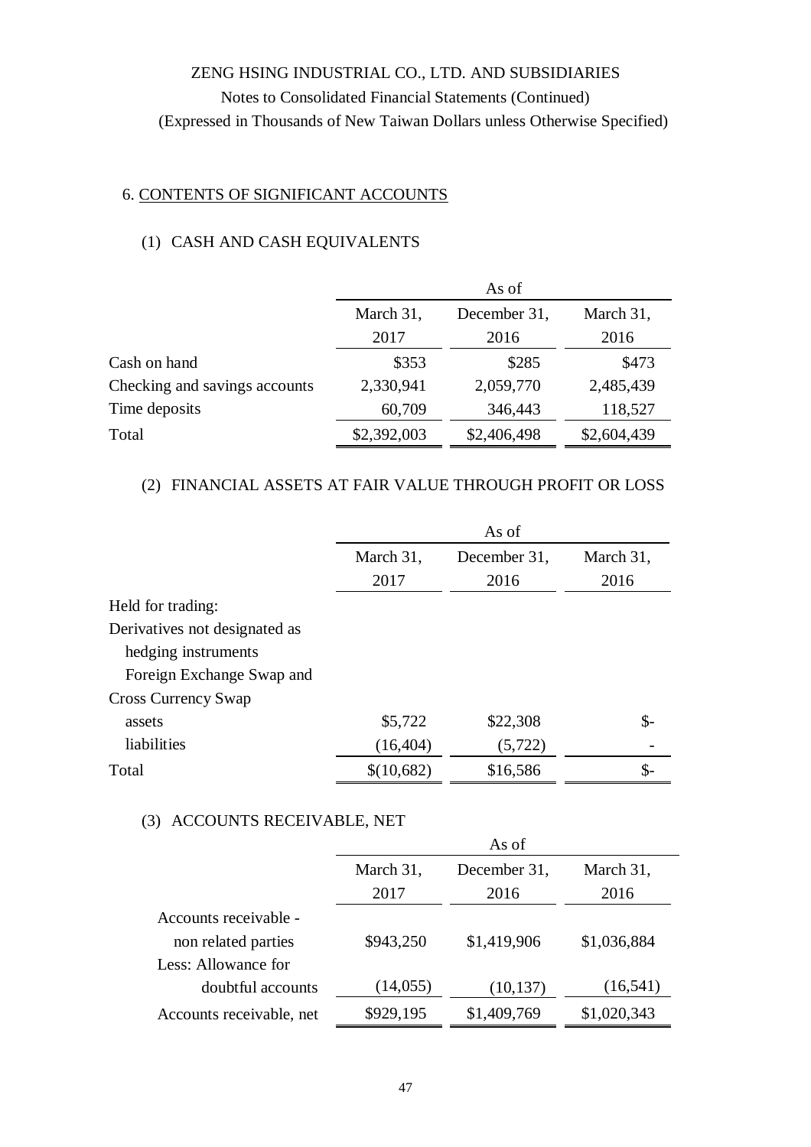### 6. CONTENTS OF SIGNIFICANT ACCOUNTS

### (1) CASH AND CASH EQUIVALENTS

|                               | As of       |              |             |  |  |  |
|-------------------------------|-------------|--------------|-------------|--|--|--|
|                               | March 31,   | December 31, | March 31,   |  |  |  |
|                               | 2017        | 2016         | 2016        |  |  |  |
| Cash on hand                  | \$353       | \$285        | \$473       |  |  |  |
| Checking and savings accounts | 2,330,941   | 2,059,770    | 2,485,439   |  |  |  |
| Time deposits                 | 60,709      | 346,443      | 118,527     |  |  |  |
| Total                         | \$2,392,003 | \$2,406,498  | \$2,604,439 |  |  |  |

### (2) FINANCIAL ASSETS AT FAIR VALUE THROUGH PROFIT OR LOSS

|                               |            | As of        |           |
|-------------------------------|------------|--------------|-----------|
|                               | March 31,  | December 31, | March 31, |
|                               | 2017       | 2016         | 2016      |
| Held for trading:             |            |              |           |
| Derivatives not designated as |            |              |           |
| hedging instruments           |            |              |           |
| Foreign Exchange Swap and     |            |              |           |
| <b>Cross Currency Swap</b>    |            |              |           |
| assets                        | \$5,722    | \$22,308     | \$-       |
| liabilities                   | (16, 404)  | (5, 722)     |           |
| Total                         | \$(10,682) | \$16,586     | \$-       |

#### (3) ACCOUNTS RECEIVABLE, NET

|                          |           | As of        |             |
|--------------------------|-----------|--------------|-------------|
|                          | March 31, | December 31, | March 31,   |
|                          | 2017      | 2016         | 2016        |
| Accounts receivable -    |           |              |             |
| non related parties      | \$943,250 | \$1,419,906  | \$1,036,884 |
| Less: Allowance for      |           |              |             |
| doubtful accounts        | (14, 055) | (10, 137)    | (16, 541)   |
| Accounts receivable, net | \$929,195 | \$1,409,769  | \$1,020,343 |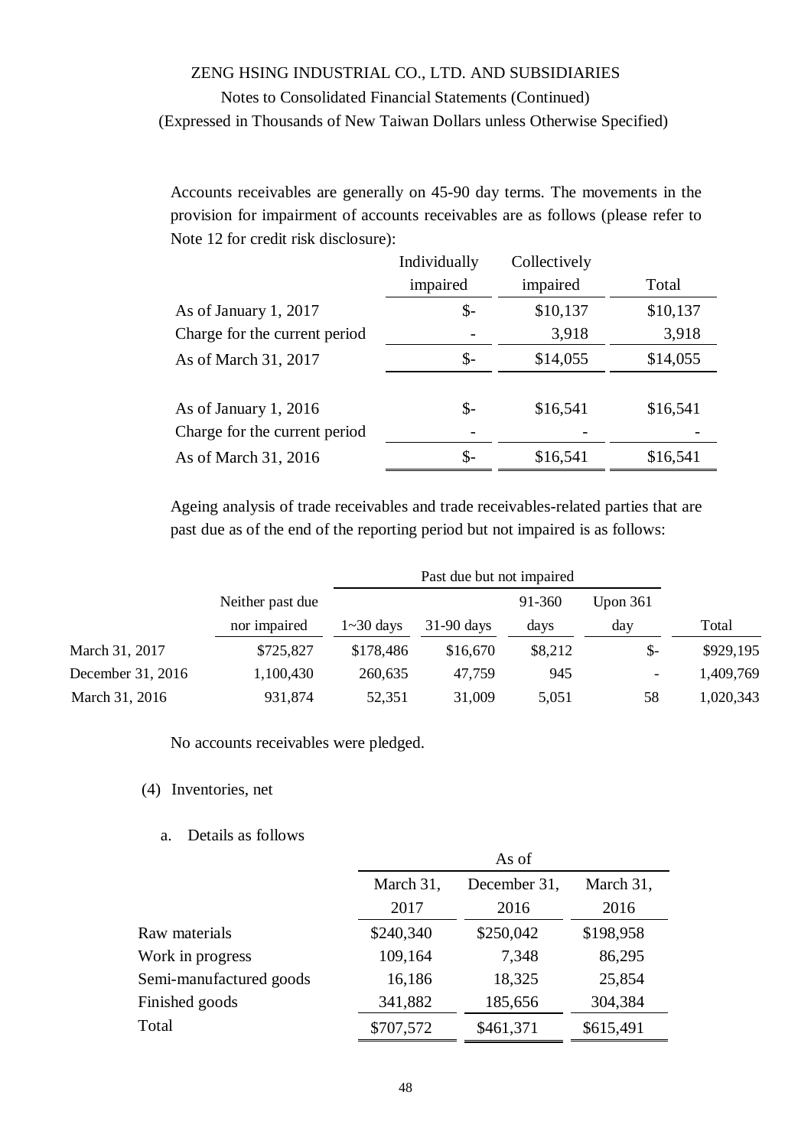# Notes to Consolidated Financial Statements (Continued) (Expressed in Thousands of New Taiwan Dollars unless Otherwise Specified)

Accounts receivables are generally on 45-90 day terms. The movements in the provision for impairment of accounts receivables are as follows (please refer to Note 12 for credit risk disclosure):

|                               | Individually    | Collectively |          |
|-------------------------------|-----------------|--------------|----------|
|                               | impaired        | impaired     | Total    |
| As of January 1, 2017         | $\mathcal{S}$ - | \$10,137     | \$10,137 |
| Charge for the current period |                 | 3,918        | 3,918    |
| As of March 31, 2017          | \$-             | \$14,055     | \$14,055 |
|                               |                 |              |          |
| As of January 1, 2016         | $\mathcal{S}$ - | \$16,541     | \$16,541 |
| Charge for the current period |                 |              |          |
| As of March 31, 2016          | \$-             | \$16,541     | \$16,541 |

Ageing analysis of trade receivables and trade receivables-related parties that are past due as of the end of the reporting period but not impaired is as follows:

|                   |                  |                  | Past due but not impaired |         |                |           |
|-------------------|------------------|------------------|---------------------------|---------|----------------|-----------|
|                   | Neither past due |                  |                           | 91-360  | Upon $361$     |           |
|                   | nor impaired     | $1 \sim 30$ days | $31-90$ days              | days    | day            | Total     |
| March 31, 2017    | \$725,827        | \$178,486        | \$16,670                  | \$8,212 | $\mathbb{S}^-$ | \$929,195 |
| December 31, 2016 | 1,100,430        | 260,635          | 47,759                    | 945     |                | 1,409,769 |
| March 31, 2016    | 931,874          | 52,351           | 31,009                    | 5,051   | 58             | 1,020,343 |

No accounts receivables were pledged.

#### (4) Inventories, net

a. Details as follows

|                         |           | As of        |           |
|-------------------------|-----------|--------------|-----------|
|                         | March 31, | December 31, | March 31, |
|                         | 2017      | 2016         | 2016      |
| Raw materials           | \$240,340 | \$250,042    | \$198,958 |
| Work in progress        | 109,164   | 7,348        | 86,295    |
| Semi-manufactured goods | 16,186    | 18,325       | 25,854    |
| Finished goods          | 341,882   | 185,656      | 304,384   |
| Total                   | \$707,572 | \$461,371    | \$615,491 |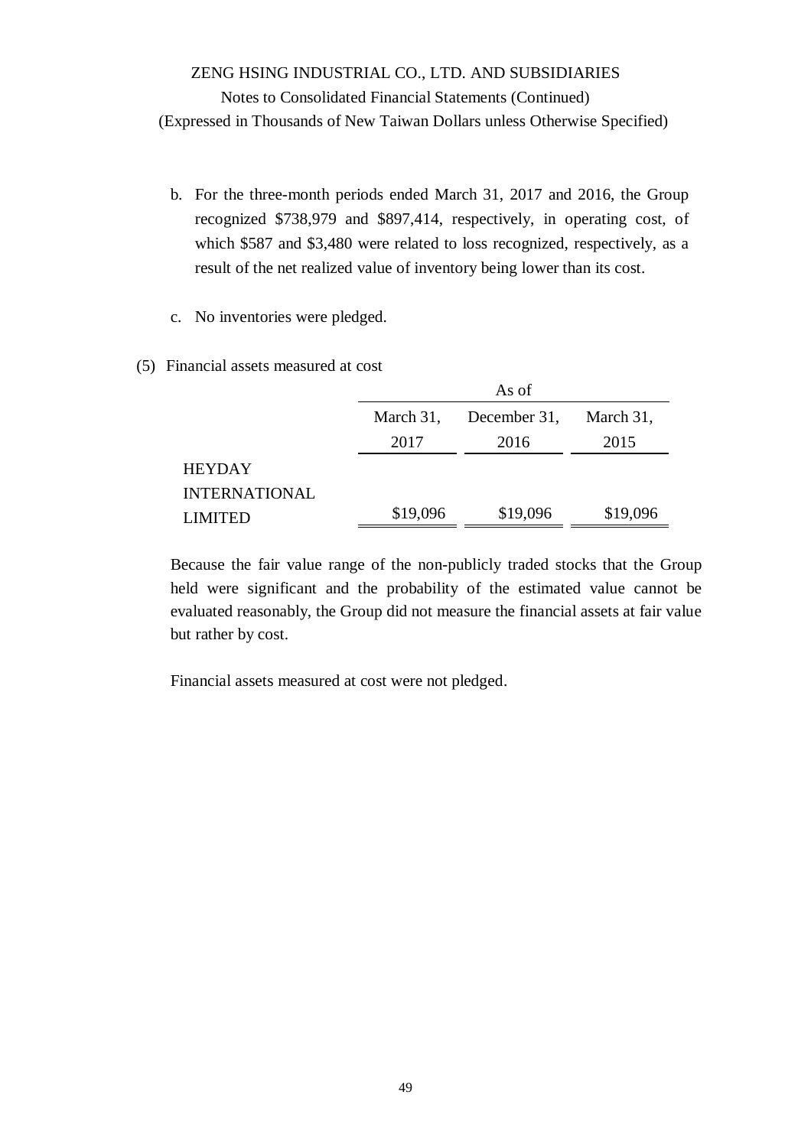Notes to Consolidated Financial Statements (Continued) (Expressed in Thousands of New Taiwan Dollars unless Otherwise Specified)

- b. For the three-month periods ended March 31, 2017 and 2016, the Group recognized \$738,979 and \$897,414, respectively, in operating cost, of which \$587 and \$3,480 were related to loss recognized, respectively, as a result of the net realized value of inventory being lower than its cost.
- c. No inventories were pledged.
- (5) Financial assets measured at cost

|                      | As of     |              |           |  |  |  |
|----------------------|-----------|--------------|-----------|--|--|--|
|                      | March 31, | December 31, | March 31, |  |  |  |
|                      | 2017      | 2016         | 2015      |  |  |  |
| <b>HEYDAY</b>        |           |              |           |  |  |  |
| <b>INTERNATIONAL</b> |           |              |           |  |  |  |
| <b>LIMITED</b>       | \$19,096  | \$19,096     | \$19,096  |  |  |  |

Because the fair value range of the non-publicly traded stocks that the Group held were significant and the probability of the estimated value cannot be evaluated reasonably, the Group did not measure the financial assets at fair value but rather by cost.

Financial assets measured at cost were not pledged.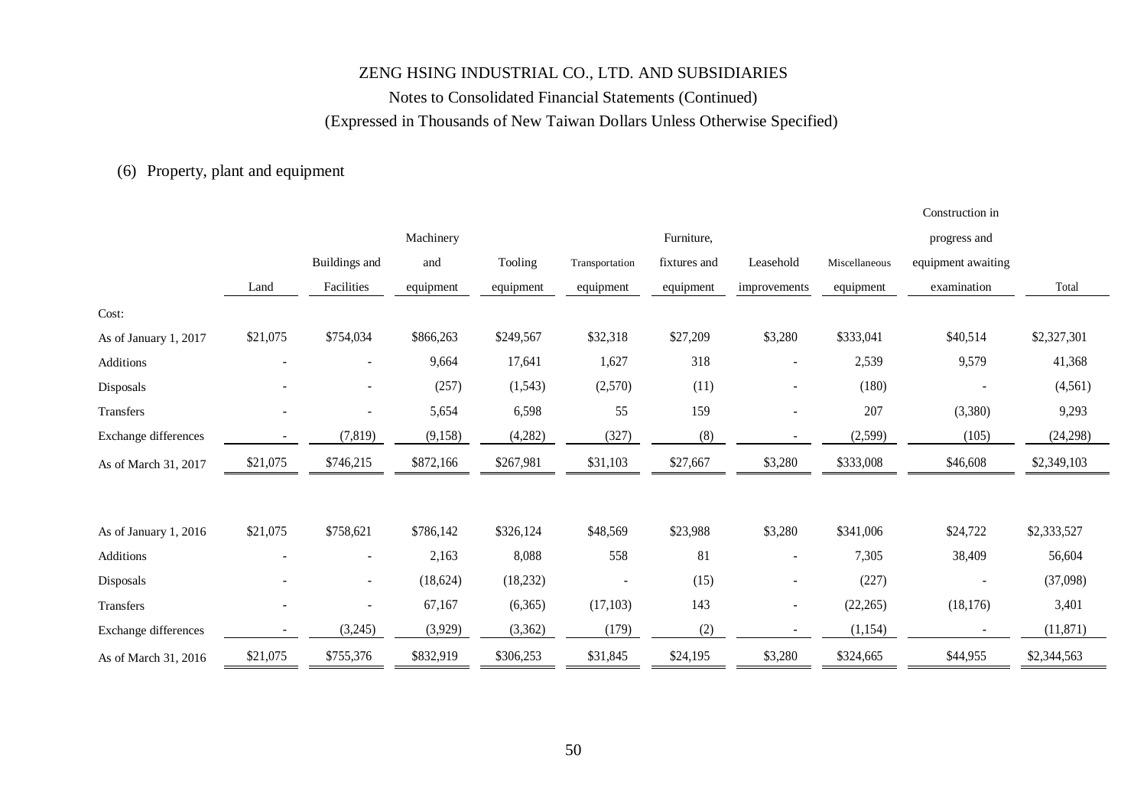# Notes to Consolidated Financial Statements (Continued) (Expressed in Thousands of New Taiwan Dollars Unless Otherwise Specified)

### (6) Property, plant and equipment

|                       |          |                          |           |           |                |              |                          |               | Construction in    |             |
|-----------------------|----------|--------------------------|-----------|-----------|----------------|--------------|--------------------------|---------------|--------------------|-------------|
|                       |          |                          | Machinery |           |                | Furniture,   |                          |               | progress and       |             |
|                       |          | Buildings and            | and       | Tooling   | Transportation | fixtures and | Leasehold                | Miscellaneous | equipment awaiting |             |
|                       | Land     | Facilities               | equipment | equipment | equipment      | equipment    | improvements             | equipment     | examination        | Total       |
| Cost:                 |          |                          |           |           |                |              |                          |               |                    |             |
| As of January 1, 2017 | \$21,075 | \$754,034                | \$866,263 | \$249,567 | \$32,318       | \$27,209     | \$3,280                  | \$333,041     | \$40,514           | \$2,327,301 |
| Additions             |          | $\overline{\phantom{a}}$ | 9,664     | 17,641    | 1,627          | 318          | $\overline{\phantom{a}}$ | 2,539         | 9,579              | 41,368      |
| Disposals             |          | $\overline{\phantom{a}}$ | (257)     | (1,543)   | (2,570)        | (11)         |                          | (180)         |                    | (4, 561)    |
| Transfers             |          |                          | 5,654     | 6,598     | 55             | 159          |                          | 207           | (3,380)            | 9,293       |
| Exchange differences  |          | (7, 819)                 | (9,158)   | (4,282)   | (327)          | (8)          |                          | (2,599)       | (105)              | (24, 298)   |
| As of March 31, 2017  | \$21,075 | \$746,215                | \$872,166 | \$267,981 | \$31,103       | \$27,667     | \$3,280                  | \$333,008     | \$46,608           | \$2,349,103 |
|                       |          |                          |           |           |                |              |                          |               |                    |             |
| As of January 1, 2016 | \$21,075 | \$758,621                | \$786,142 | \$326,124 | \$48,569       | \$23,988     | \$3,280                  | \$341,006     | \$24,722           | \$2,333,527 |
| Additions             |          | $\overline{\phantom{a}}$ | 2,163     | 8,088     | 558            | 81           |                          | 7,305         | 38,409             | 56,604      |
| Disposals             |          | $\overline{\phantom{a}}$ | (18, 624) | (18, 232) |                | (15)         |                          | (227)         |                    | (37,098)    |
| Transfers             |          | $\overline{a}$           | 67,167    | (6,365)   | (17,103)       | 143          | $\overline{\phantom{a}}$ | (22, 265)     | (18, 176)          | 3,401       |
| Exchange differences  |          | (3,245)                  | (3,929)   | (3,362)   | (179)          | (2)          |                          | (1,154)       |                    | (11, 871)   |
| As of March 31, 2016  | \$21,075 | \$755,376                | \$832,919 | \$306,253 | \$31,845       | \$24,195     | \$3,280                  | \$324,665     | \$44,955           | \$2,344,563 |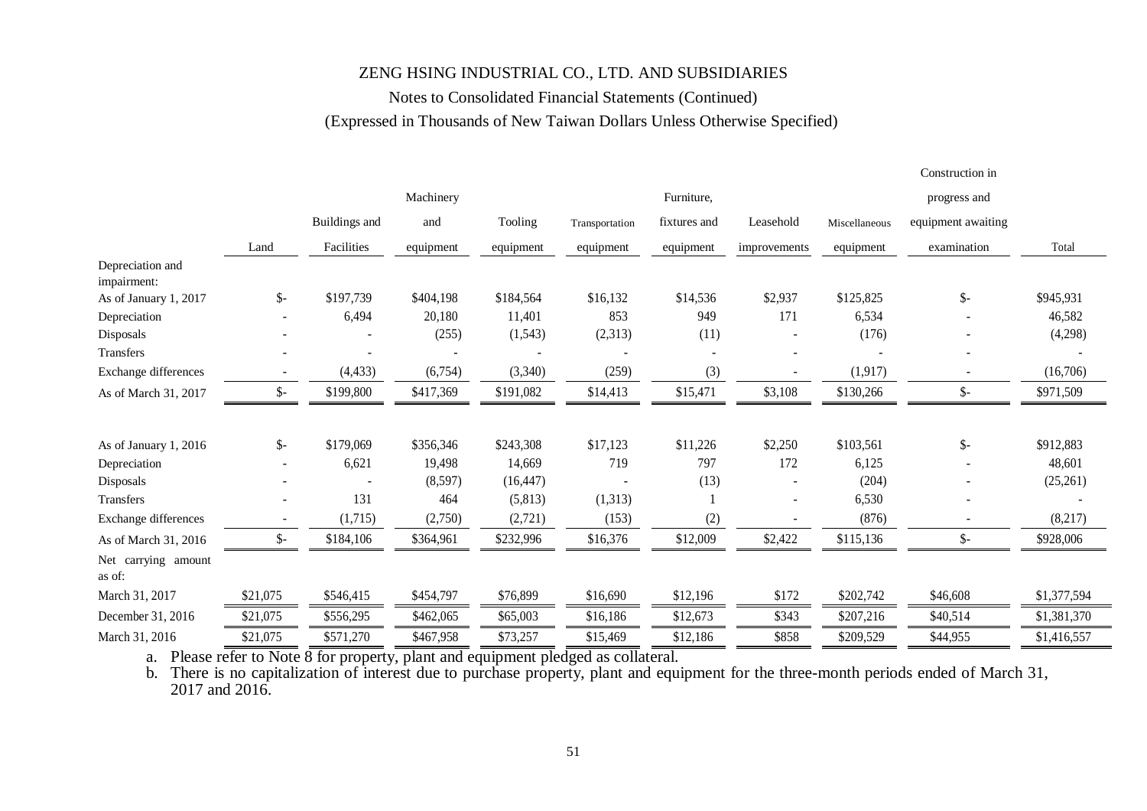# Notes to Consolidated Financial Statements (Continued) (Expressed in Thousands of New Taiwan Dollars Unless Otherwise Specified)

Construction in

|                                 |                 |               | Machinery |           |                | Furniture,   |                |               | progress and       |             |
|---------------------------------|-----------------|---------------|-----------|-----------|----------------|--------------|----------------|---------------|--------------------|-------------|
|                                 |                 | Buildings and | and       | Tooling   | Transportation | fixtures and | Leasehold      | Miscellaneous | equipment awaiting |             |
|                                 | Land            | Facilities    | equipment | equipment | equipment      | equipment    | improvements   | equipment     | examination        | Total       |
| Depreciation and<br>impairment: |                 |               |           |           |                |              |                |               |                    |             |
| As of January 1, 2017           | $\mathsf{S}$ -  | \$197,739     | \$404,198 | \$184,564 | \$16,132       | \$14,536     | \$2,937        | \$125,825     | $\mathsf{S}$ -     | \$945,931   |
| Depreciation                    |                 | 6,494         | 20,180    | 11,401    | 853            | 949          | 171            | 6,534         |                    | 46,582      |
| Disposals                       |                 |               | (255)     | (1,543)   | (2,313)        | (11)         |                | (176)         |                    | (4,298)     |
| Transfers                       |                 |               |           |           |                |              |                |               |                    |             |
| Exchange differences            |                 | (4, 433)      | (6,754)   | (3,340)   | (259)          | (3)          |                | (1, 917)      |                    | (16,706)    |
| As of March 31, 2017            | $\mathcal{S}$ - | \$199,800     | \$417,369 | \$191,082 | \$14,413       | \$15,471     | \$3,108        | \$130,266     | \$-                | \$971,509   |
| As of January 1, 2016           | $\mathsf{S}$ -  | \$179,069     | \$356,346 | \$243,308 | \$17,123       | \$11,226     | \$2,250        | \$103,561     | \$-                | \$912,883   |
| Depreciation                    |                 | 6,621         | 19,498    | 14,669    | 719            | 797          | 172            | 6,125         |                    | 48,601      |
| Disposals                       |                 |               | (8,597)   | (16, 447) |                | (13)         |                | (204)         |                    | (25,261)    |
| Transfers                       |                 | 131           | 464       | (5,813)   | (1,313)        |              |                | 6,530         |                    |             |
| Exchange differences            |                 | (1,715)       | (2,750)   | (2,721)   | (153)          | (2)          | $\blacksquare$ | (876)         |                    | (8,217)     |
| As of March 31, 2016            | \$-             | \$184,106     | \$364,961 | \$232,996 | \$16,376       | \$12,009     | \$2,422        | \$115,136     | \$-                | \$928,006   |
| Net carrying amount<br>as of:   |                 |               |           |           |                |              |                |               |                    |             |
| March 31, 2017                  | \$21,075        | \$546,415     | \$454,797 | \$76,899  | \$16,690       | \$12,196     | \$172          | \$202,742     | \$46,608           | \$1,377,594 |
| December 31, 2016               | \$21,075        | \$556,295     | \$462,065 | \$65,003  | \$16,186       | \$12,673     | \$343          | \$207,216     | \$40,514           | \$1,381,370 |
| March 31, 2016                  | \$21,075        | \$571,270     | \$467,958 | \$73,257  | \$15,469       | \$12,186     | \$858          | \$209,529     | \$44,955           | \$1,416,557 |

a. Please refer to Note 8 for property, plant and equipment pledged as collateral.

b. There is no capitalization of interest due to purchase property, plant and equipment for the three-month periods ended of March 31, 2017 and 2016.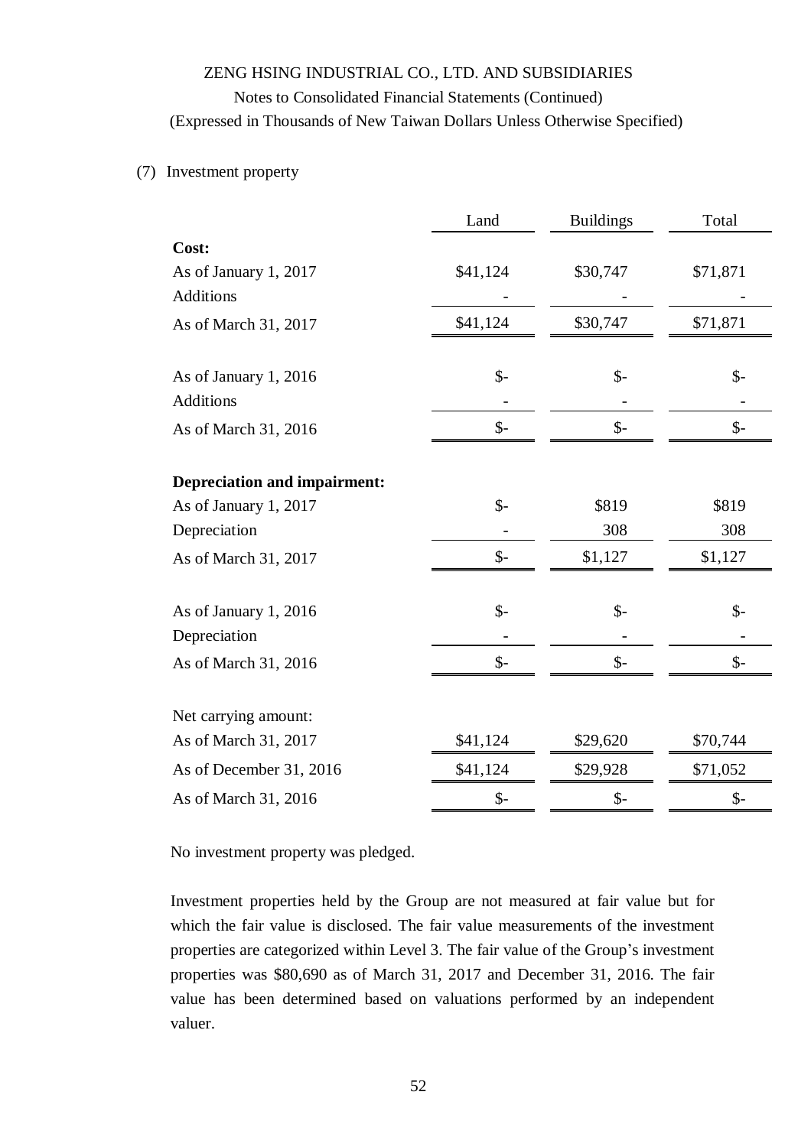### (7) Investment property

|                                       | Land            | <b>Buildings</b> | Total           |
|---------------------------------------|-----------------|------------------|-----------------|
| Cost:                                 |                 |                  |                 |
| As of January 1, 2017                 | \$41,124        | \$30,747         | \$71,871        |
| <b>Additions</b>                      |                 |                  |                 |
| As of March 31, 2017                  | \$41,124        | \$30,747         | \$71,871        |
| As of January 1, 2016                 | $\mathcal{S}$ - | $\mathsf{S}$ -   | $\mathcal{S}$ - |
| <b>Additions</b>                      |                 |                  |                 |
| As of March 31, 2016                  | $\mathcal{S}$ - | $\mathcal{S}$ -  | $\mathcal{S}$ - |
| <b>Depreciation and impairment:</b>   |                 |                  |                 |
| As of January 1, 2017                 | $\mathcal{S}$ - | \$819            | \$819           |
| Depreciation                          |                 | 308              | 308             |
| As of March 31, 2017                  | $\mathcal{S}$ - | \$1,127          | \$1,127         |
| As of January 1, 2016<br>Depreciation | $\mathcal{S}$ - | $\mathsf{S}$ -   | $\mathcal{S}$ - |
| As of March 31, 2016                  | $\mathcal{S}$ - | $\mathsf{S}$ -   | $\mathcal{S}$ - |
| Net carrying amount:                  |                 |                  |                 |
| As of March 31, 2017                  | \$41,124        | \$29,620         | \$70,744        |
| As of December 31, 2016               | \$41,124        | \$29,928         | \$71,052        |
| As of March 31, 2016                  | \$-             | \$-              | $\mathcal{S}$ - |

No investment property was pledged.

Investment properties held by the Group are not measured at fair value but for which the fair value is disclosed. The fair value measurements of the investment properties are categorized within Level 3. The fair value of the Group's investment properties was \$80,690 as of March 31, 2017 and December 31, 2016. The fair value has been determined based on valuations performed by an independent valuer.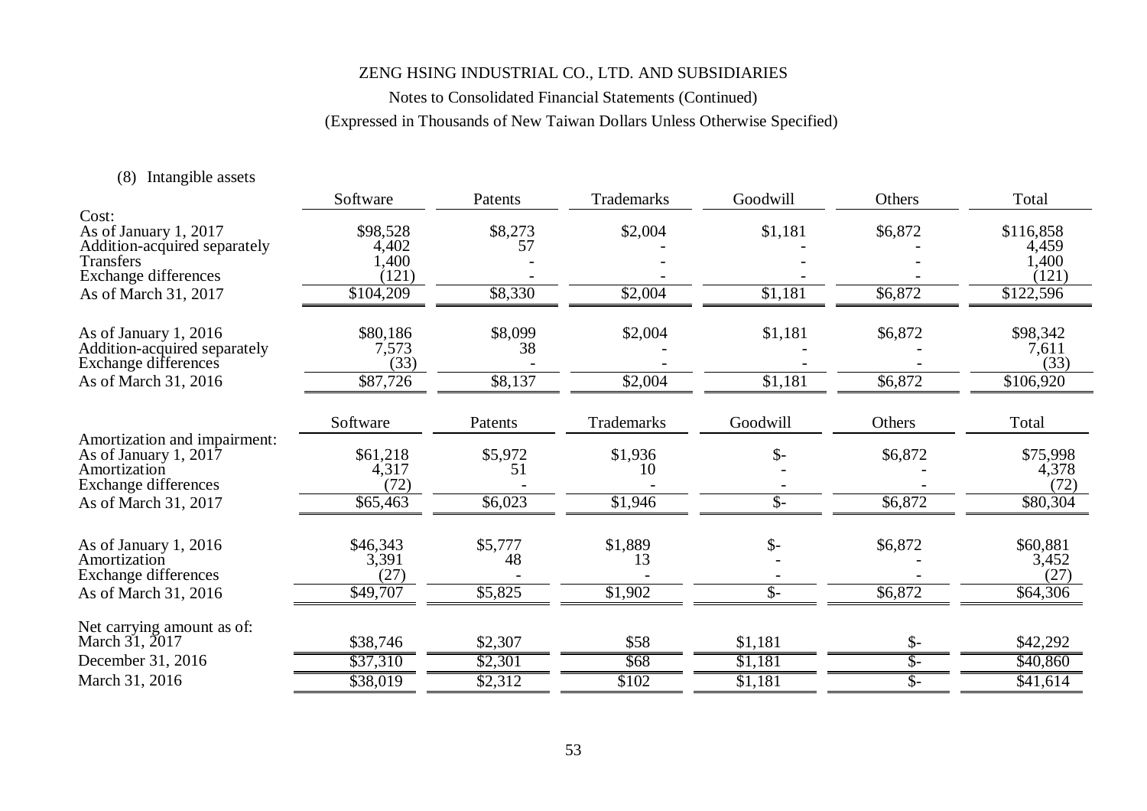# Notes to Consolidated Financial Statements (Continued) (Expressed in Thousands of New Taiwan Dollars Unless Otherwise Specified)

### (8) Intangible assets

|                                              | Software  | Patents        | Trademarks        | Goodwill                 | Others  | Total                |
|----------------------------------------------|-----------|----------------|-------------------|--------------------------|---------|----------------------|
| Cost:                                        |           |                |                   |                          |         |                      |
| As of January 1, 2017                        | \$98,528  | \$8,273        | \$2,004           | \$1,181                  | \$6,872 | \$116,858            |
| Addition-acquired separately                 | 4,402     | 57             |                   |                          |         | 4,459                |
| <b>Transfers</b>                             | 1,400     |                |                   |                          |         | 1,400                |
| <b>Exchange differences</b>                  | (121)     |                |                   |                          |         | (121)                |
| As of March 31, 2017                         | \$104,209 | \$8,330        | \$2,004           | \$1,181                  | \$6,872 | \$122,596            |
|                                              |           |                |                   |                          |         |                      |
| As of January 1, 2016                        | \$80,186  | \$8,099        | \$2,004           | \$1,181                  | \$6,872 | \$98,342             |
| Addition-acquired separately                 | 7,573     | 38             |                   |                          |         | 7,611                |
| Exchange differences                         | (33)      |                |                   |                          |         | (33)                 |
| As of March 31, 2016                         | \$87,726  | \$8,137        | \$2,004           | \$1,181                  | \$6,872 | \$106,920            |
|                                              |           |                |                   |                          |         |                      |
|                                              | Software  | Patents        | <b>Trademarks</b> | Goodwill                 | Others  | Total                |
| Amortization and impairment:                 |           |                |                   |                          |         |                      |
| As of January 1, $2017$                      | \$61,218  | \$5,972        | \$1,936           | \$-                      | \$6,872 | \$75,998             |
| Amortization                                 | 4,317     | 51             | 10                |                          |         | 4,378                |
| <b>Exchange differences</b>                  | (72)      |                |                   |                          |         | (72)                 |
| As of March 31, 2017                         | \$65,463  | \$6,023        | \$1,946           | $\overline{\mathcal{S}}$ | \$6,872 | $\overline{$80,304}$ |
|                                              |           |                |                   |                          |         |                      |
| As of January 1, 2016                        | \$46,343  | \$5,777        | \$1,889           | $\mathcal{S}$ -          | \$6,872 | \$60,881             |
| Amortization                                 | 3,391     | 48             | 13                |                          |         | 3,452                |
| Exchange differences                         | (27)      |                |                   |                          |         | (27)                 |
| As of March 31, 2016                         | \$49,707  | \$5,825        | \$1,902           | $\overline{\$}$          | \$6,872 | \$64,306             |
|                                              |           |                |                   |                          |         |                      |
| Net carrying amount as of:<br>March 31, 2017 | \$38,746  | \$2,307        | \$58              | \$1,181                  |         | \$42,292             |
| December 31, 2016                            | \$37,310  | \$2,301        | \$68              | \$1,181                  |         | \$40,860             |
| March 31, 2016                               | \$38,019  | $\sqrt{2,312}$ | \$102             | \$1,181                  |         | \$41,614             |
|                                              |           |                |                   |                          |         |                      |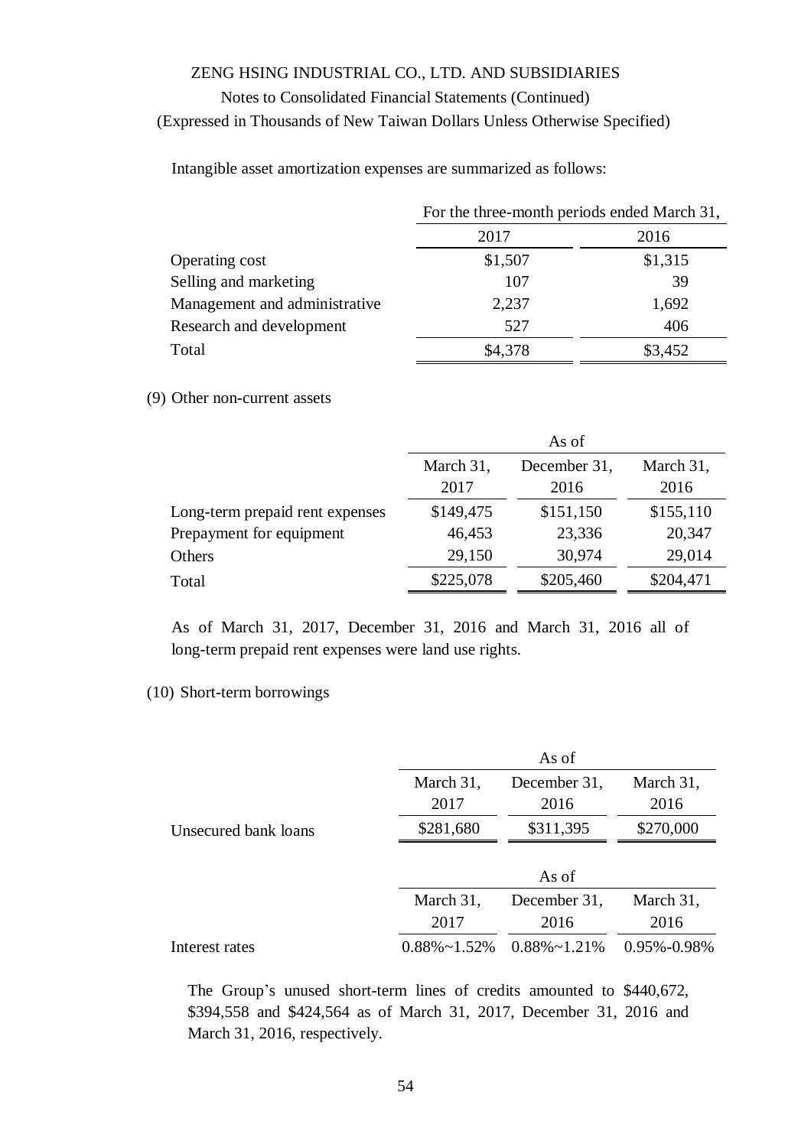## Notes to Consolidated Financial Statements (Continued) (Expressed in Thousands of New Taiwan Dollars Unless Otherwise Specified)

Intangible asset amortization expenses are summarized as follows:

|                               | For the three-month periods ended March 31, |         |  |
|-------------------------------|---------------------------------------------|---------|--|
|                               | 2017                                        | 2016    |  |
| Operating cost                | \$1,507                                     | \$1,315 |  |
| Selling and marketing         | 107                                         | 39      |  |
| Management and administrative | 2,237                                       | 1,692   |  |
| Research and development      | 527                                         | 406     |  |
| Total                         | \$4,378                                     | \$3,452 |  |

(9) Other non-current assets

|                                 | As of                                  |           |           |  |
|---------------------------------|----------------------------------------|-----------|-----------|--|
|                                 | December 31,<br>March 31,<br>March 31, |           |           |  |
|                                 | 2017                                   | 2016      | 2016      |  |
| Long-term prepaid rent expenses | \$149,475                              | \$151,150 | \$155,110 |  |
| Prepayment for equipment        | 46,453                                 | 23,336    | 20,347    |  |
| Others                          | 29,150                                 | 30,974    | 29,014    |  |
| Total                           | \$225,078                              | \$205,460 | \$204,471 |  |

As of March 31, 2017, December 31, 2016 and March 31, 2016 all of long-term prepaid rent expenses were land use rights.

### (10) Short-term borrowings

|                      |                      | As of                |                   |
|----------------------|----------------------|----------------------|-------------------|
|                      | March 31,            | December 31,         | March 31,         |
|                      | 2017                 | 2016                 | 2016              |
| Unsecured bank loans | \$281,680            | \$311,395            | \$270,000         |
|                      |                      |                      |                   |
|                      |                      | As of                |                   |
|                      | March 31,            | December 31,         | March 31,         |
|                      | 2017                 | 2016                 | 2016              |
| Interest rates       | $0.88\% \sim 1.52\%$ | $0.88\% \sim 1.21\%$ | $0.95\% - 0.98\%$ |

The Group's unused short-term lines of credits amounted to \$440,672, \$394,558 and \$424,564 as of March 31, 2017, December 31, 2016 and March 31, 2016, respectively.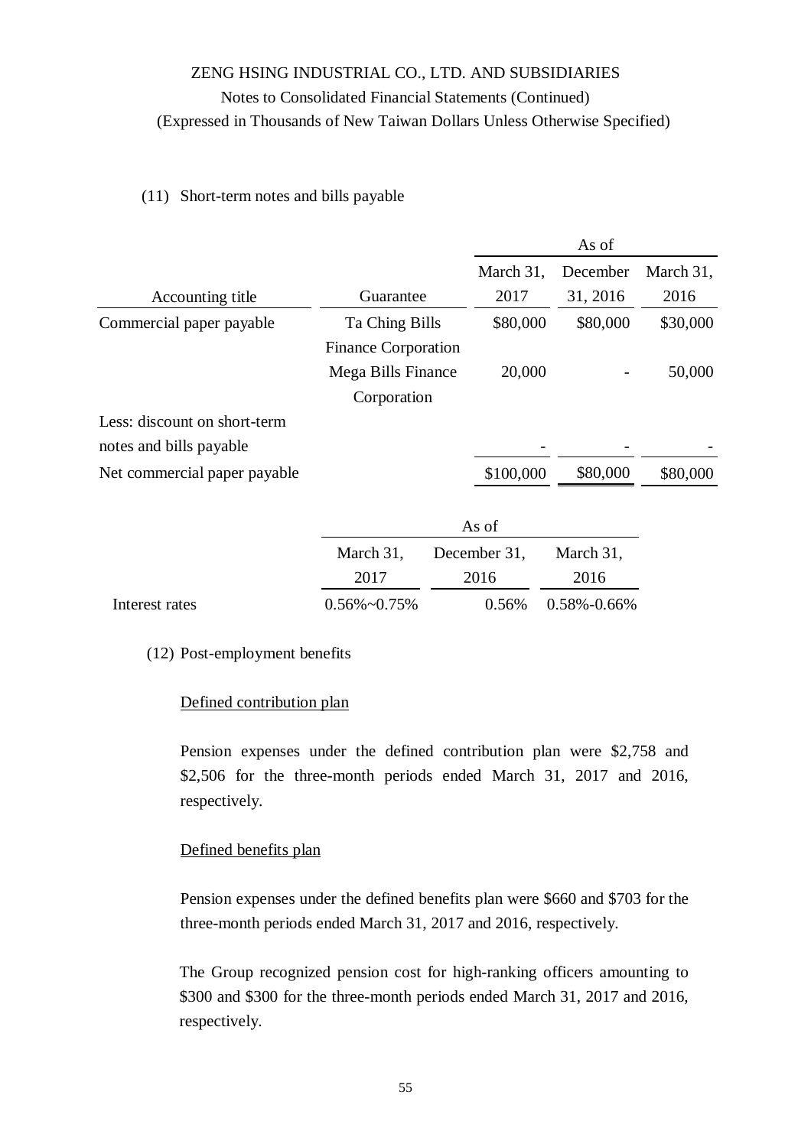### (11) Short-term notes and bills payable

|                              |                            |  |              | As of             |           |
|------------------------------|----------------------------|--|--------------|-------------------|-----------|
|                              |                            |  | March 31,    | December          | March 31, |
| Accounting title             | Guarantee                  |  | 2017         | 31, 2016          | 2016      |
| Commercial paper payable     | Ta Ching Bills             |  | \$80,000     | \$80,000          | \$30,000  |
|                              | <b>Finance Corporation</b> |  |              |                   |           |
|                              | Mega Bills Finance         |  | 20,000       |                   | 50,000    |
|                              | Corporation                |  |              |                   |           |
| Less: discount on short-term |                            |  |              |                   |           |
| notes and bills payable      |                            |  |              |                   |           |
| Net commercial paper payable |                            |  | \$100,000    | \$80,000          | \$80,000  |
|                              |                            |  | As of        |                   |           |
|                              | March 31,                  |  | December 31, | March 31,         |           |
|                              | 2017                       |  | 2016         | 2016              |           |
| Interest rates               | $0.56\% \sim 0.75\%$       |  | 0.56%        | $0.58\% - 0.66\%$ |           |

#### (12) Post-employment benefits

### Defined contribution plan

Pension expenses under the defined contribution plan were \$2,758 and \$2,506 for the three-month periods ended March 31, 2017 and 2016, respectively.

### Defined benefits plan

Pension expenses under the defined benefits plan were \$660 and \$703 for the three-month periods ended March 31, 2017 and 2016, respectively.

The Group recognized pension cost for high-ranking officers amounting to \$300 and \$300 for the three-month periods ended March 31, 2017 and 2016, respectively.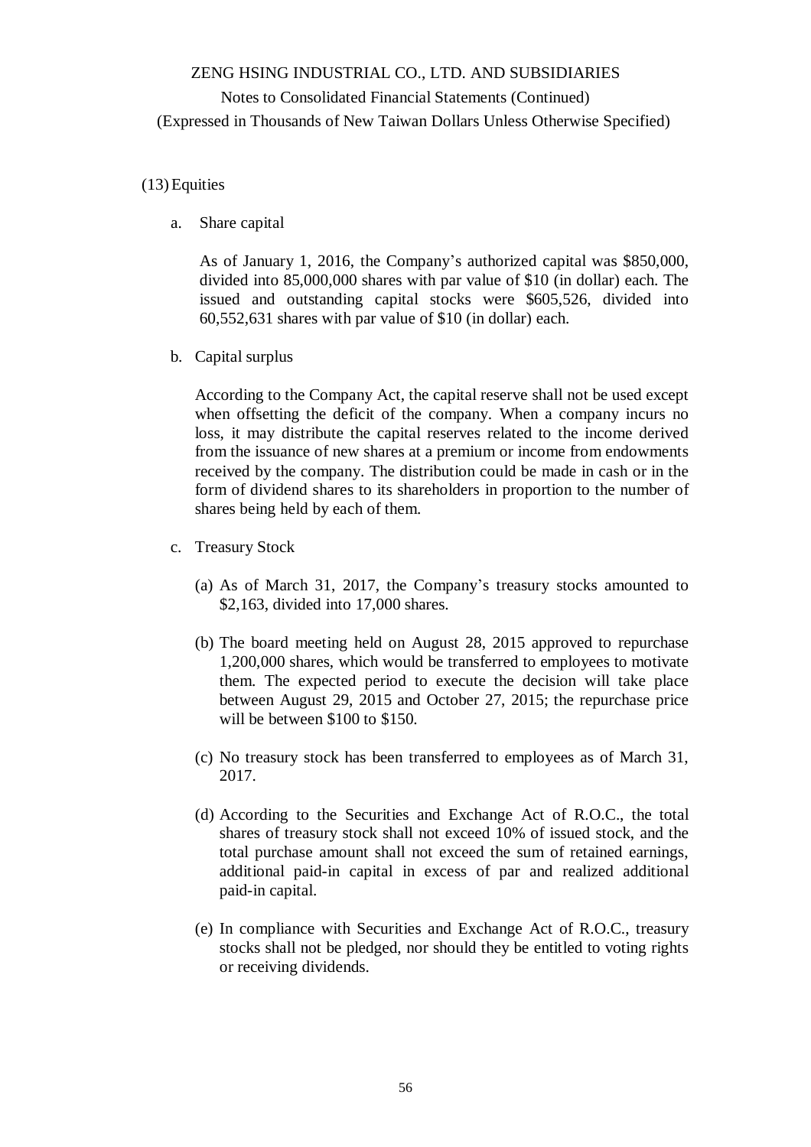### (13)Equities

a. Share capital

As of January 1, 2016, the Company's authorized capital was \$850,000, divided into 85,000,000 shares with par value of \$10 (in dollar) each. The issued and outstanding capital stocks were \$605,526, divided into 60,552,631 shares with par value of \$10 (in dollar) each.

b. Capital surplus

According to the Company Act, the capital reserve shall not be used except when offsetting the deficit of the company. When a company incurs no loss, it may distribute the capital reserves related to the income derived from the issuance of new shares at a premium or income from endowments received by the company. The distribution could be made in cash or in the form of dividend shares to its shareholders in proportion to the number of shares being held by each of them.

- c. Treasury Stock
	- (a) As of March 31, 2017, the Company's treasury stocks amounted to \$2,163, divided into 17,000 shares.
	- (b) The board meeting held on August 28, 2015 approved to repurchase 1,200,000 shares, which would be transferred to employees to motivate them. The expected period to execute the decision will take place between August 29, 2015 and October 27, 2015; the repurchase price will be between \$100 to \$150.
	- (c) No treasury stock has been transferred to employees as of March 31, 2017.
	- (d) According to the Securities and Exchange Act of R.O.C., the total shares of treasury stock shall not exceed 10% of issued stock, and the total purchase amount shall not exceed the sum of retained earnings, additional paid-in capital in excess of par and realized additional paid-in capital.
	- (e) In compliance with Securities and Exchange Act of R.O.C., treasury stocks shall not be pledged, nor should they be entitled to voting rights or receiving dividends.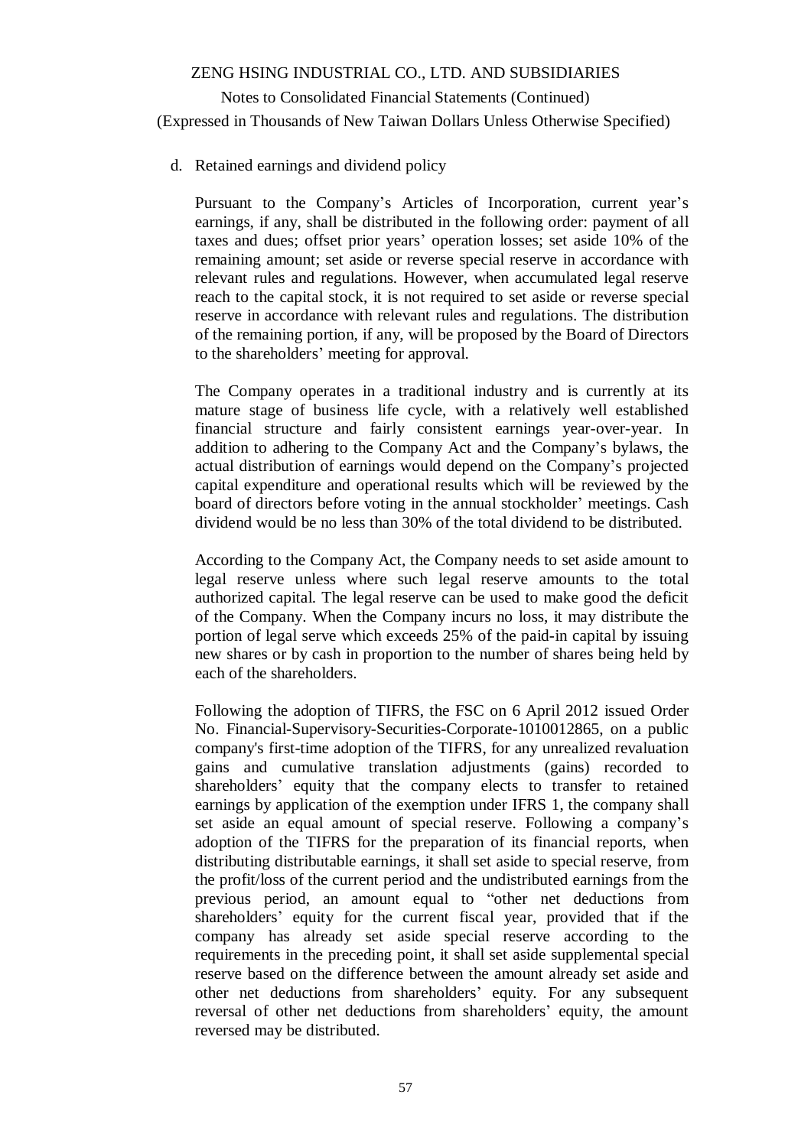# Notes to Consolidated Financial Statements (Continued) (Expressed in Thousands of New Taiwan Dollars Unless Otherwise Specified)

#### d. Retained earnings and dividend policy

Pursuant to the Company's Articles of Incorporation, current year's earnings, if any, shall be distributed in the following order: payment of all taxes and dues; offset prior years' operation losses; set aside 10% of the remaining amount; set aside or reverse special reserve in accordance with relevant rules and regulations. However, when accumulated legal reserve reach to the capital stock, it is not required to set aside or reverse special reserve in accordance with relevant rules and regulations. The distribution of the remaining portion, if any, will be proposed by the Board of Directors to the shareholders' meeting for approval.

The Company operates in a traditional industry and is currently at its mature stage of business life cycle, with a relatively well established financial structure and fairly consistent earnings year-over-year. In addition to adhering to the Company Act and the Company's bylaws, the actual distribution of earnings would depend on the Company's projected capital expenditure and operational results which will be reviewed by the board of directors before voting in the annual stockholder' meetings. Cash dividend would be no less than 30% of the total dividend to be distributed.

According to the Company Act, the Company needs to set aside amount to legal reserve unless where such legal reserve amounts to the total authorized capital. The legal reserve can be used to make good the deficit of the Company. When the Company incurs no loss, it may distribute the portion of legal serve which exceeds 25% of the paid-in capital by issuing new shares or by cash in proportion to the number of shares being held by each of the shareholders.

Following the adoption of TIFRS, the FSC on 6 April 2012 issued Order No. Financial-Supervisory-Securities-Corporate-1010012865, on a public company's first-time adoption of the TIFRS, for any unrealized revaluation gains and cumulative translation adjustments (gains) recorded to shareholders' equity that the company elects to transfer to retained earnings by application of the exemption under IFRS 1, the company shall set aside an equal amount of special reserve. Following a company's adoption of the TIFRS for the preparation of its financial reports, when distributing distributable earnings, it shall set aside to special reserve, from the profit/loss of the current period and the undistributed earnings from the previous period, an amount equal to "other net deductions from shareholders' equity for the current fiscal year, provided that if the company has already set aside special reserve according to the requirements in the preceding point, it shall set aside supplemental special reserve based on the difference between the amount already set aside and other net deductions from shareholders' equity. For any subsequent reversal of other net deductions from shareholders' equity, the amount reversed may be distributed.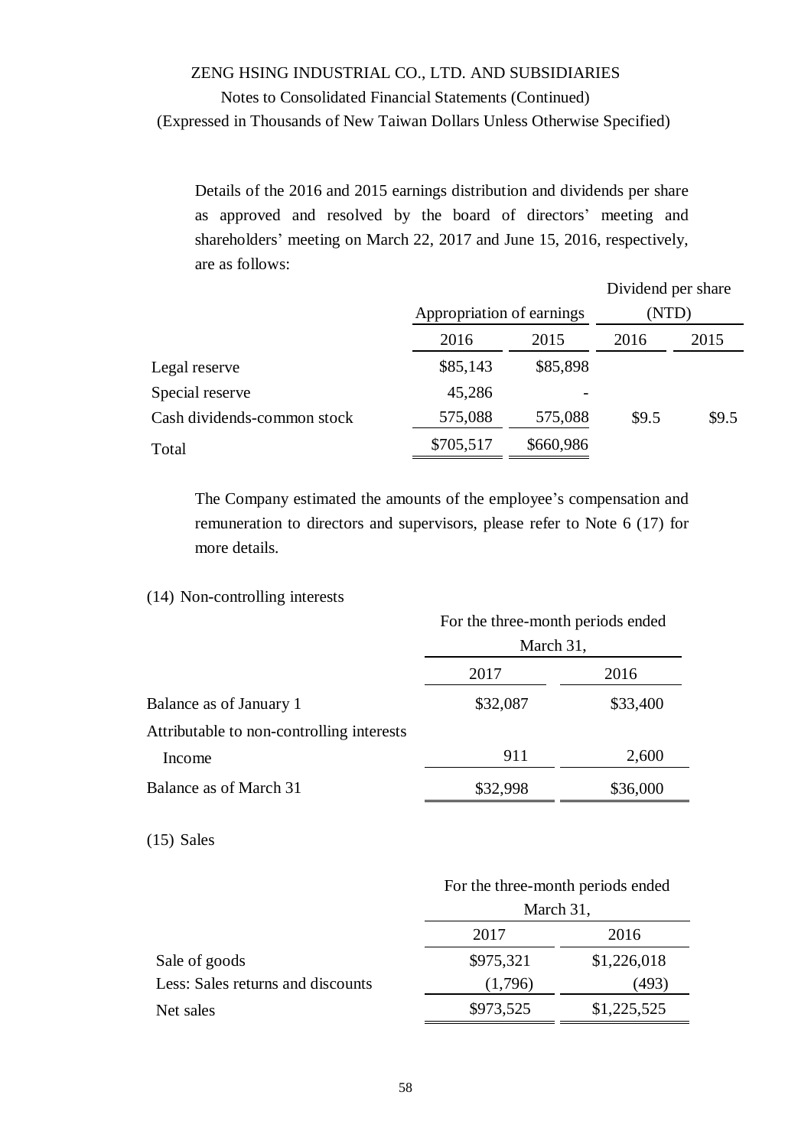# Notes to Consolidated Financial Statements (Continued) (Expressed in Thousands of New Taiwan Dollars Unless Otherwise Specified)

Details of the 2016 and 2015 earnings distribution and dividends per share as approved and resolved by the board of directors' meeting and shareholders' meeting on March 22, 2017 and June 15, 2016, respectively, are as follows:

|                             |                           |           | Dividend per share |       |
|-----------------------------|---------------------------|-----------|--------------------|-------|
|                             | Appropriation of earnings |           | (NTD)              |       |
|                             | 2016                      | 2015      | 2016               | 2015  |
| Legal reserve               | \$85,143                  | \$85,898  |                    |       |
| Special reserve             | 45,286                    |           |                    |       |
| Cash dividends-common stock | 575,088                   | 575,088   | \$9.5              | \$9.5 |
| Total                       | \$705,517                 | \$660,986 |                    |       |

The Company estimated the amounts of the employee's compensation and remuneration to directors and supervisors, please refer to Note 6 (17) for more details.

#### (14) Non-controlling interests

|                                           | For the three-month periods ended<br>March 31, |          |
|-------------------------------------------|------------------------------------------------|----------|
|                                           |                                                |          |
|                                           | 2017                                           | 2016     |
| Balance as of January 1                   | \$32,087                                       | \$33,400 |
| Attributable to non-controlling interests |                                                |          |
| Income                                    | 911                                            | 2,600    |
| Balance as of March 31                    | \$32,998                                       | \$36,000 |

#### (15) Sales

|                                   | For the three-month periods ended |             |  |
|-----------------------------------|-----------------------------------|-------------|--|
|                                   | March 31,                         |             |  |
|                                   | 2017                              | 2016        |  |
| Sale of goods                     | \$975,321                         | \$1,226,018 |  |
| Less: Sales returns and discounts | (1,796)                           | (493)       |  |
| Net sales                         | \$973,525                         | \$1,225,525 |  |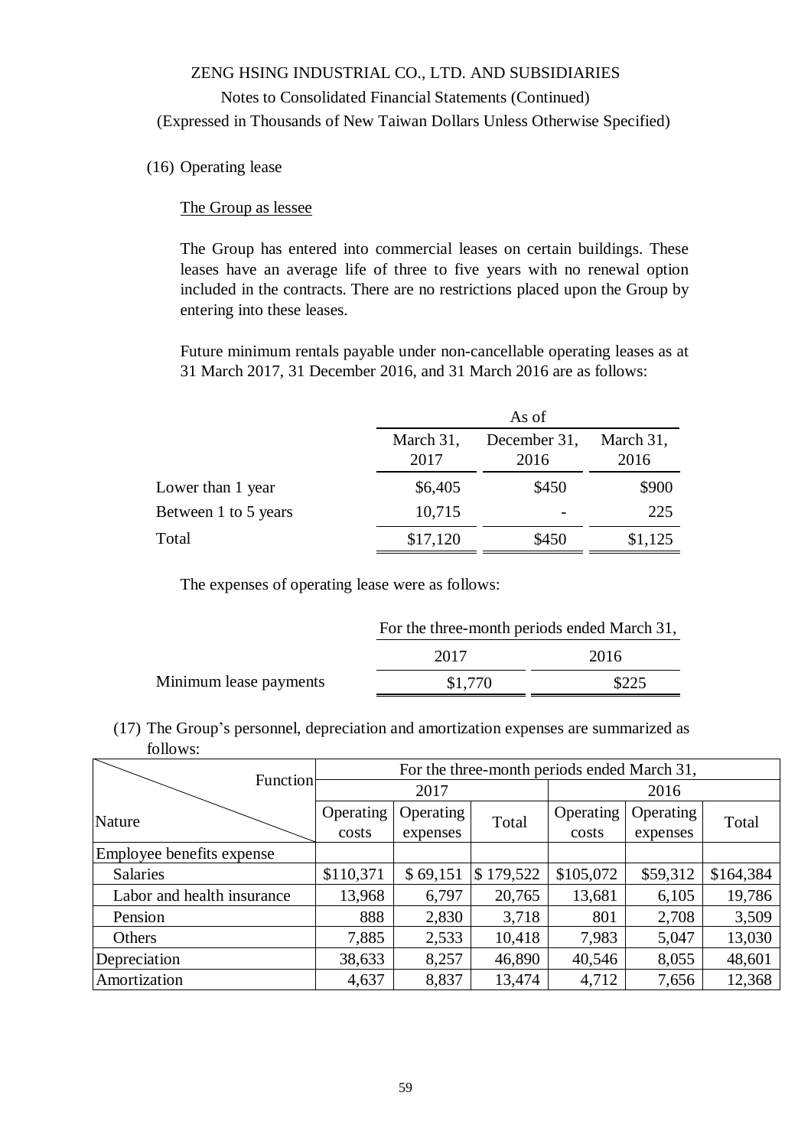#### (16) Operating lease

### The Group as lessee

The Group has entered into commercial leases on certain buildings. These leases have an average life of three to five years with no renewal option included in the contracts. There are no restrictions placed upon the Group by entering into these leases.

Future minimum rentals payable under non-cancellable operating leases as at 31 March 2017, 31 December 2016, and 31 March 2016 are as follows:

|                      | As of             |                      |                   |
|----------------------|-------------------|----------------------|-------------------|
|                      | March 31,<br>2017 | December 31,<br>2016 | March 31,<br>2016 |
| Lower than 1 year    | \$6,405           | \$450                | \$900             |
| Between 1 to 5 years | 10,715            |                      | 225               |
| Total                | \$17,120          | \$450                | \$1,125           |

The expenses of operating lease were as follows:

|                        | For the three-month periods ended March 31, |       |  |  |
|------------------------|---------------------------------------------|-------|--|--|
|                        | 2017                                        | 2016  |  |  |
| Minimum lease payments | \$1,770                                     | \$225 |  |  |

(17) The Group's personnel, depreciation and amortization expenses are summarized as follows:

|                            |           |           |           | For the three-month periods ended March 31, |           |           |
|----------------------------|-----------|-----------|-----------|---------------------------------------------|-----------|-----------|
| Function                   |           | 2017      |           | 2016                                        |           |           |
| Nature                     | Operating | Operating | Total     | Operating                                   | Operating |           |
|                            | costs     | expenses  |           | costs                                       | expenses  | Total     |
| Employee benefits expense  |           |           |           |                                             |           |           |
| <b>Salaries</b>            | \$110,371 | \$69,151  | \$179,522 | \$105,072                                   | \$59,312  | \$164,384 |
| Labor and health insurance | 13,968    | 6,797     | 20,765    | 13,681                                      | 6,105     | 19,786    |
| Pension                    | 888       | 2,830     | 3,718     | 801                                         | 2,708     | 3,509     |
| Others                     | 7,885     | 2,533     | 10,418    | 7,983                                       | 5,047     | 13,030    |
| Depreciation               | 38,633    | 8,257     | 46,890    | 40,546                                      | 8,055     | 48,601    |
| Amortization               | 4,637     | 8,837     | 13,474    | 4,712                                       | 7,656     | 12,368    |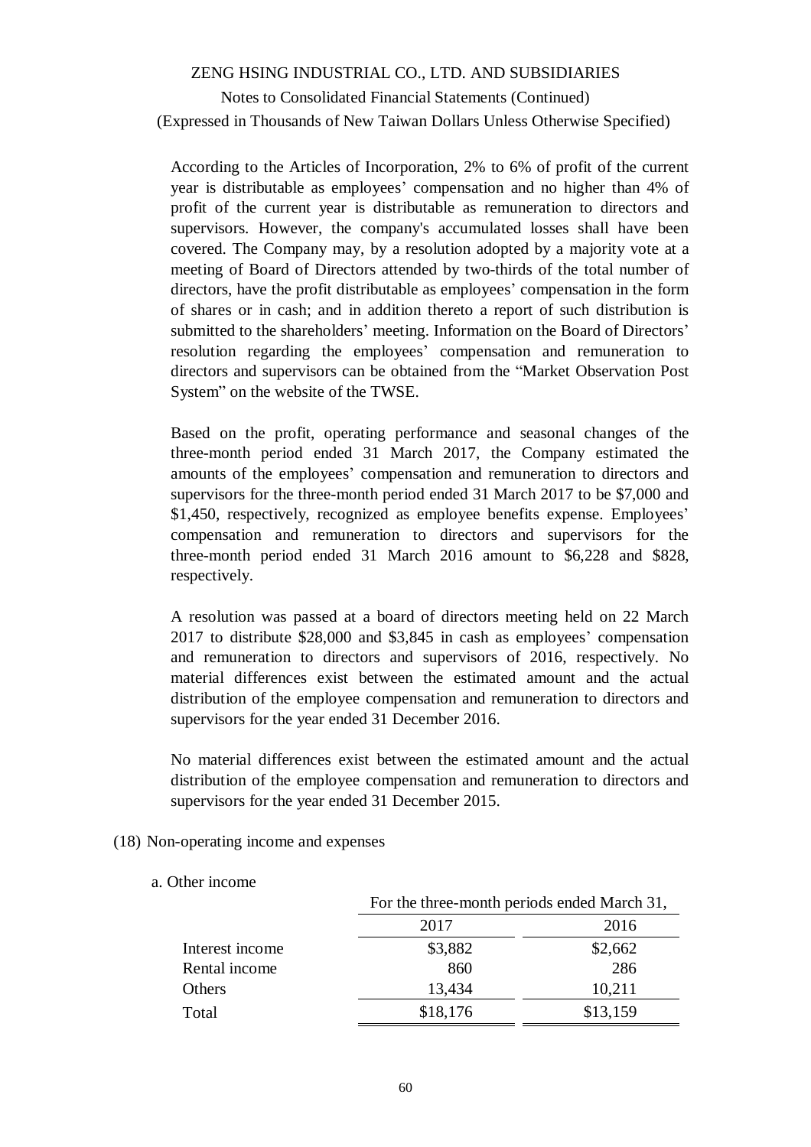# Notes to Consolidated Financial Statements (Continued) (Expressed in Thousands of New Taiwan Dollars Unless Otherwise Specified)

According to the Articles of Incorporation, 2% to 6% of profit of the current year is distributable as employees' compensation and no higher than 4% of profit of the current year is distributable as remuneration to directors and supervisors. However, the company's accumulated losses shall have been covered. The Company may, by a resolution adopted by a majority vote at a meeting of Board of Directors attended by two-thirds of the total number of directors, have the profit distributable as employees' compensation in the form of shares or in cash; and in addition thereto a report of such distribution is submitted to the shareholders' meeting. Information on the Board of Directors' resolution regarding the employees' compensation and remuneration to directors and supervisors can be obtained from the "Market Observation Post System" on the website of the TWSE.

Based on the profit, operating performance and seasonal changes of the three-month period ended 31 March 2017, the Company estimated the amounts of the employees' compensation and remuneration to directors and supervisors for the three-month period ended 31 March 2017 to be \$7,000 and \$1,450, respectively, recognized as employee benefits expense. Employees' compensation and remuneration to directors and supervisors for the three-month period ended 31 March 2016 amount to \$6,228 and \$828, respectively.

A resolution was passed at a board of directors meeting held on 22 March 2017 to distribute \$28,000 and \$3,845 in cash as employees' compensation and remuneration to directors and supervisors of 2016, respectively. No material differences exist between the estimated amount and the actual distribution of the employee compensation and remuneration to directors and supervisors for the year ended 31 December 2016.

No material differences exist between the estimated amount and the actual distribution of the employee compensation and remuneration to directors and supervisors for the year ended 31 December 2015.

- (18) Non-operating income and expenses
	- a. Other income

|                 |          | For the three-month periods ended March 31, |  |  |
|-----------------|----------|---------------------------------------------|--|--|
|                 | 2017     | 2016                                        |  |  |
| Interest income | \$3,882  | \$2,662                                     |  |  |
| Rental income   | 860      | 286                                         |  |  |
| Others          | 13,434   | 10,211                                      |  |  |
| Total           | \$18,176 | \$13,159                                    |  |  |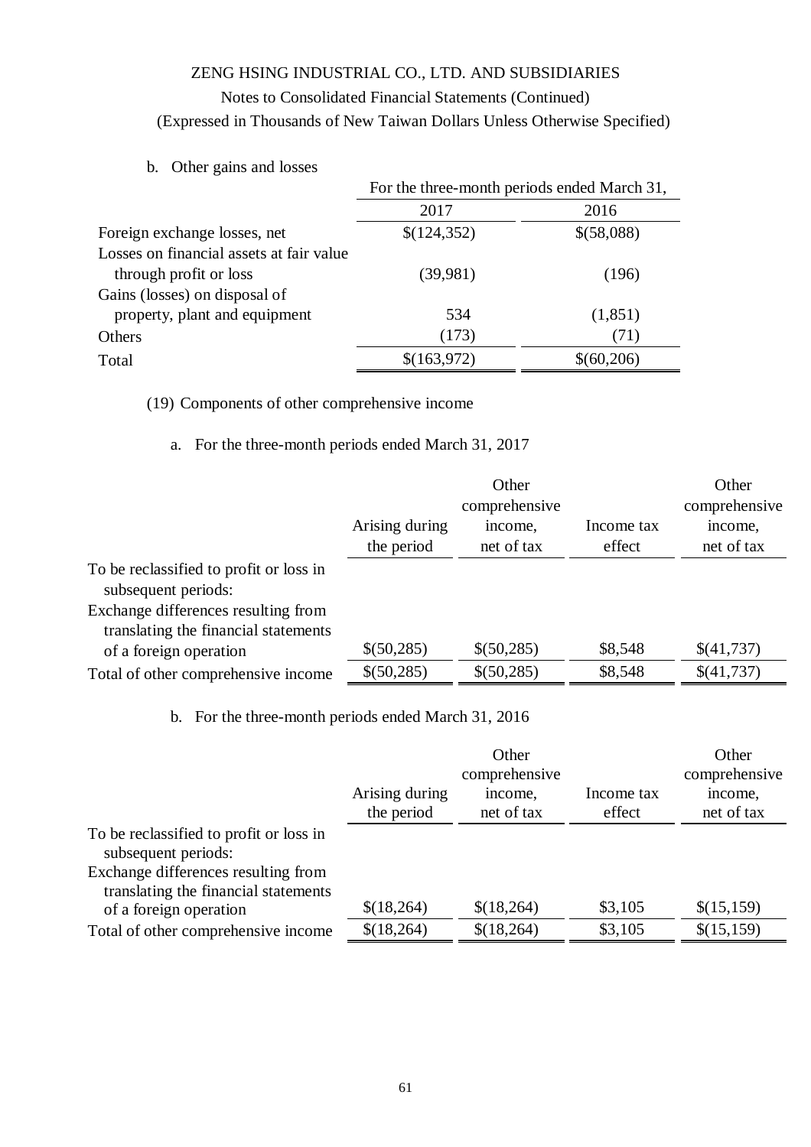# Notes to Consolidated Financial Statements (Continued) (Expressed in Thousands of New Taiwan Dollars Unless Otherwise Specified)

b. Other gains and losses

|                                          | For the three-month periods ended March 31, |            |  |
|------------------------------------------|---------------------------------------------|------------|--|
|                                          | 2017                                        | 2016       |  |
| Foreign exchange losses, net             | \$(124,352)                                 | \$(58,088) |  |
| Losses on financial assets at fair value |                                             |            |  |
| through profit or loss                   | (39, 981)                                   | (196)      |  |
| Gains (losses) on disposal of            |                                             |            |  |
| property, plant and equipment            | 534                                         | (1,851)    |  |
| Others                                   | (173)                                       | (71)       |  |
| Total                                    | \$(163,972)                                 | \$(60,206) |  |

(19) Components of other comprehensive income

### a. For the three-month periods ended March 31, 2017

|                                                                             |                              | Other<br>comprehensive |                      | Other<br>comprehensive |
|-----------------------------------------------------------------------------|------------------------------|------------------------|----------------------|------------------------|
|                                                                             | Arising during<br>the period | income,<br>net of tax  | Income tax<br>effect | income,<br>net of tax  |
| To be reclassified to profit or loss in<br>subsequent periods:              |                              |                        |                      |                        |
| Exchange differences resulting from<br>translating the financial statements |                              |                        |                      |                        |
| of a foreign operation                                                      | \$(50,285)                   | \$(50,285)             | \$8,548              | \$(41,737)             |
| Total of other comprehensive income                                         | \$(50,285)                   | \$(50,285)             | \$8,548              | \$(41,737)             |

#### b. For the three-month periods ended March 31, 2016

|                                                                             | Other<br>comprehensive       |                       |                      | Other<br>comprehensive |
|-----------------------------------------------------------------------------|------------------------------|-----------------------|----------------------|------------------------|
|                                                                             | Arising during<br>the period | income,<br>net of tax | Income tax<br>effect | income,<br>net of tax  |
| To be reclassified to profit or loss in<br>subsequent periods:              |                              |                       |                      |                        |
| Exchange differences resulting from<br>translating the financial statements |                              |                       |                      |                        |
| of a foreign operation                                                      | \$(18,264)                   | \$(18,264)            | \$3,105              | \$(15,159)             |
| Total of other comprehensive income                                         | \$(18,264)                   | \$(18,264)            | \$3,105              | \$(15,159)             |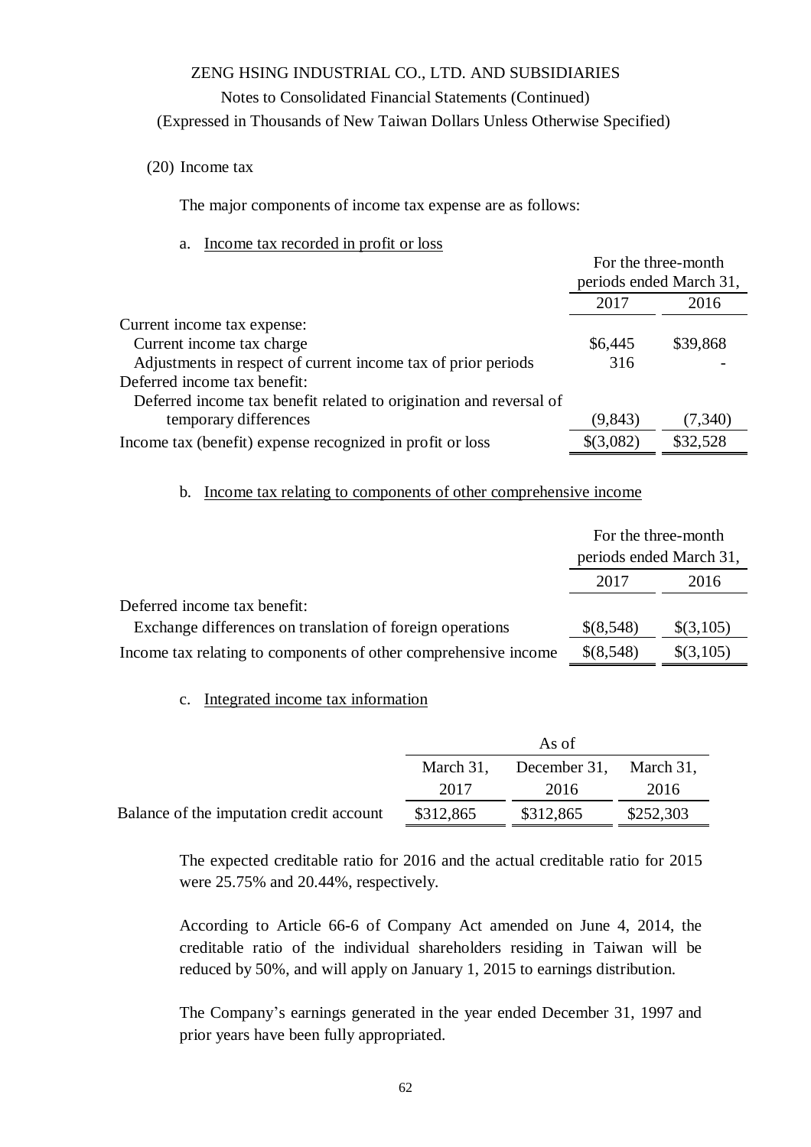#### Notes to Consolidated Financial Statements (Continued)

(Expressed in Thousands of New Taiwan Dollars Unless Otherwise Specified)

(20) Income tax

The major components of income tax expense are as follows:

a. Income tax recorded in profit or loss

|                                                                    | For the three-month |                         |
|--------------------------------------------------------------------|---------------------|-------------------------|
|                                                                    |                     | periods ended March 31, |
|                                                                    | 2017                | 2016                    |
| Current income tax expense:                                        |                     |                         |
| Current income tax charge                                          | \$6,445             | \$39,868                |
| Adjustments in respect of current income tax of prior periods      | 316                 |                         |
| Deferred income tax benefit:                                       |                     |                         |
| Deferred income tax benefit related to origination and reversal of |                     |                         |
| temporary differences                                              | (9, 843)            | (7,340)                 |
| Income tax (benefit) expense recognized in profit or loss          | \$(3,082)           | \$32,528                |

### b. Income tax relating to components of other comprehensive income

|                                                                 | For the three-month |                         |
|-----------------------------------------------------------------|---------------------|-------------------------|
|                                                                 |                     | periods ended March 31, |
|                                                                 | 2017                | 2016                    |
| Deferred income tax benefit:                                    |                     |                         |
| Exchange differences on translation of foreign operations       | \$(8,548)           | \$(3,105)               |
| Income tax relating to components of other comprehensive income | \$(8,548)           | \$(3,105)               |

#### c. Integrated income tax information

|                                          | As of     |              |           |
|------------------------------------------|-----------|--------------|-----------|
|                                          | March 31. | December 31, | March 31, |
|                                          | 2017      | 2016         | 2016      |
| Balance of the imputation credit account | \$312,865 | \$312,865    | \$252,303 |

The expected creditable ratio for 2016 and the actual creditable ratio for 2015 were 25.75% and 20.44%, respectively.

According to Article 66-6 of Company Act amended on June 4, 2014, the creditable ratio of the individual shareholders residing in Taiwan will be reduced by 50%, and will apply on January 1, 2015 to earnings distribution.

The Company's earnings generated in the year ended December 31, 1997 and prior years have been fully appropriated.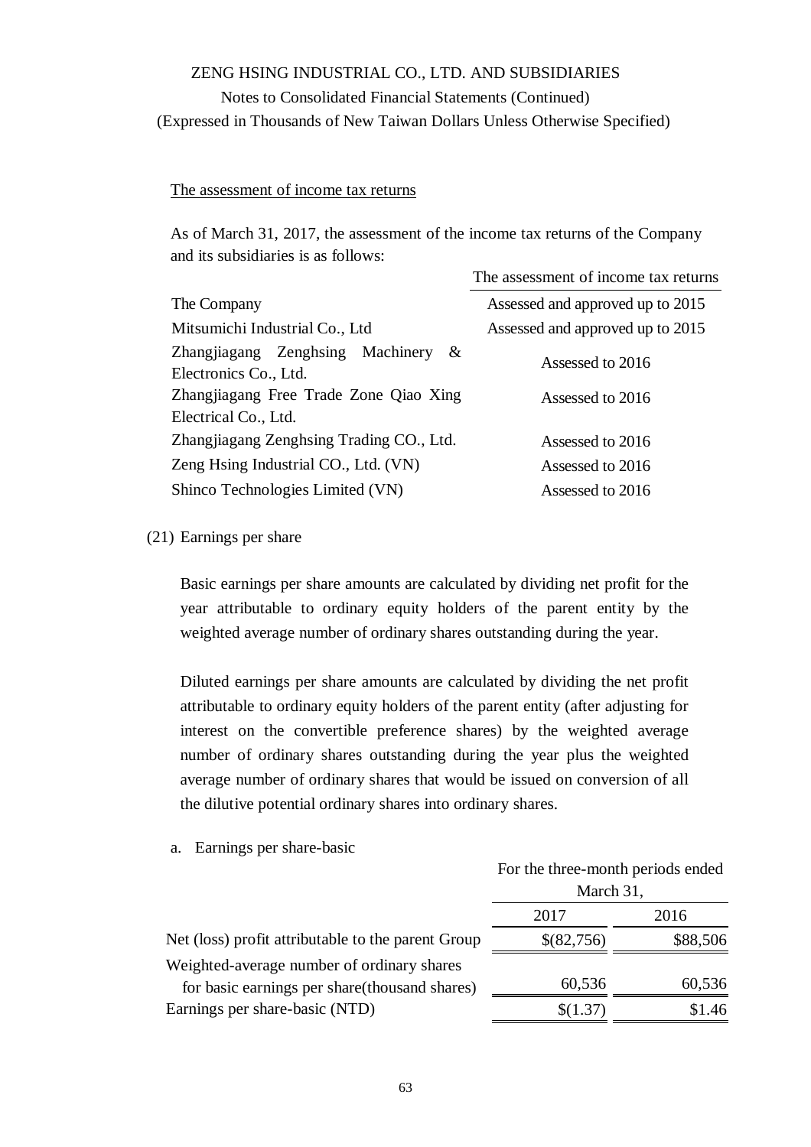Notes to Consolidated Financial Statements (Continued) (Expressed in Thousands of New Taiwan Dollars Unless Otherwise Specified)

#### The assessment of income tax returns

As of March 31, 2017, the assessment of the income tax returns of the Company and its subsidiaries is as follows:

|                                                                        | The assessment of income tax returns |
|------------------------------------------------------------------------|--------------------------------------|
| The Company                                                            | Assessed and approved up to 2015     |
| Mitsumichi Industrial Co., Ltd                                         | Assessed and approved up to 2015     |
| Zhangjiagang Zenghsing Machinery<br>$\propto$<br>Electronics Co., Ltd. | Assessed to 2016                     |
| Zhangjiagang Free Trade Zone Qiao Xing<br>Electrical Co., Ltd.         | Assessed to 2016                     |
| Zhangjiagang Zenghsing Trading CO., Ltd.                               | Assessed to 2016                     |
| Zeng Hsing Industrial CO., Ltd. (VN)                                   | Assessed to 2016                     |
| Shinco Technologies Limited (VN)                                       | Assessed to 2016                     |

#### (21) Earnings per share

Basic earnings per share amounts are calculated by dividing net profit for the year attributable to ordinary equity holders of the parent entity by the weighted average number of ordinary shares outstanding during the year.

Diluted earnings per share amounts are calculated by dividing the net profit attributable to ordinary equity holders of the parent entity (after adjusting for interest on the convertible preference shares) by the weighted average number of ordinary shares outstanding during the year plus the weighted average number of ordinary shares that would be issued on conversion of all the dilutive potential ordinary shares into ordinary shares.

|                                                    | For the three-month periods ended |          |  |
|----------------------------------------------------|-----------------------------------|----------|--|
|                                                    | March 31,                         |          |  |
|                                                    | 2017                              | 2016     |  |
| Net (loss) profit attributable to the parent Group | \$(82,756)                        | \$88,506 |  |
| Weighted-average number of ordinary shares         |                                   |          |  |
| for basic earnings per share(thousand shares)      | 60,536                            | 60,536   |  |
| Earnings per share-basic (NTD)                     | \$(1.37)                          | \$1.46   |  |

a. Earnings per share-basic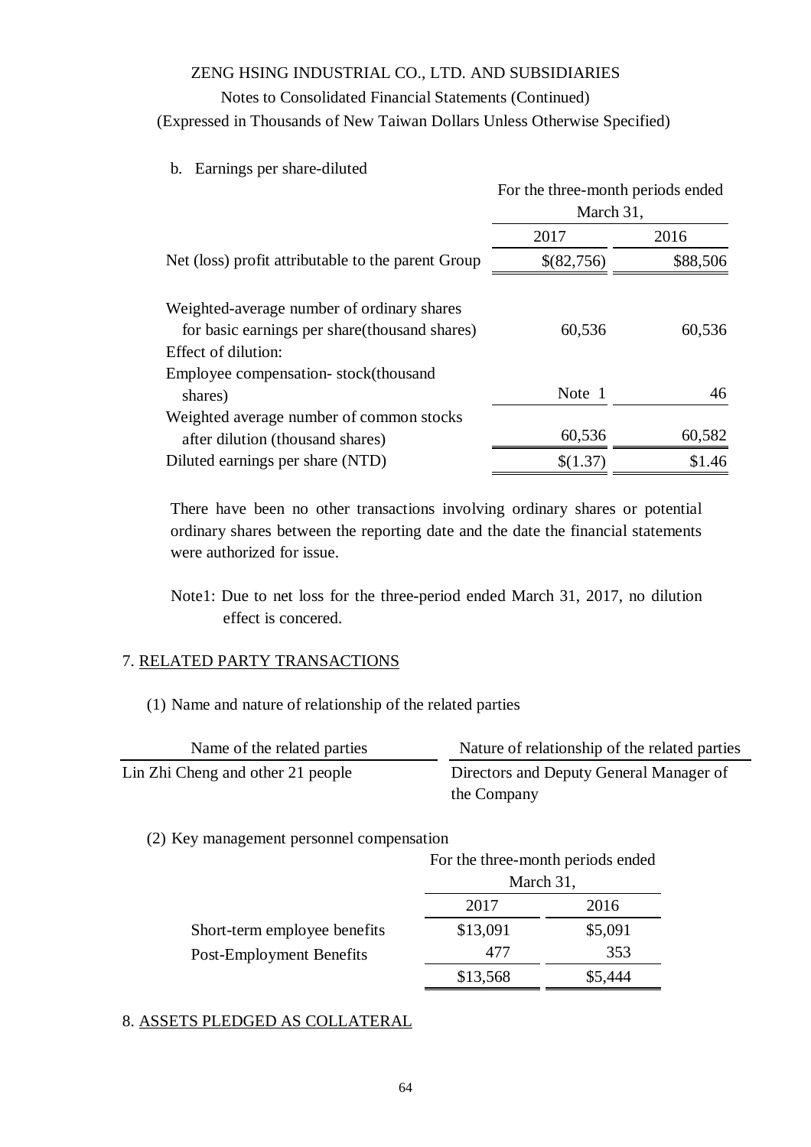#### Notes to Consolidated Financial Statements (Continued)

(Expressed in Thousands of New Taiwan Dollars Unless Otherwise Specified)

b. Earnings per share-diluted

|                                                    | For the three-month periods ended<br>March 31, |          |
|----------------------------------------------------|------------------------------------------------|----------|
|                                                    | 2017                                           | 2016     |
| Net (loss) profit attributable to the parent Group | \$(82,756)                                     | \$88,506 |
| Weighted-average number of ordinary shares         |                                                |          |
| for basic earnings per share (thousand shares)     | 60,536                                         | 60,536   |
| Effect of dilution:                                |                                                |          |
| Employee compensation-stock(thousand               |                                                |          |
| shares)                                            | Note 1                                         | 46       |
| Weighted average number of common stocks           |                                                |          |
| after dilution (thousand shares)                   | 60,536                                         | 60,582   |
| Diluted earnings per share (NTD)                   | \$(1.37)                                       | \$1.46   |

There have been no other transactions involving ordinary shares or potential ordinary shares between the reporting date and the date the financial statements were authorized for issue.

Note1: Due to net loss for the three-period ended March 31, 2017, no dilution effect is concered.

#### 7. RELATED PARTY TRANSACTIONS

(1) Name and nature of relationship of the related parties

| Name of the related parties       | Nature of relationship of the related parties |
|-----------------------------------|-----------------------------------------------|
| Lin Zhi Cheng and other 21 people | Directors and Deputy General Manager of       |
|                                   | the Company                                   |

(2) Key management personnel compensation

|                              | For the three-month periods ended |         |
|------------------------------|-----------------------------------|---------|
|                              | March 31,                         |         |
|                              | 2017                              | 2016    |
| Short-term employee benefits | \$13,091                          | \$5,091 |
| Post-Employment Benefits     | 477                               | 353     |
|                              | \$13,568                          |         |

#### 8. ASSETS PLEDGED AS COLLATERAL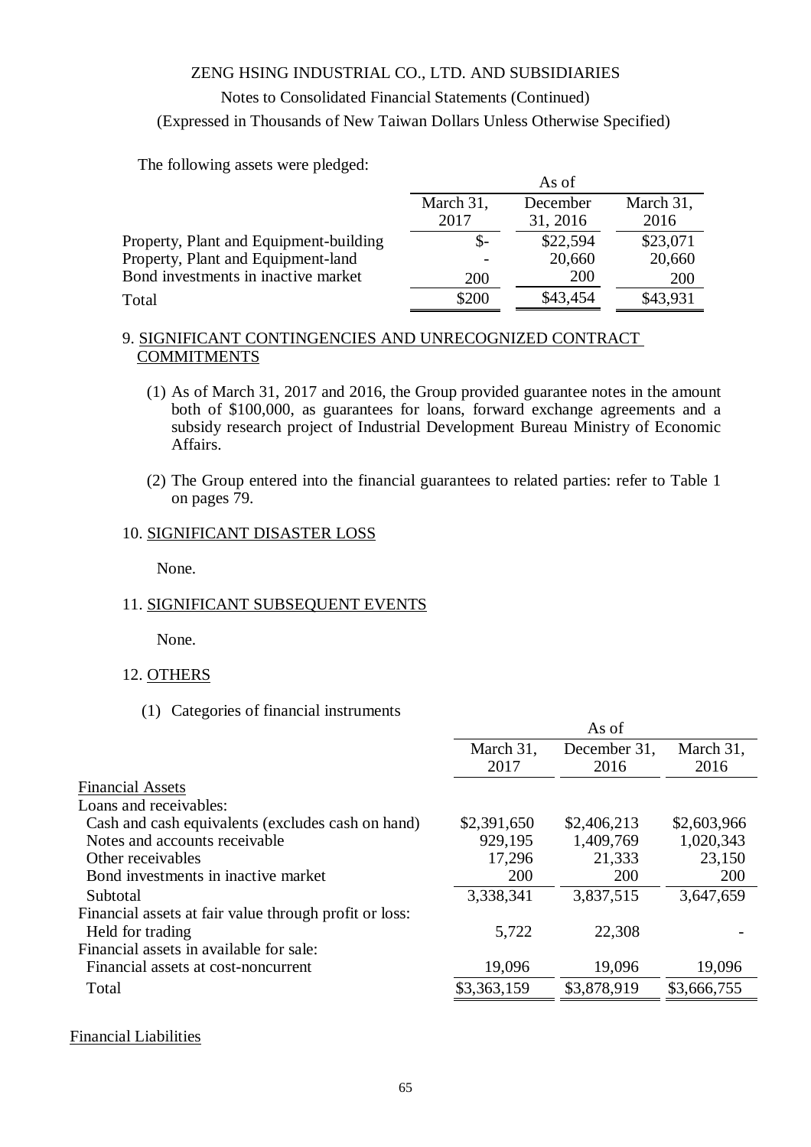# Notes to Consolidated Financial Statements (Continued) (Expressed in Thousands of New Taiwan Dollars Unless Otherwise Specified)

The following assets were pledged:

|                                        |            | AS 01    |           |
|----------------------------------------|------------|----------|-----------|
|                                        | March 31,  | December | March 31, |
|                                        | 2017       | 31, 2016 | 2016      |
| Property, Plant and Equipment-building |            | \$22,594 | \$23,071  |
| Property, Plant and Equipment-land     |            | 20,660   | 20,660    |
| Bond investments in inactive market    | <b>200</b> | 200      | 200       |
| Total                                  | \$200      | \$43,454 | \$43,931  |

As of

#### 9. SIGNIFICANT CONTINGENCIES AND UNRECOGNIZED CONTRACT COMMITMENTS

- (1) As of March 31, 2017 and 2016, the Group provided guarantee notes in the amount both of \$100,000, as guarantees for loans, forward exchange agreements and a subsidy research project of Industrial Development Bureau Ministry of Economic Affairs.
- (2) The Group entered into the financial guarantees to related parties: refer to Table 1 on pages 79.

#### 10. SIGNIFICANT DISASTER LOSS

None.

### 11. SIGNIFICANT SUBSEQUENT EVENTS

None.

### 12. OTHERS

### (1) Categories of financial instruments

|                                                        |             | As of        |             |
|--------------------------------------------------------|-------------|--------------|-------------|
|                                                        | March 31,   | December 31, | March 31,   |
|                                                        | 2017        | 2016         | 2016        |
| <b>Financial Assets</b>                                |             |              |             |
| Loans and receivables:                                 |             |              |             |
| Cash and cash equivalents (excludes cash on hand)      | \$2,391,650 | \$2,406,213  | \$2,603,966 |
| Notes and accounts receivable                          | 929,195     | 1,409,769    | 1,020,343   |
| Other receivables                                      | 17,296      | 21,333       | 23,150      |
| Bond investments in inactive market                    | 200         | 200          | 200         |
| Subtotal                                               | 3,338,341   | 3,837,515    | 3,647,659   |
| Financial assets at fair value through profit or loss: |             |              |             |
| Held for trading                                       | 5,722       | 22,308       |             |
| Financial assets in available for sale:                |             |              |             |
| Financial assets at cost-noncurrent                    | 19,096      | 19,096       | 19,096      |
| Total                                                  | \$3,363,159 | \$3,878,919  | \$3,666,755 |

#### Financial Liabilities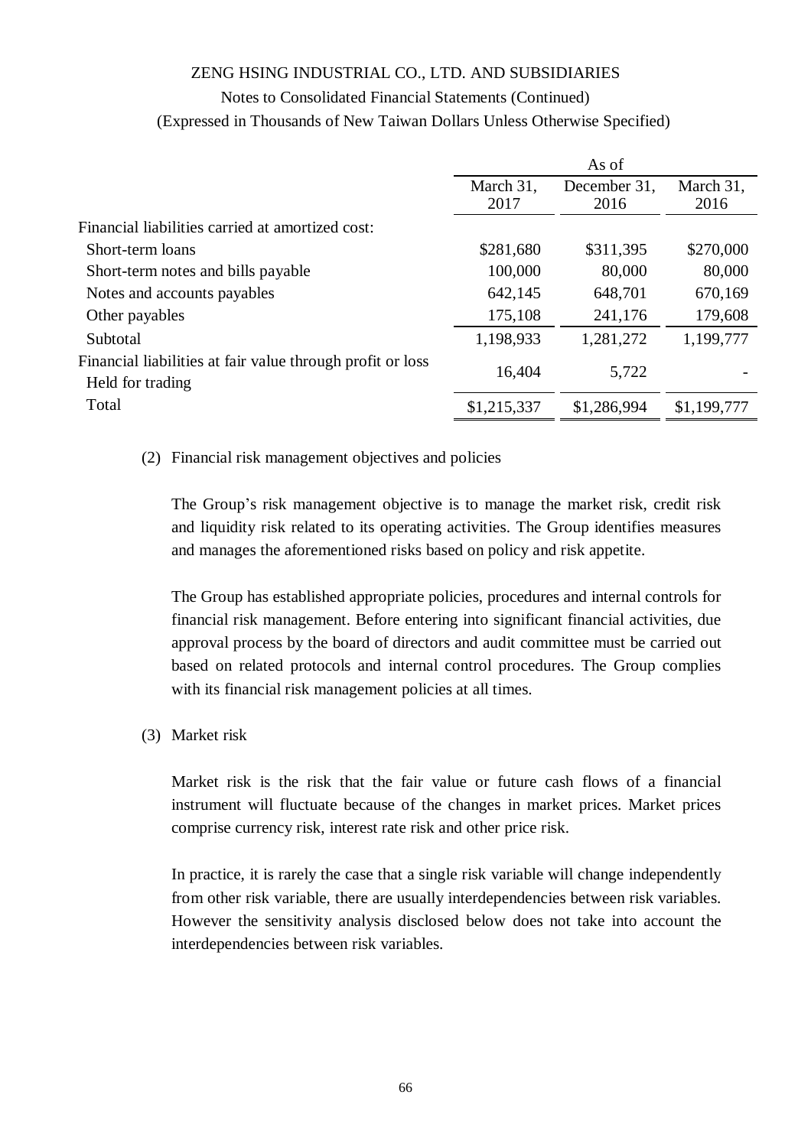# Notes to Consolidated Financial Statements (Continued) (Expressed in Thousands of New Taiwan Dollars Unless Otherwise Specified)

|                                                                                | As of             |                      |                   |
|--------------------------------------------------------------------------------|-------------------|----------------------|-------------------|
|                                                                                | March 31,<br>2017 | December 31,<br>2016 | March 31,<br>2016 |
| Financial liabilities carried at amortized cost:                               |                   |                      |                   |
| Short-term loans                                                               | \$281,680         | \$311,395            | \$270,000         |
| Short-term notes and bills payable                                             | 100,000           | 80,000               | 80,000            |
| Notes and accounts payables                                                    | 642,145           | 648,701              | 670,169           |
| Other payables                                                                 | 175,108           | 241,176              | 179,608           |
| Subtotal                                                                       | 1,198,933         | 1,281,272            | 1,199,777         |
| Financial liabilities at fair value through profit or loss<br>Held for trading | 16,404            | 5,722                |                   |
| Total                                                                          | \$1,215,337       | \$1,286,994          | \$1,199,777       |

### (2) Financial risk management objectives and policies

The Group's risk management objective is to manage the market risk, credit risk and liquidity risk related to its operating activities. The Group identifies measures and manages the aforementioned risks based on policy and risk appetite.

The Group has established appropriate policies, procedures and internal controls for financial risk management. Before entering into significant financial activities, due approval process by the board of directors and audit committee must be carried out based on related protocols and internal control procedures. The Group complies with its financial risk management policies at all times.

(3) Market risk

Market risk is the risk that the fair value or future cash flows of a financial instrument will fluctuate because of the changes in market prices. Market prices comprise currency risk, interest rate risk and other price risk.

In practice, it is rarely the case that a single risk variable will change independently from other risk variable, there are usually interdependencies between risk variables. However the sensitivity analysis disclosed below does not take into account the interdependencies between risk variables.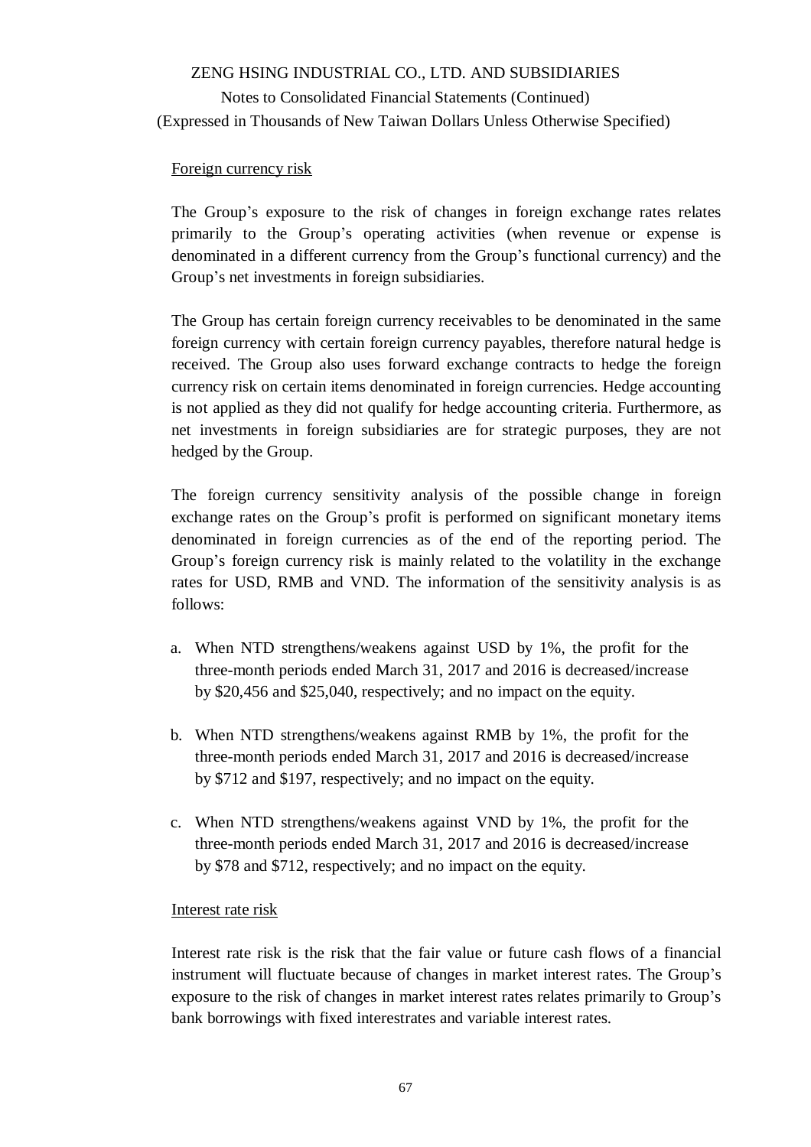### Foreign currency risk

The Group's exposure to the risk of changes in foreign exchange rates relates primarily to the Group's operating activities (when revenue or expense is denominated in a different currency from the Group's functional currency) and the Group's net investments in foreign subsidiaries.

The Group has certain foreign currency receivables to be denominated in the same foreign currency with certain foreign currency payables, therefore natural hedge is received. The Group also uses forward exchange contracts to hedge the foreign currency risk on certain items denominated in foreign currencies. Hedge accounting is not applied as they did not qualify for hedge accounting criteria. Furthermore, as net investments in foreign subsidiaries are for strategic purposes, they are not hedged by the Group.

The foreign currency sensitivity analysis of the possible change in foreign exchange rates on the Group's profit is performed on significant monetary items denominated in foreign currencies as of the end of the reporting period. The Group's foreign currency risk is mainly related to the volatility in the exchange rates for USD, RMB and VND. The information of the sensitivity analysis is as follows:

- a. When NTD strengthens/weakens against USD by 1%, the profit for the three-month periods ended March 31, 2017 and 2016 is decreased/increase by \$20,456 and \$25,040, respectively; and no impact on the equity.
- b. When NTD strengthens/weakens against RMB by 1%, the profit for the three-month periods ended March 31, 2017 and 2016 is decreased/increase by \$712 and \$197, respectively; and no impact on the equity.
- c. When NTD strengthens/weakens against VND by 1%, the profit for the three-month periods ended March 31, 2017 and 2016 is decreased/increase by \$78 and \$712, respectively; and no impact on the equity.

#### Interest rate risk

Interest rate risk is the risk that the fair value or future cash flows of a financial instrument will fluctuate because of changes in market interest rates. The Group's exposure to the risk of changes in market interest rates relates primarily to Group's bank borrowings with fixed interestrates and variable interest rates.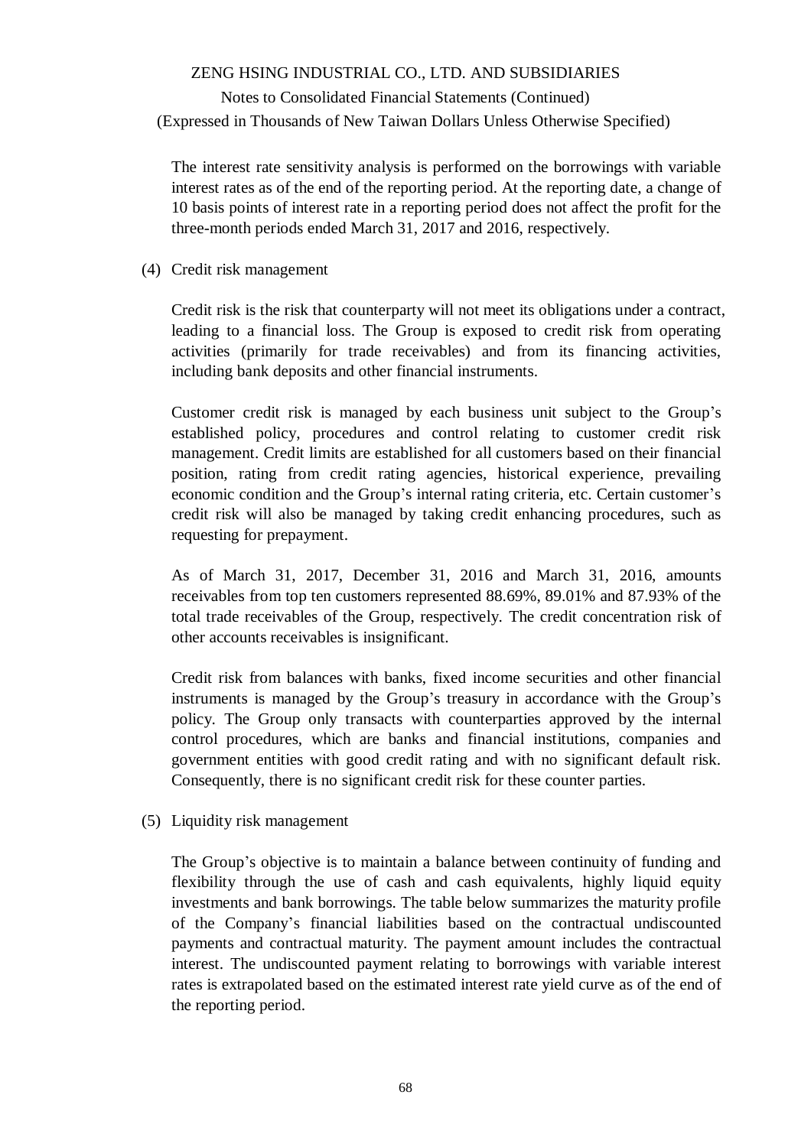Notes to Consolidated Financial Statements (Continued) (Expressed in Thousands of New Taiwan Dollars Unless Otherwise Specified)

The interest rate sensitivity analysis is performed on the borrowings with variable interest rates as of the end of the reporting period. At the reporting date, a change of 10 basis points of interest rate in a reporting period does not affect the profit for the three-month periods ended March 31, 2017 and 2016, respectively.

(4) Credit risk management

Credit risk is the risk that counterparty will not meet its obligations under a contract, leading to a financial loss. The Group is exposed to credit risk from operating activities (primarily for trade receivables) and from its financing activities, including bank deposits and other financial instruments.

Customer credit risk is managed by each business unit subject to the Group's established policy, procedures and control relating to customer credit risk management. Credit limits are established for all customers based on their financial position, rating from credit rating agencies, historical experience, prevailing economic condition and the Group's internal rating criteria, etc. Certain customer's credit risk will also be managed by taking credit enhancing procedures, such as requesting for prepayment.

As of March 31, 2017, December 31, 2016 and March 31, 2016, amounts receivables from top ten customers represented 88.69%, 89.01% and 87.93% of the total trade receivables of the Group, respectively. The credit concentration risk of other accounts receivables is insignificant.

Credit risk from balances with banks, fixed income securities and other financial instruments is managed by the Group's treasury in accordance with the Group's policy. The Group only transacts with counterparties approved by the internal control procedures, which are banks and financial institutions, companies and government entities with good credit rating and with no significant default risk. Consequently, there is no significant credit risk for these counter parties.

(5) Liquidity risk management

The Group's objective is to maintain a balance between continuity of funding and flexibility through the use of cash and cash equivalents, highly liquid equity investments and bank borrowings. The table below summarizes the maturity profile of the Company's financial liabilities based on the contractual undiscounted payments and contractual maturity. The payment amount includes the contractual interest. The undiscounted payment relating to borrowings with variable interest rates is extrapolated based on the estimated interest rate yield curve as of the end of the reporting period.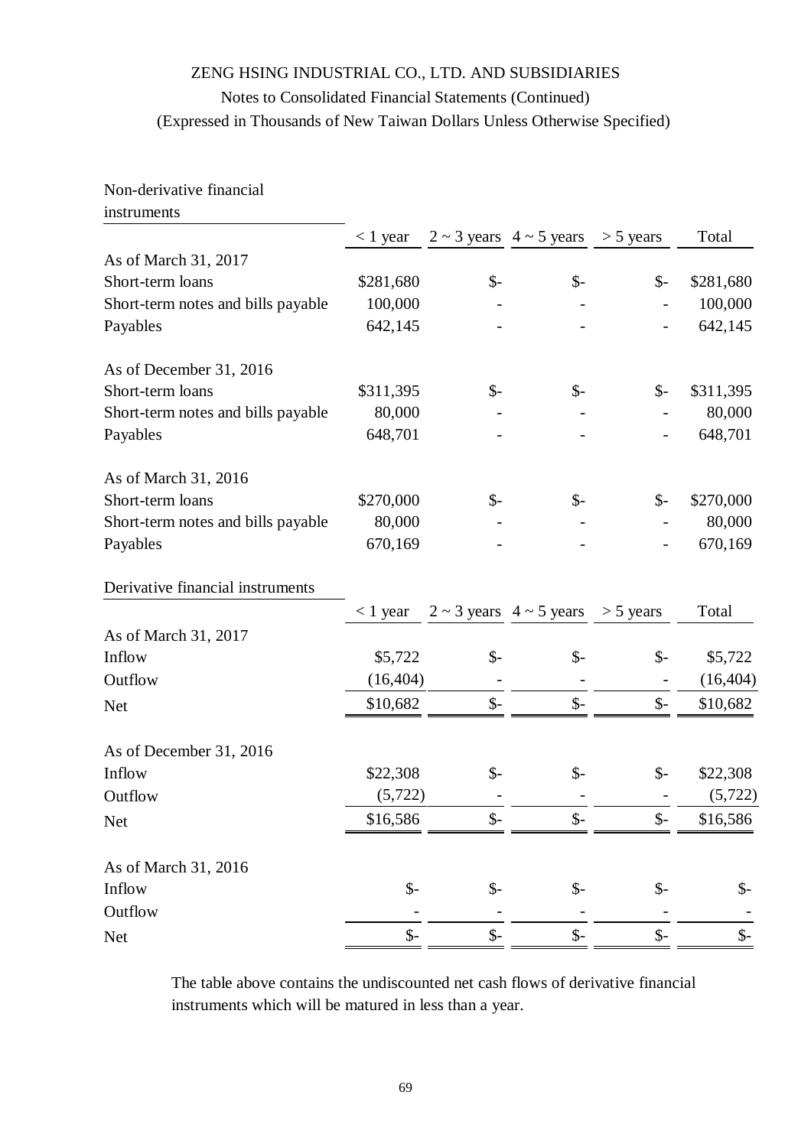| Non-derivative financial           |                 |                 |                                               |                 |                 |
|------------------------------------|-----------------|-----------------|-----------------------------------------------|-----------------|-----------------|
| instruments                        |                 |                 |                                               |                 |                 |
|                                    | $< 1$ year      |                 | $2 \sim 3$ years $4 \sim 5$ years $> 5$ years |                 | Total           |
| As of March 31, 2017               |                 |                 |                                               |                 |                 |
| Short-term loans                   | \$281,680       | $\mathcal{S}$ - | $\mathcal{S}$ -                               | $\mathcal{S}$ - | \$281,680       |
| Short-term notes and bills payable | 100,000         |                 |                                               |                 | 100,000         |
| Payables                           | 642,145         |                 |                                               |                 | 642,145         |
| As of December 31, 2016            |                 |                 |                                               |                 |                 |
| Short-term loans                   | \$311,395       | $\mathcal{S}$ - | $\mathcal{S}$ -                               | $\mathcal{S}$ - | \$311,395       |
| Short-term notes and bills payable | 80,000          |                 |                                               |                 | 80,000          |
| Payables                           | 648,701         |                 |                                               |                 | 648,701         |
| As of March 31, 2016               |                 |                 |                                               |                 |                 |
| Short-term loans                   | \$270,000       | $\frac{1}{2}$   | $\mathcal{S}$ -                               | $\mathcal{S}$ - | \$270,000       |
| Short-term notes and bills payable | 80,000          |                 |                                               |                 | 80,000          |
| Payables                           | 670,169         |                 |                                               |                 | 670,169         |
| Derivative financial instruments   |                 |                 |                                               |                 |                 |
|                                    | $< 1$ year      |                 | $2 \sim 3$ years $4 \sim 5$ years $> 5$ years |                 | Total           |
| As of March 31, 2017               |                 |                 |                                               |                 |                 |
| Inflow                             | \$5,722         | $\frac{1}{2}$   | $\mathcal{S}$ -                               | $\mathcal{S}$ - | \$5,722         |
| Outflow                            | (16, 404)       |                 |                                               |                 | (16, 404)       |
| <b>Net</b>                         | \$10,682        | $\mathcal{S}$ - | $\mathcal{S}$ -                               | $\mathcal{S}$ - | \$10,682        |
| As of December 31, 2016            |                 |                 |                                               |                 |                 |
| Inflow                             | \$22,308        | $\mathcal{S}$ - | $\mathcal{S}$ -                               | $\mathcal{S}$ - | \$22,308        |
| Outflow                            | (5, 722)        |                 |                                               |                 | (5, 722)        |
| Net                                | \$16,586        | $\frac{1}{2}$   | $\mathsf{\$}$                                 | \$-             | \$16,586        |
| As of March 31, 2016               |                 |                 |                                               |                 |                 |
| Inflow                             | $\mathcal{S}$ - | $\mathcal{S}$ - | $\frac{1}{2}$                                 | \$-             | $\mathcal{S}$ - |
| Outflow                            |                 |                 |                                               |                 |                 |
| Net                                | $\frac{1}{2}$   | \$-             | \$-                                           | $\mathcal{S}$ - | $\mathcal{S}$ - |

The table above contains the undiscounted net cash flows of derivative financial instruments which will be matured in less than a year.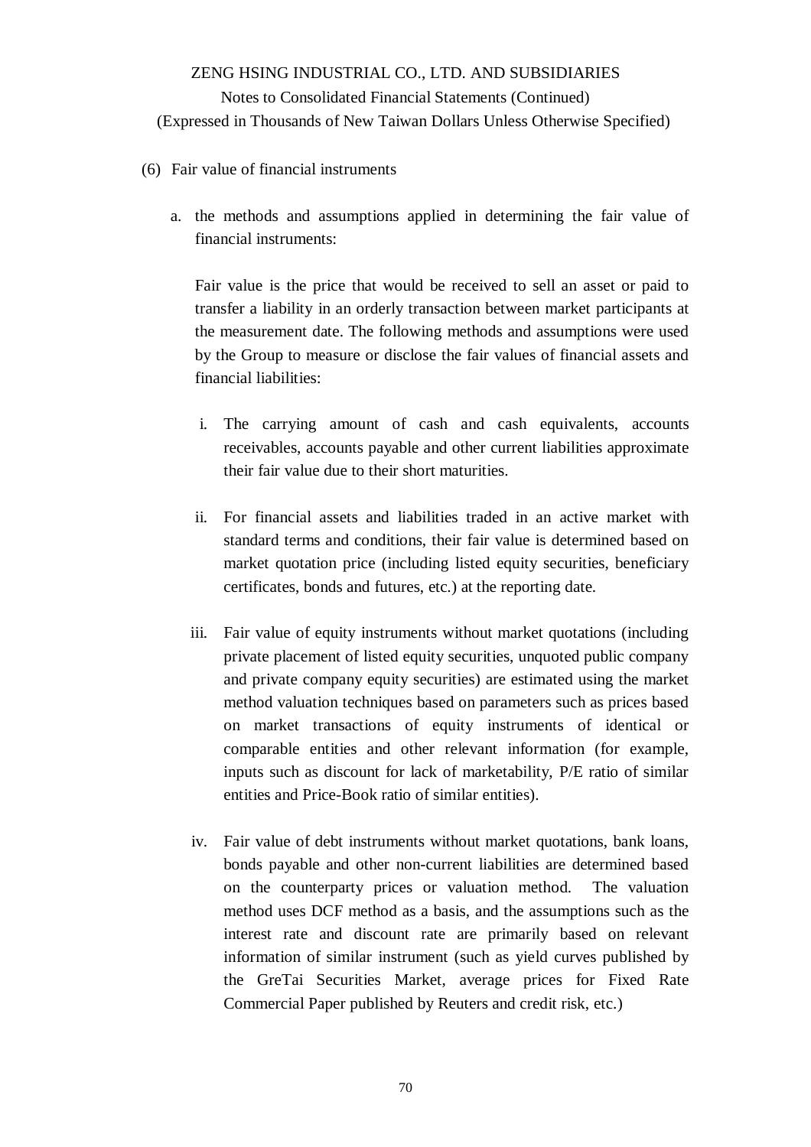- (6) Fair value of financial instruments
	- a. the methods and assumptions applied in determining the fair value of financial instruments:

Fair value is the price that would be received to sell an asset or paid to transfer a liability in an orderly transaction between market participants at the measurement date. The following methods and assumptions were used by the Group to measure or disclose the fair values of financial assets and financial liabilities:

- i. The carrying amount of cash and cash equivalents, accounts receivables, accounts payable and other current liabilities approximate their fair value due to their short maturities.
- ii. For financial assets and liabilities traded in an active market with standard terms and conditions, their fair value is determined based on market quotation price (including listed equity securities, beneficiary certificates, bonds and futures, etc.) at the reporting date.
- iii. Fair value of equity instruments without market quotations (including private placement of listed equity securities, unquoted public company and private company equity securities) are estimated using the market method valuation techniques based on parameters such as prices based on market transactions of equity instruments of identical or comparable entities and other relevant information (for example, inputs such as discount for lack of marketability, P/E ratio of similar entities and Price-Book ratio of similar entities).
- iv. Fair value of debt instruments without market quotations, bank loans, bonds payable and other non-current liabilities are determined based on the counterparty prices or valuation method. The valuation method uses DCF method as a basis, and the assumptions such as the interest rate and discount rate are primarily based on relevant information of similar instrument (such as yield curves published by the GreTai Securities Market, average prices for Fixed Rate Commercial Paper published by Reuters and credit risk, etc.)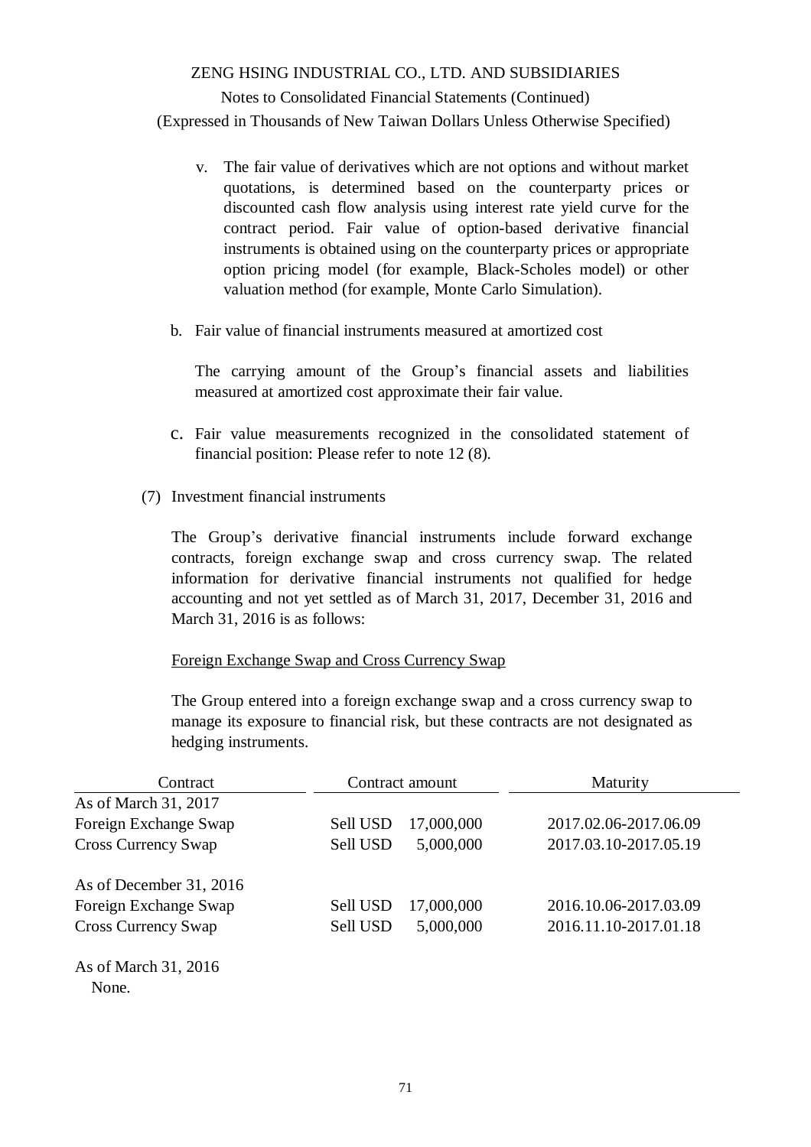# Notes to Consolidated Financial Statements (Continued)

(Expressed in Thousands of New Taiwan Dollars Unless Otherwise Specified)

- v. The fair value of derivatives which are not options and without market quotations, is determined based on the counterparty prices or discounted cash flow analysis using interest rate yield curve for the contract period. Fair value of option-based derivative financial instruments is obtained using on the counterparty prices or appropriate option pricing model (for example, Black-Scholes model) or other valuation method (for example, Monte Carlo Simulation).
- b. Fair value of financial instruments measured at amortized cost

The carrying amount of the Group's financial assets and liabilities measured at amortized cost approximate their fair value.

- c. Fair value measurements recognized in the consolidated statement of financial position: Please refer to note 12 (8).
- (7) Investment financial instruments

The Group's derivative financial instruments include forward exchange contracts, foreign exchange swap and cross currency swap. The related information for derivative financial instruments not qualified for hedge accounting and not yet settled as of March 31, 2017, December 31, 2016 and March 31, 2016 is as follows:

#### Foreign Exchange Swap and Cross Currency Swap

The Group entered into a foreign exchange swap and a cross currency swap to manage its exposure to financial risk, but these contracts are not designated as hedging instruments.

| Contract                   |          | Contract amount | Maturity              |  |
|----------------------------|----------|-----------------|-----------------------|--|
| As of March 31, 2017       |          |                 |                       |  |
| Foreign Exchange Swap      | Sell USD | 17,000,000      | 2017.02.06-2017.06.09 |  |
| <b>Cross Currency Swap</b> | Sell USD | 5,000,000       | 2017.03.10-2017.05.19 |  |
| As of December 31, 2016    |          |                 |                       |  |
| Foreign Exchange Swap      | Sell USD | 17,000,000      | 2016.10.06-2017.03.09 |  |
| <b>Cross Currency Swap</b> | Sell USD | 5,000,000       | 2016.11.10-2017.01.18 |  |
| As of March 31, 2016       |          |                 |                       |  |
| None.                      |          |                 |                       |  |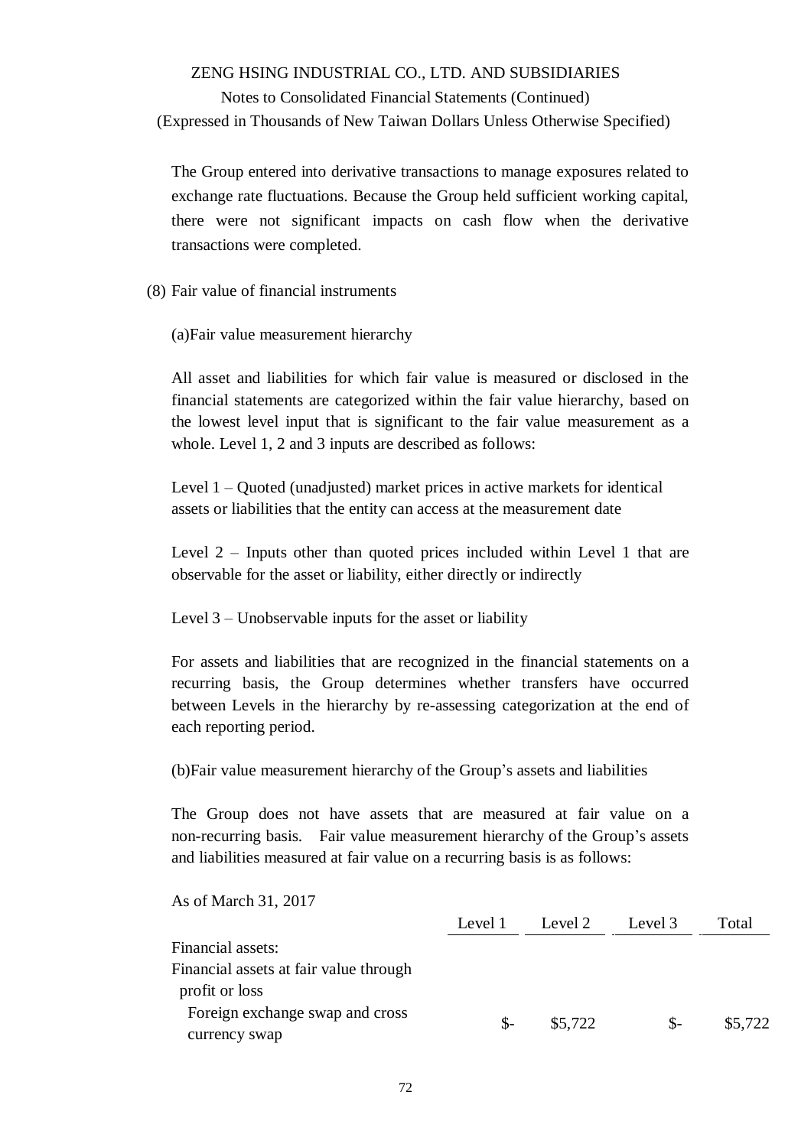Notes to Consolidated Financial Statements (Continued) (Expressed in Thousands of New Taiwan Dollars Unless Otherwise Specified)

The Group entered into derivative transactions to manage exposures related to exchange rate fluctuations. Because the Group held sufficient working capital, there were not significant impacts on cash flow when the derivative transactions were completed.

(8) Fair value of financial instruments

(a)Fair value measurement hierarchy

All asset and liabilities for which fair value is measured or disclosed in the financial statements are categorized within the fair value hierarchy, based on the lowest level input that is significant to the fair value measurement as a whole. Level 1, 2 and 3 inputs are described as follows:

Level 1 – Quoted (unadjusted) market prices in active markets for identical assets or liabilities that the entity can access at the measurement date

Level 2 – Inputs other than quoted prices included within Level 1 that are observable for the asset or liability, either directly or indirectly

Level 3 – Unobservable inputs for the asset or liability

For assets and liabilities that are recognized in the financial statements on a recurring basis, the Group determines whether transfers have occurred between Levels in the hierarchy by re-assessing categorization at the end of each reporting period.

(b)Fair value measurement hierarchy of the Group's assets and liabilities

The Group does not have assets that are measured at fair value on a non-recurring basis. Fair value measurement hierarchy of the Group's assets and liabilities measured at fair value on a recurring basis is as follows:

As of March 31, 2017

|                                        | Level 1 | Level 2 | Level 3 | Total   |
|----------------------------------------|---------|---------|---------|---------|
| Financial assets:                      |         |         |         |         |
| Financial assets at fair value through |         |         |         |         |
| profit or loss                         |         |         |         |         |
| Foreign exchange swap and cross        | $S-$    | \$5,722 | $S-$    | \$5,722 |
| currency swap                          |         |         |         |         |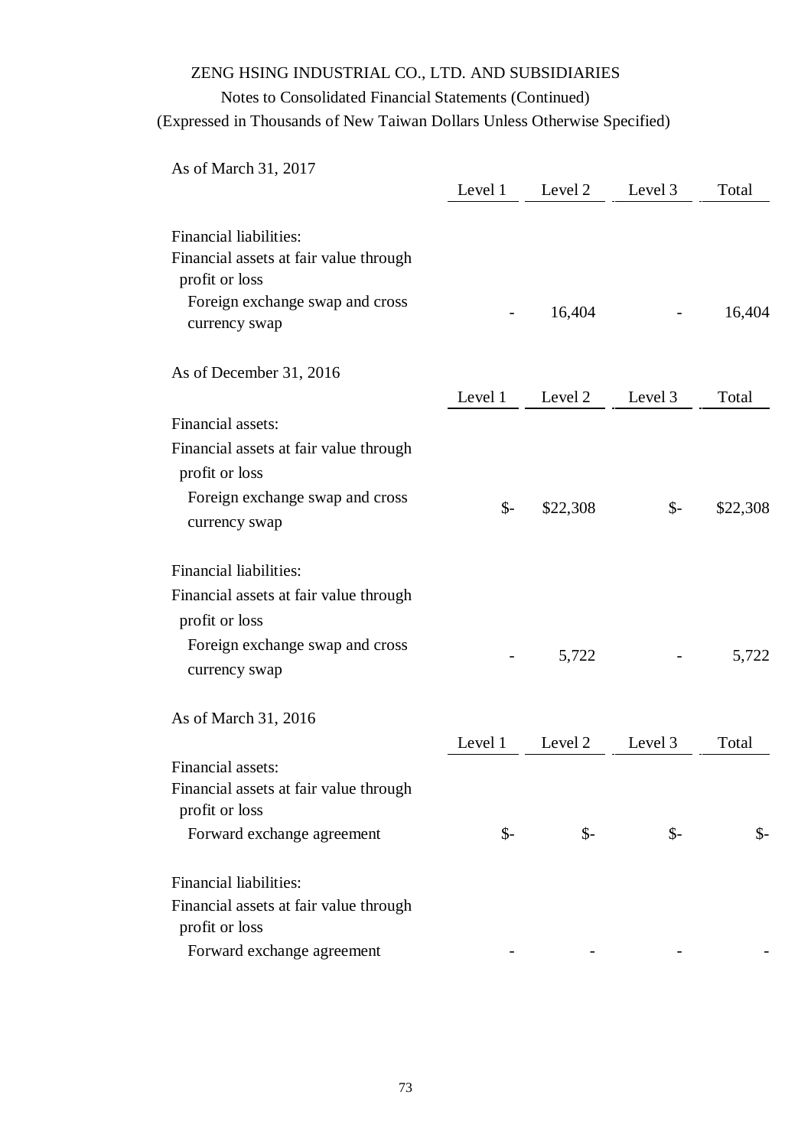# Notes to Consolidated Financial Statements (Continued) (Expressed in Thousands of New Taiwan Dollars Unless Otherwise Specified)

As of March 31, 2017

|                                                          | Level 1        | Level 2         | Level 3 | Total           |
|----------------------------------------------------------|----------------|-----------------|---------|-----------------|
| Financial liabilities:                                   |                |                 |         |                 |
| Financial assets at fair value through                   |                |                 |         |                 |
| profit or loss                                           |                |                 |         |                 |
| Foreign exchange swap and cross                          |                | 16,404          |         | 16,404          |
| currency swap                                            |                |                 |         |                 |
| As of December 31, 2016                                  |                |                 |         |                 |
|                                                          | Level 1        | Level 2         | Level 3 | Total           |
| Financial assets:                                        |                |                 |         |                 |
| Financial assets at fair value through                   |                |                 |         |                 |
| profit or loss                                           |                |                 |         |                 |
| Foreign exchange swap and cross                          | $\mathsf{S}$ - | \$22,308        | \$-     | \$22,308        |
| currency swap                                            |                |                 |         |                 |
| Financial liabilities:                                   |                |                 |         |                 |
| Financial assets at fair value through                   |                |                 |         |                 |
| profit or loss                                           |                |                 |         |                 |
| Foreign exchange swap and cross                          |                | 5,722           |         | 5,722           |
| currency swap                                            |                |                 |         |                 |
| As of March 31, 2016                                     |                |                 |         |                 |
|                                                          | Level 1        | Level 2         | Level 3 | Total           |
| Financial assets:                                        |                |                 |         |                 |
| Financial assets at fair value through<br>profit or loss |                |                 |         |                 |
| Forward exchange agreement                               | $\mathsf{S}$ - | $\mathcal{S}$ - | \$-     | $\mathcal{S}$ - |
| Financial liabilities:                                   |                |                 |         |                 |
| Financial assets at fair value through                   |                |                 |         |                 |
| profit or loss                                           |                |                 |         |                 |
| Forward exchange agreement                               |                |                 |         |                 |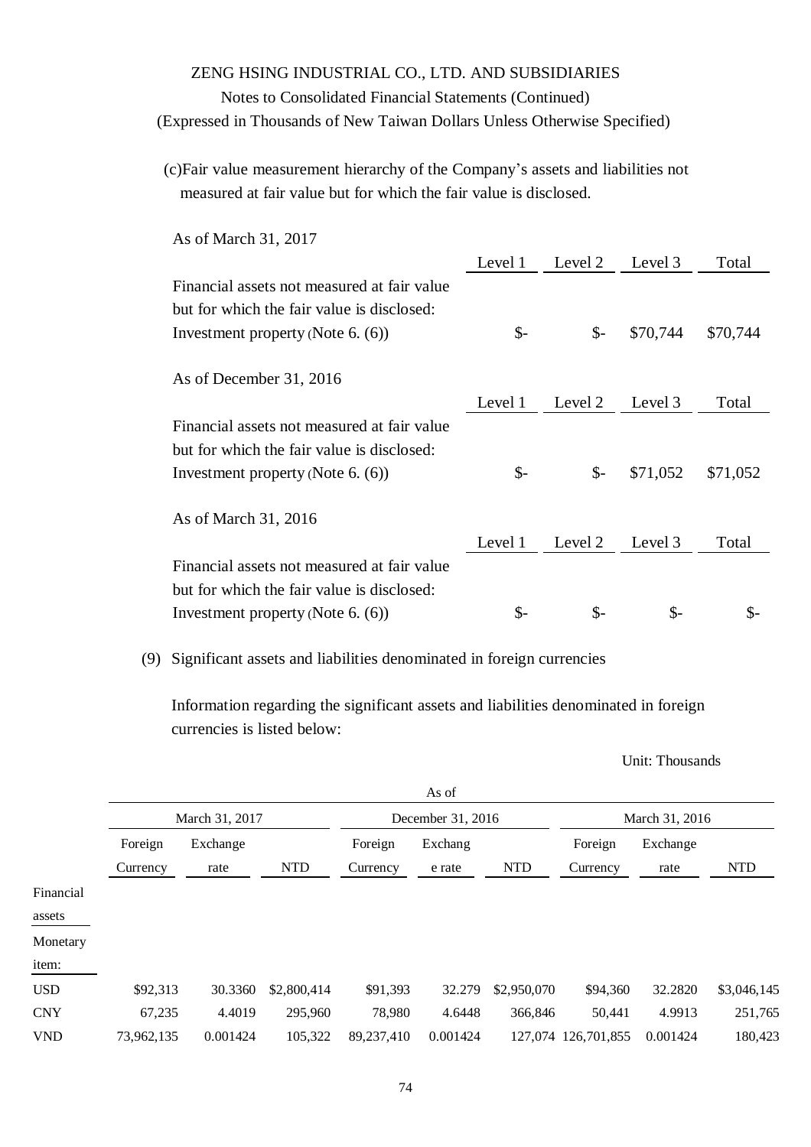## Notes to Consolidated Financial Statements (Continued) (Expressed in Thousands of New Taiwan Dollars Unless Otherwise Specified)

(c)Fair value measurement hierarchy of the Company's assets and liabilities not measured at fair value but for which the fair value is disclosed.

| As of March 31, 2017                        |                |                 |                |          |
|---------------------------------------------|----------------|-----------------|----------------|----------|
|                                             | Level 1        | Level 2         | Level 3        | Total    |
| Financial assets not measured at fair value |                |                 |                |          |
| but for which the fair value is disclosed:  |                |                 |                |          |
| Investment property (Note $6. (6)$ )        | $\mathsf{S}$ - | $\mathcal{S}$ - | \$70,744       | \$70,744 |
| As of December 31, 2016                     |                |                 |                |          |
|                                             | Level 1        | Level 2         | Level 3        | Total    |
| Financial assets not measured at fair value |                |                 |                |          |
| but for which the fair value is disclosed:  |                |                 |                |          |
| Investment property (Note $6. (6)$ )        | $\mathsf{S}$ - | $\mathcal{S}$ - | \$71,052       | \$71,052 |
| As of March 31, 2016                        |                |                 |                |          |
|                                             | Level 1        | Level 2         | Level 3        | Total    |
| Financial assets not measured at fair value |                |                 |                |          |
| but for which the fair value is disclosed:  |                |                 |                |          |
| Investment property (Note $6. (6)$ )        | \$-            | \$-             | $\mathbb{S}^-$ | \$-      |

(9) Significant assets and liabilities denominated in foreign currencies

Information regarding the significant assets and liabilities denominated in foreign currencies is listed below:

#### Unit: Thousands

|            |                     |                  |             |                     | As of             |             |                     |                  |             |  |
|------------|---------------------|------------------|-------------|---------------------|-------------------|-------------|---------------------|------------------|-------------|--|
|            |                     | March 31, 2017   |             |                     | December 31, 2016 |             | March 31, 2016      |                  |             |  |
|            | Foreign<br>Currency | Exchange<br>rate | <b>NTD</b>  | Foreign<br>Currency | Exchang<br>e rate | <b>NTD</b>  | Foreign<br>Currency | Exchange<br>rate | <b>NTD</b>  |  |
| Financial  |                     |                  |             |                     |                   |             |                     |                  |             |  |
| assets     |                     |                  |             |                     |                   |             |                     |                  |             |  |
| Monetary   |                     |                  |             |                     |                   |             |                     |                  |             |  |
| item:      |                     |                  |             |                     |                   |             |                     |                  |             |  |
| <b>USD</b> | \$92,313            | 30.3360          | \$2,800,414 | \$91,393            | 32.279            | \$2,950,070 | \$94,360            | 32.2820          | \$3,046,145 |  |
| <b>CNY</b> | 67,235              | 4.4019           | 295,960     | 78,980              | 4.6448            | 366,846     | 50,441              | 4.9913           | 251,765     |  |
| <b>VND</b> | 73,962,135          | 0.001424         | 105,322     | 89,237,410          | 0.001424          |             | 127,074 126,701,855 | 0.001424         | 180,423     |  |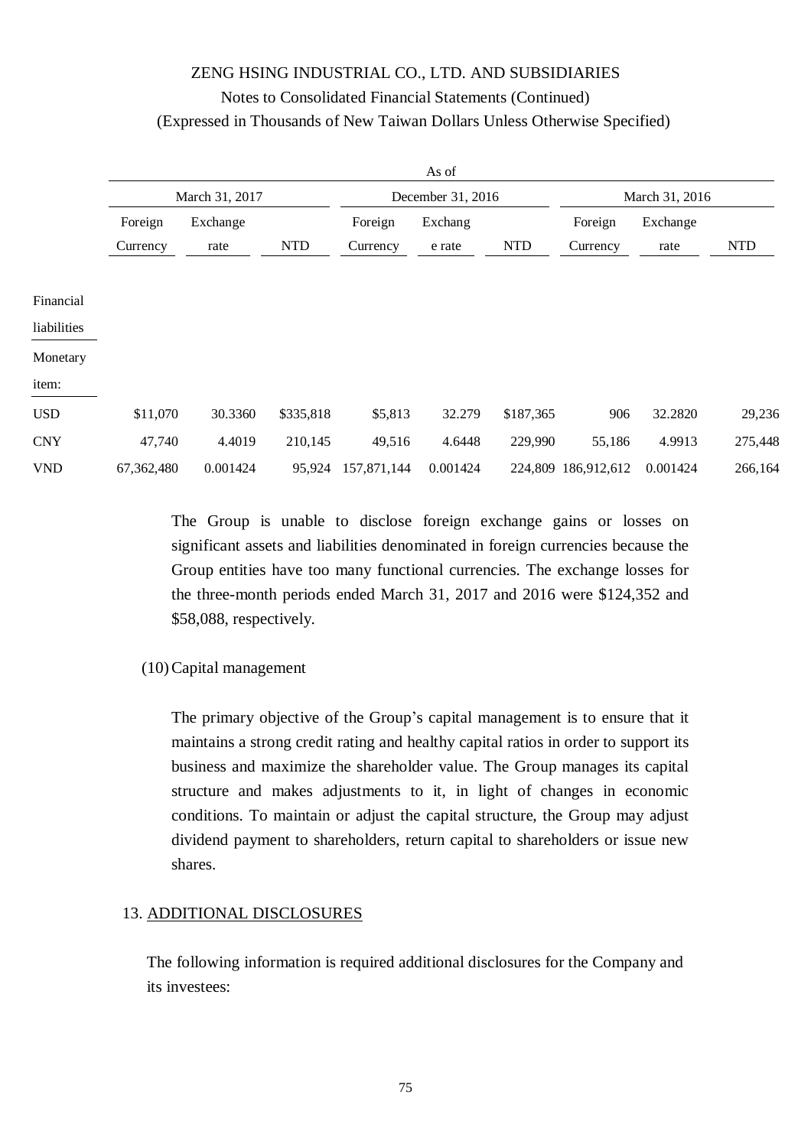# ZENG HSING INDUSTRIAL CO., LTD. AND SUBSIDIARIES Notes to Consolidated Financial Statements (Continued) (Expressed in Thousands of New Taiwan Dollars Unless Otherwise Specified)

|             |            |                |            |             | As of             |            |                     |                |            |
|-------------|------------|----------------|------------|-------------|-------------------|------------|---------------------|----------------|------------|
|             |            | March 31, 2017 |            |             | December 31, 2016 |            |                     | March 31, 2016 |            |
|             | Foreign    | Exchange       |            | Foreign     | Exchang           |            | Foreign             | Exchange       |            |
|             | Currency   | rate           | <b>NTD</b> | Currency    | e rate            | <b>NTD</b> | Currency            | rate           | <b>NTD</b> |
| Financial   |            |                |            |             |                   |            |                     |                |            |
| liabilities |            |                |            |             |                   |            |                     |                |            |
| Monetary    |            |                |            |             |                   |            |                     |                |            |
| item:       |            |                |            |             |                   |            |                     |                |            |
| <b>USD</b>  | \$11,070   | 30.3360        | \$335,818  | \$5,813     | 32.279            | \$187,365  | 906                 | 32.2820        | 29,236     |
| <b>CNY</b>  | 47,740     | 4.4019         | 210,145    | 49,516      | 4.6448            | 229,990    | 55,186              | 4.9913         | 275,448    |
| <b>VND</b>  | 67,362,480 | 0.001424       | 95,924     | 157,871,144 | 0.001424          |            | 224,809 186,912,612 | 0.001424       | 266,164    |

The Group is unable to disclose foreign exchange gains or losses on significant assets and liabilities denominated in foreign currencies because the Group entities have too many functional currencies. The exchange losses for the three-month periods ended March 31, 2017 and 2016 were \$124,352 and \$58,088, respectively.

## (10)Capital management

The primary objective of the Group's capital management is to ensure that it maintains a strong credit rating and healthy capital ratios in order to support its business and maximize the shareholder value. The Group manages its capital structure and makes adjustments to it, in light of changes in economic conditions. To maintain or adjust the capital structure, the Group may adjust dividend payment to shareholders, return capital to shareholders or issue new shares.

## 13. ADDITIONAL DISCLOSURES

The following information is required additional disclosures for the Company and its investees: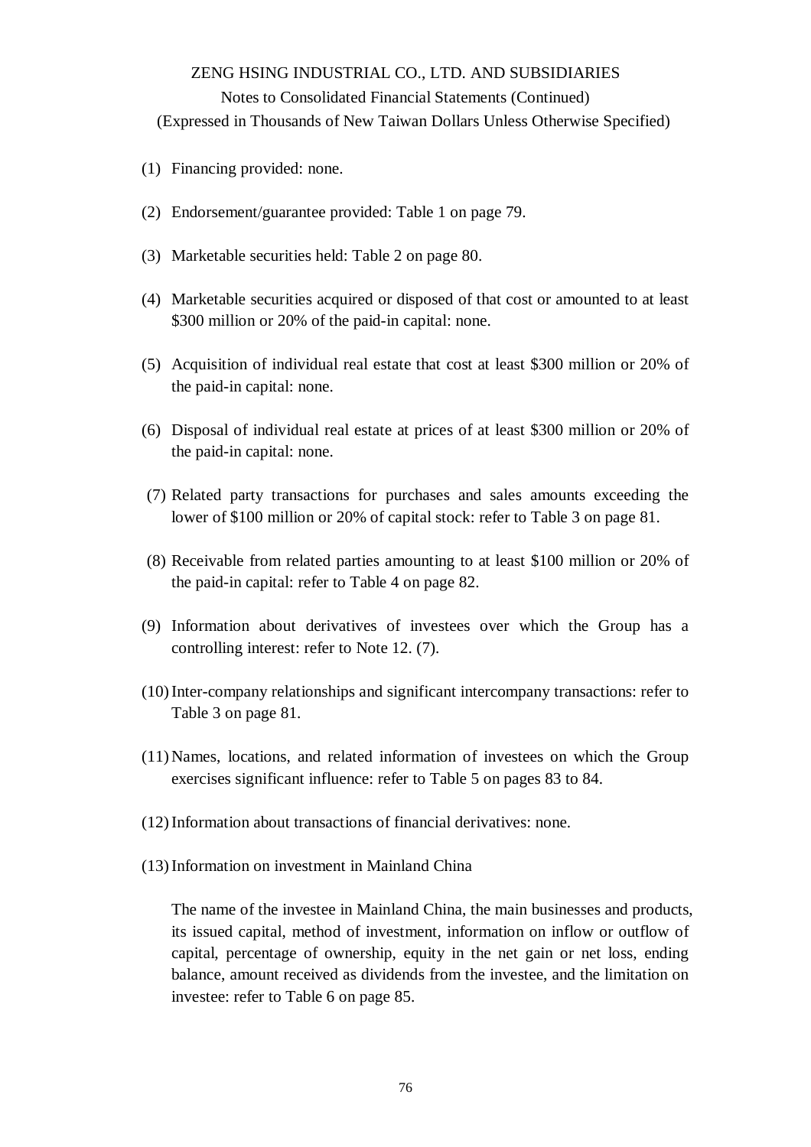#### Notes to Consolidated Financial Statements (Continued)

(Expressed in Thousands of New Taiwan Dollars Unless Otherwise Specified)

- (1) Financing provided: none.
- (2) Endorsement/guarantee provided: Table 1 on page 79.
- (3) Marketable securities held: Table 2 on page 80.
- (4) Marketable securities acquired or disposed of that cost or amounted to at least \$300 million or 20% of the paid-in capital: none.
- (5) Acquisition of individual real estate that cost at least \$300 million or 20% of the paid-in capital: none.
- (6) Disposal of individual real estate at prices of at least \$300 million or 20% of the paid-in capital: none.
- (7) Related party transactions for purchases and sales amounts exceeding the lower of \$100 million or 20% of capital stock: refer to Table 3 on page 81.
- (8) Receivable from related parties amounting to at least \$100 million or 20% of the paid-in capital: refer to Table 4 on page 82.
- (9) Information about derivatives of investees over which the Group has a controlling interest: refer to Note 12. (7).
- (10)Inter-company relationships and significant intercompany transactions: refer to Table 3 on page 81.
- (11) Names, locations, and related information of investees on which the Group exercises significant influence: refer to Table 5 on pages 83 to 84.
- (12)Information about transactions of financial derivatives: none.
- (13)Information on investment in Mainland China

The name of the investee in Mainland China, the main businesses and products, its issued capital, method of investment, information on inflow or outflow of capital, percentage of ownership, equity in the net gain or net loss, ending balance, amount received as dividends from the investee, and the limitation on investee: refer to Table 6 on page 85.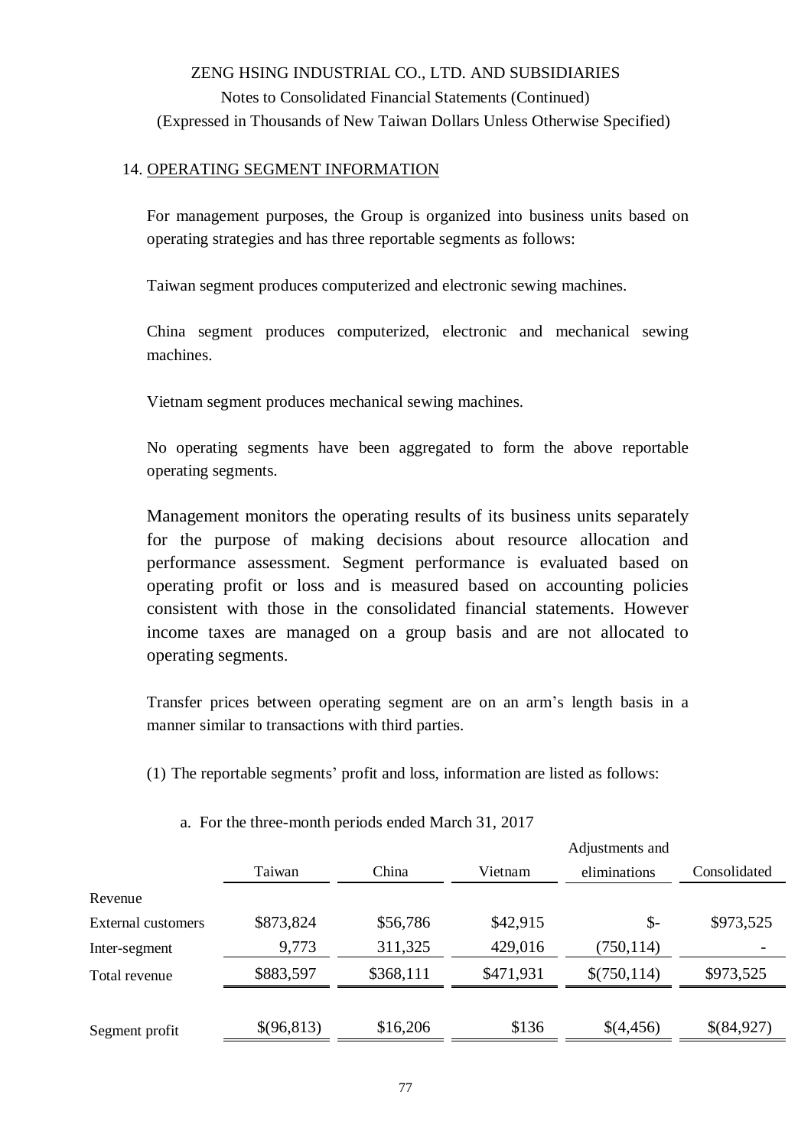# ZENG HSING INDUSTRIAL CO., LTD. AND SUBSIDIARIES Notes to Consolidated Financial Statements (Continued) (Expressed in Thousands of New Taiwan Dollars Unless Otherwise Specified)

### 14. OPERATING SEGMENT INFORMATION

For management purposes, the Group is organized into business units based on operating strategies and has three reportable segments as follows:

Taiwan segment produces computerized and electronic sewing machines.

China segment produces computerized, electronic and mechanical sewing machines.

Vietnam segment produces mechanical sewing machines.

No operating segments have been aggregated to form the above reportable operating segments.

Management monitors the operating results of its business units separately for the purpose of making decisions about resource allocation and performance assessment. Segment performance is evaluated based on operating profit or loss and is measured based on accounting policies consistent with those in the consolidated financial statements. However income taxes are managed on a group basis and are not allocated to operating segments.

Transfer prices between operating segment are on an arm's length basis in a manner similar to transactions with third parties.

(1) The reportable segments' profit and loss, information are listed as follows:

|                    |            |           |           | Adjustments and |              |
|--------------------|------------|-----------|-----------|-----------------|--------------|
|                    | Taiwan     | China     | Vietnam   | eliminations    | Consolidated |
| Revenue            |            |           |           |                 |              |
| External customers | \$873,824  | \$56,786  | \$42,915  | $\mathcal{S}$ - | \$973,525    |
| Inter-segment      | 9,773      | 311,325   | 429,016   | (750, 114)      |              |
| Total revenue      | \$883,597  | \$368,111 | \$471,931 | \$(750,114)     | \$973,525    |
|                    |            |           |           |                 |              |
| Segment profit     | \$(96,813) | \$16,206  | \$136     | \$(4,456)       | \$(84,927)   |

a. For the three-month periods ended March 31, 2017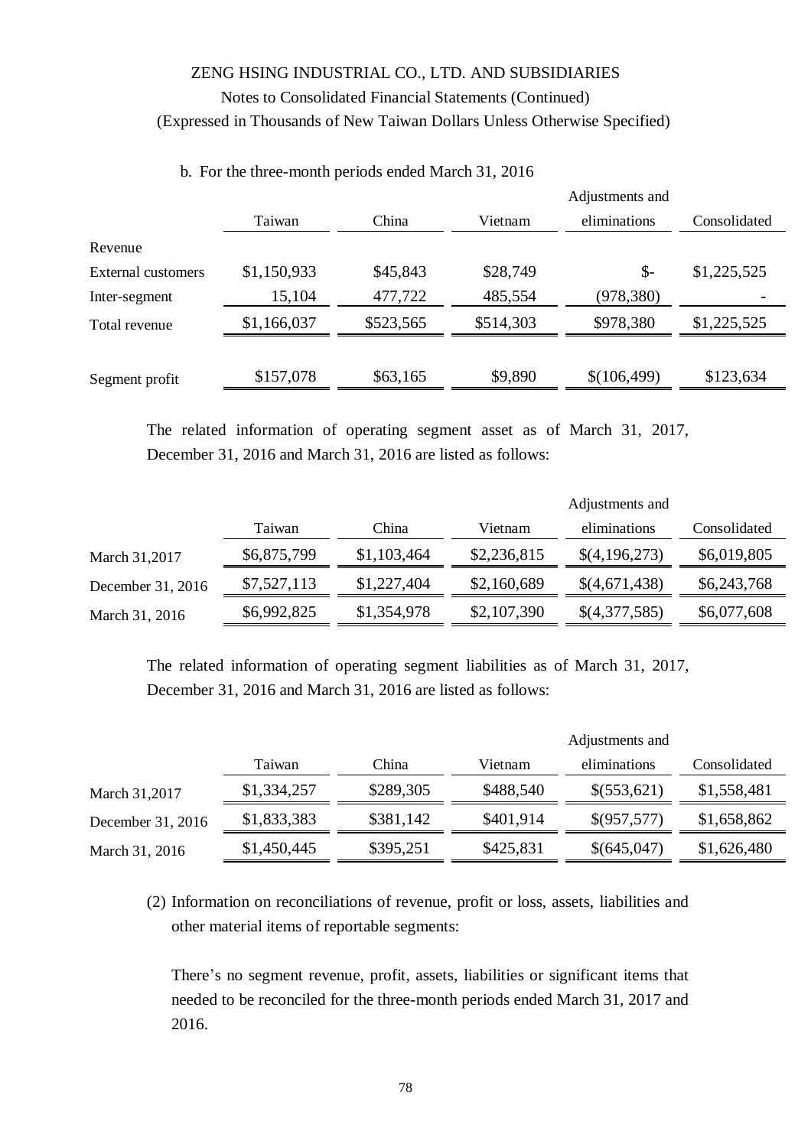# ZENG HSING INDUSTRIAL CO., LTD. AND SUBSIDIARIES Notes to Consolidated Financial Statements (Continued) (Expressed in Thousands of New Taiwan Dollars Unless Otherwise Specified)

|                    |             |           |           | Adjustments and |              |
|--------------------|-------------|-----------|-----------|-----------------|--------------|
|                    | Taiwan      | China     | Vietnam   | eliminations    | Consolidated |
| Revenue            |             |           |           |                 |              |
| External customers | \$1,150,933 | \$45,843  | \$28,749  | $\mathcal{S}$ - | \$1,225,525  |
| Inter-segment      | 15,104      | 477,722   | 485,554   | (978, 380)      |              |
| Total revenue      | \$1,166,037 | \$523,565 | \$514,303 | \$978,380       | \$1,225,525  |
|                    |             |           |           |                 |              |
| Segment profit     | \$157,078   | \$63,165  | \$9,890   | \$(106,499)     | \$123,634    |

### b. For the three-month periods ended March 31, 2016

The related information of operating segment asset as of March 31, 2017, December 31, 2016 and March 31, 2016 are listed as follows:

|                   |             |             |             | Adjustments and |              |
|-------------------|-------------|-------------|-------------|-----------------|--------------|
|                   | Taiwan      | China       | Vietnam     | eliminations    | Consolidated |
| March 31,2017     | \$6,875,799 | \$1,103,464 | \$2,236,815 | \$(4,196,273)   | \$6,019,805  |
| December 31, 2016 | \$7,527,113 | \$1,227,404 | \$2,160,689 | \$(4,671,438)   | \$6,243,768  |
| March 31, 2016    | \$6,992,825 | \$1,354,978 | \$2,107,390 | \$(4,377,585)   | \$6,077,608  |

The related information of operating segment liabilities as of March 31, 2017, December 31, 2016 and March 31, 2016 are listed as follows:

|                   |             |           |           | Adjustments and |              |
|-------------------|-------------|-----------|-----------|-----------------|--------------|
|                   | Taiwan      | China     | Vietnam   | eliminations    | Consolidated |
| March 31,2017     | \$1,334,257 | \$289,305 | \$488,540 | $\$(553,621)$   | \$1,558,481  |
| December 31, 2016 | \$1,833,383 | \$381,142 | \$401,914 | \$(957,577)     | \$1,658,862  |
| March 31, 2016    | \$1,450,445 | \$395,251 | \$425,831 | \$(645,047)     | \$1,626,480  |

(2) Information on reconciliations of revenue, profit or loss, assets, liabilities and other material items of reportable segments:

There's no segment revenue, profit, assets, liabilities or significant items that needed to be reconciled for the three-month periods ended March 31, 2017 and 2016.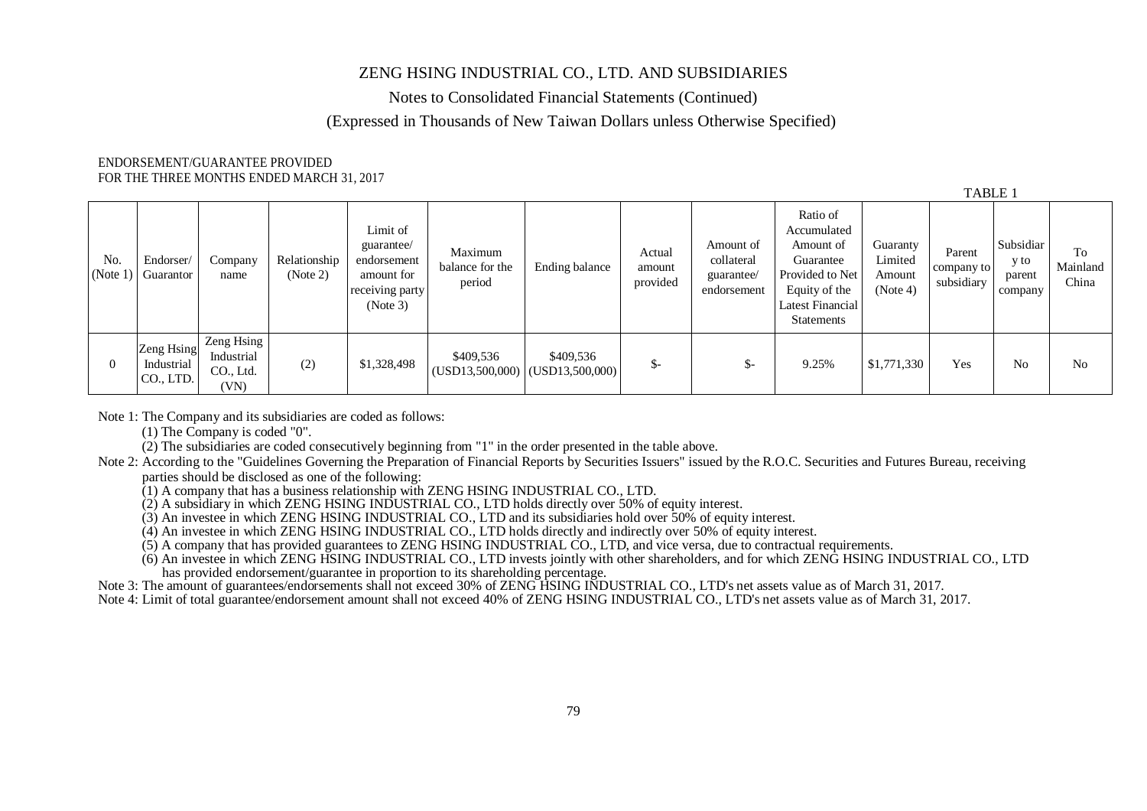Notes to Consolidated Financial Statements (Continued)

### (Expressed in Thousands of New Taiwan Dollars unless Otherwise Specified)

#### ENDORSEMENT/GUARANTEE PROVIDED FOR THE THREE MONTHS ENDED MARCH 31, 2017

|                 |                                       |                                               |                          |                                                                                    |                                      |                                              |                              |                                                      |                                                                                                                                |                                           | TABLE 1                            |                                        |                         |
|-----------------|---------------------------------------|-----------------------------------------------|--------------------------|------------------------------------------------------------------------------------|--------------------------------------|----------------------------------------------|------------------------------|------------------------------------------------------|--------------------------------------------------------------------------------------------------------------------------------|-------------------------------------------|------------------------------------|----------------------------------------|-------------------------|
| No.<br>(Note 1) | Endorser/<br>Guarantor                | Company<br>name                               | Relationship<br>(Note 2) | Limit of<br>guarantee/<br>endorsement<br>amount for<br>receiving party<br>(Note 3) | Maximum<br>balance for the<br>period | Ending balance                               | Actual<br>amount<br>provided | Amount of<br>collateral<br>guarantee/<br>endorsement | Ratio of<br>Accumulated<br>Amount of<br>Guarantee<br>Provided to Net<br>Equity of the<br>Latest Financial<br><b>Statements</b> | Guaranty<br>Limited<br>Amount<br>(Note 4) | Parent<br>company to<br>subsidiary | Subsidiar<br>y to<br>parent<br>company | To<br>Mainland<br>China |
|                 | Zeng Hsing<br>Industrial<br>CO., LTD. | Zeng Hsing<br>Industrial<br>CO., Ltd.<br>(VN) | (2)                      | \$1,328,498                                                                        | \$409,536                            | \$409,536<br>(USD13,500,000) (USD13,500,000) | $\mathsf{S}$                 | \$-                                                  | 9.25%                                                                                                                          | \$1,771,330                               | Yes                                | N <sub>0</sub>                         | N <sub>o</sub>          |

Note 1: The Company and its subsidiaries are coded as follows:

(1) The Company is coded "0".

(2) The subsidiaries are coded consecutively beginning from "1" in the order presented in the table above.

Note 2: According to the "Guidelines Governing the Preparation of Financial Reports by Securities Issuers" issued by the R.O.C. Securities and Futures Bureau, receiving parties should be disclosed as one of the following:

(1) A company that has a business relationship with ZENG HSING INDUSTRIAL CO., LTD.

 $(2)$  A subsidiary in which ZENG HSING INDUSTRIAL CO., LTD holds directly over 50% of equity interest.

(3) An investee in which ZENG HSING INDUSTRIAL CO., LTD and its subsidiaries hold over 50% of equity interest.

(4) An investee in which ZENG HSING INDUSTRIAL CO., LTD holds directly and indirectly over 50% of equity interest.

(5) A company that has provided guarantees to ZENG HSING INDUSTRIAL CO., LTD, and vice versa, due to contractual requirements.

(6) An investee in which ZENG HSING INDUSTRIAL CO., LTD invests jointly with other shareholders, and for which ZENG HSING INDUSTRIAL CO., LTD has provided endorsement/guarantee in proportion to its shareholding percentage.

Note 3: The amount of guarantees/endorsements shall not exceed 30% of ZENG HSING INDUSTRIAL CO., LTD's net assets value as of March 31, 2017.

Note 4: Limit of total guarantee/endorsement amount shall not exceed 40% of ZENG HSING INDUSTRIAL CO., LTD's net assets value as of March 31, 2017.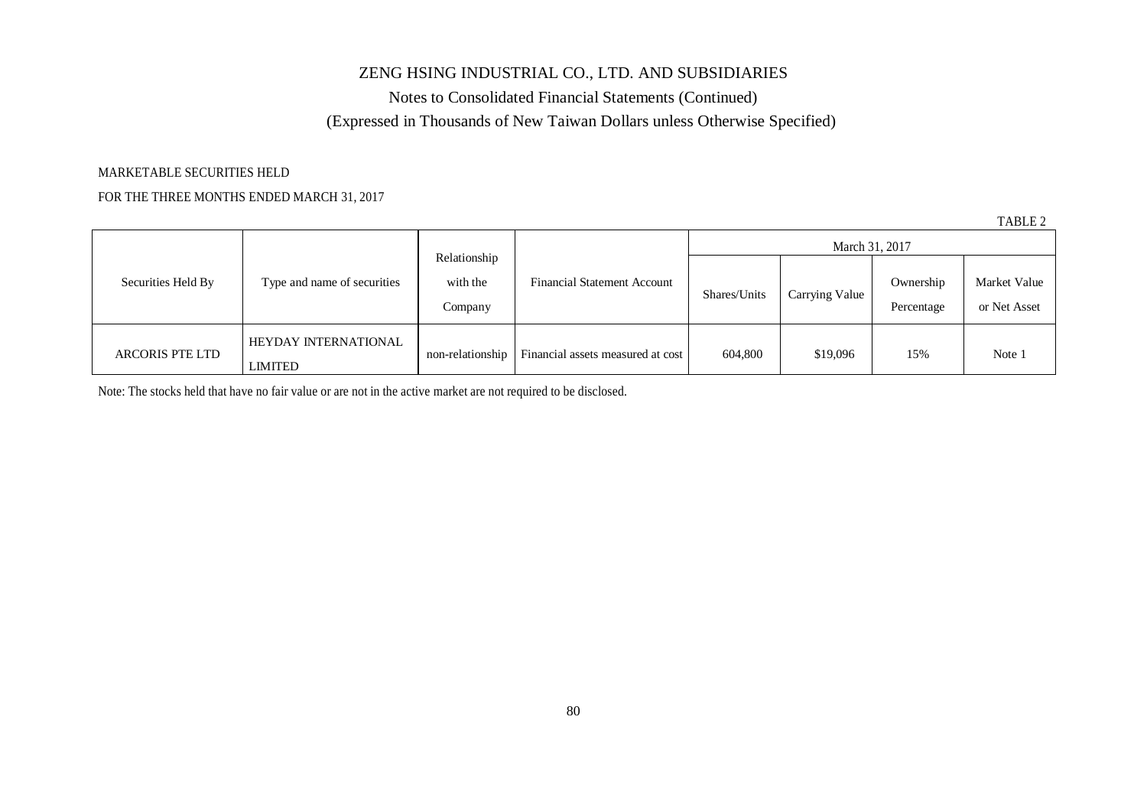Notes to Consolidated Financial Statements (Continued)

(Expressed in Thousands of New Taiwan Dollars unless Otherwise Specified)

#### MARKETABLE SECURITIES HELD

#### FOR THE THREE MONTHS ENDED MARCH 31, 2017

 TABLE 2 Securities Held By Type and name of securities Relationship with the Company Financial Statement Account March 31, 2017 Shares/Units Carrying Value Ownership Percentage Market Value or Net Asset ARCORIS PTE LTD HEYDAY INTERNATIONAL LIMITED non-relationship Financial assets measured at cost  $\begin{array}{|l} 604,800 \end{array}$  \$19,096 15% Note 1

Note: The stocks held that have no fair value or are not in the active market are not required to be disclosed.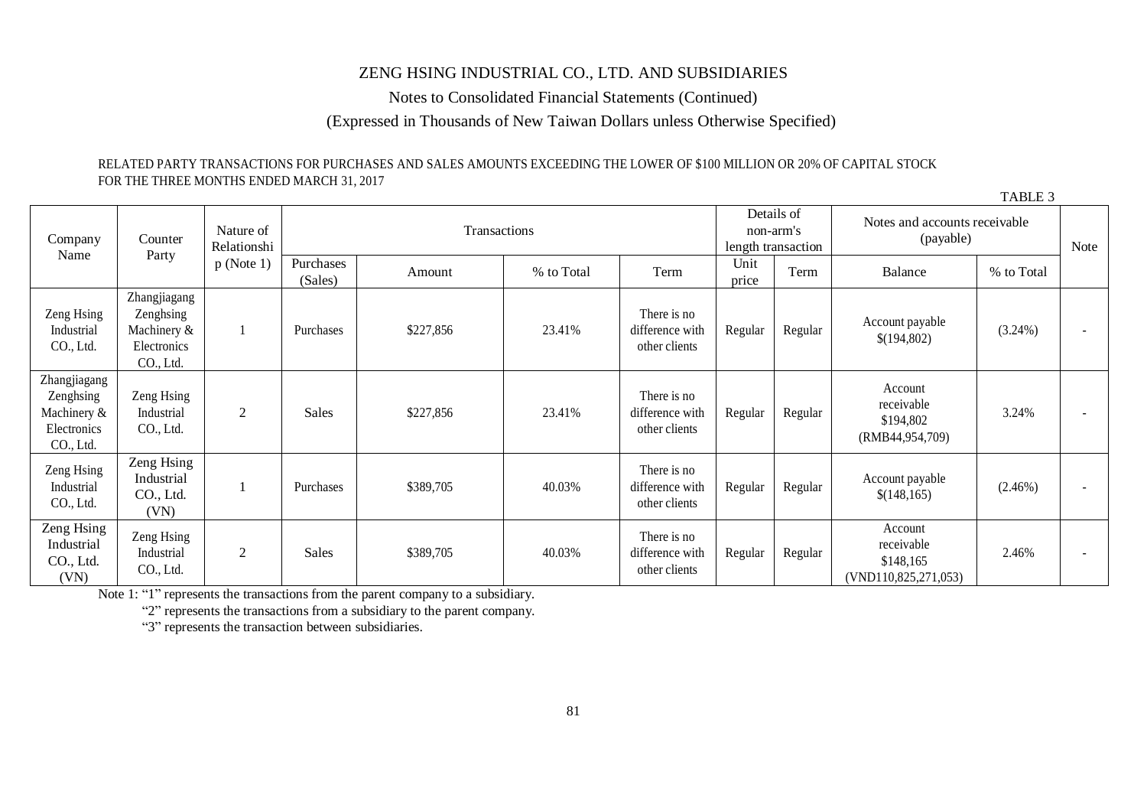Notes to Consolidated Financial Statements (Continued)

(Expressed in Thousands of New Taiwan Dollars unless Otherwise Specified)

#### RELATED PARTY TRANSACTIONS FOR PURCHASES AND SALES AMOUNTS EXCEEDING THE LOWER OF \$100 MILLION OR 20% OF CAPITAL STOCK FOR THE THREE MONTHS ENDED MARCH 31, 2017

TABLE 3 Company Name Counter Party Nature of Relationshi p (Note 1) **Transactions** Details of non-arm's length transaction Notes and accounts receivable (payable) Note Purchases (Sales) Amount % to Total Term Unit price Term Balance % to Total Zeng Hsing Industrial CO., Ltd. Zhangjiagang Zenghsing Machinery & Electronics CO., Ltd. 1 Purchases \$227,856 23.41% There is no difference with other clients Regular Regular Account payable  $\{(194,802)\}$  (3.24%) -Zhangjiagang Zenghsing Machinery & **Electronics** CO., Ltd. Zeng Hsing Industrial CO., Ltd. 2 Sales \$227,856 23.41% There is no difference with other clients Regular Regular Account receivable \$194,802 (RMB44,954,709) 3.24% - Zeng Hsing Industrial CO., Ltd. Zeng Hsing Industrial CO., Ltd. (VN) 1 Purchases \$389,705 40.03% There is no difference with other clients Regular Regular Account payable  $\begin{array}{c|c}\n\text{S}(148,165) & (2.46\%)\n\end{array}$ Zeng Hsing Industrial CO., Ltd. (VN) Zeng Hsing Industrial CO., Ltd. 2 Sales \$389,705 40.03% There is no difference with other clients Regular Regular Account receivable \$148,165 (VND110,825,271,053) 2.46% -

Note 1: "1" represents the transactions from the parent company to a subsidiary.

"2" represents the transactions from a subsidiary to the parent company.

"3" represents the transaction between subsidiaries.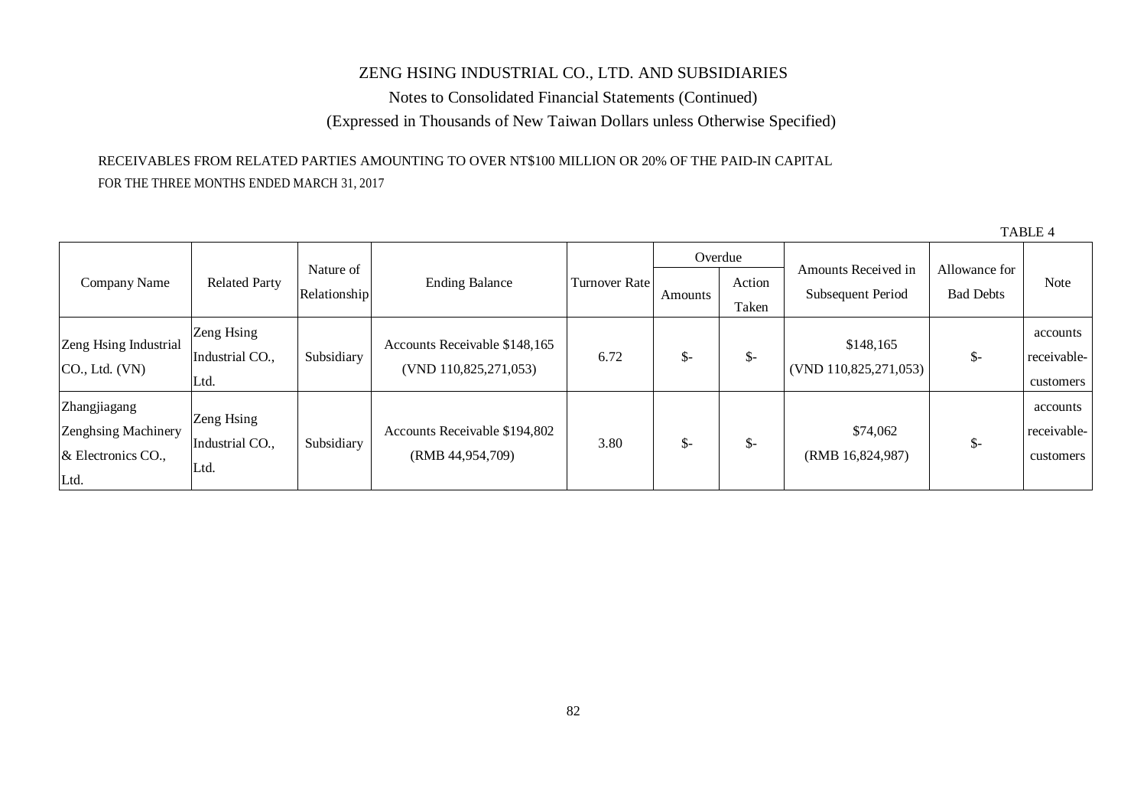## Notes to Consolidated Financial Statements (Continued) (Expressed in Thousands of New Taiwan Dollars unless Otherwise Specified)

## RECEIVABLES FROM RELATED PARTIES AMOUNTING TO OVER NT\$100 MILLION OR 20% OF THE PAID-IN CAPITAL FOR THE THREE MONTHS ENDED MARCH 31, 2017

|                                                                   |                                       |                           |                                                           |               |                 | Overdue         |                                          |                                   |                                      |
|-------------------------------------------------------------------|---------------------------------------|---------------------------|-----------------------------------------------------------|---------------|-----------------|-----------------|------------------------------------------|-----------------------------------|--------------------------------------|
| Company Name                                                      | <b>Related Party</b>                  | Nature of<br>Relationship | <b>Ending Balance</b>                                     | Turnover Rate | Amounts         | Action<br>Taken | Amounts Received in<br>Subsequent Period | Allowance for<br><b>Bad Debts</b> | <b>Note</b>                          |
| Zeng Hsing Industrial<br>CO <sub>1</sub> , Ltd. (VN)              | Zeng Hsing<br>Industrial CO.,<br>Ltd. | Subsidiary                | Accounts Receivable \$148,165<br>(VND 110, 825, 271, 053) | 6.72          | $\mathcal{S}$ - | $\mathcal{S}$ - | \$148,165<br>(VND 110, 825, 271, 053)    | $\mathcal{S}$ -                   | accounts<br>receivable-<br>customers |
| Zhangjiagang<br>Zenghsing Machinery<br>& Electronics CO.,<br>Ltd. | Zeng Hsing<br>Industrial CO.,<br>Ltd. | Subsidiary                | Accounts Receivable \$194,802<br>(RMB 44,954,709)         | 3.80          | $\mathcal{S}$ - | $\mathbb{S}^-$  | \$74,062<br>(RMB 16,824,987)             | $\mathcal{S}$ -                   | accounts<br>receivable-<br>customers |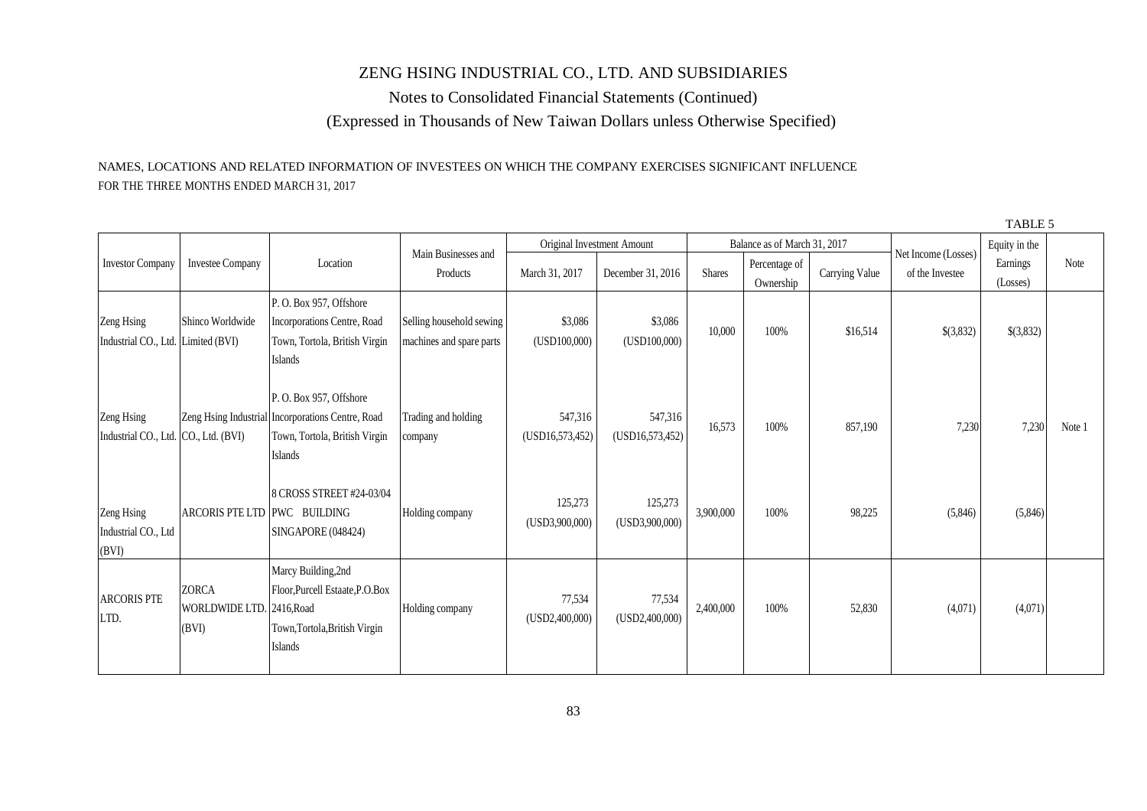Notes to Consolidated Financial Statements (Continued) (Expressed in Thousands of New Taiwan Dollars unless Otherwise Specified)

 $T_{\rm max}$ 

NAMES, LOCATIONS AND RELATED INFORMATION OF INVESTEES ON WHICH THE COMPANY EXERCISES SIGNIFICANT INFLUENCE FOR THE THREE MONTHS ENDED MARCH 31, 2017

|                                                    |                                                    |                                                                                                                                |                                                      |                              |                              |               |                              |                |                                        | TABLE 5              |        |
|----------------------------------------------------|----------------------------------------------------|--------------------------------------------------------------------------------------------------------------------------------|------------------------------------------------------|------------------------------|------------------------------|---------------|------------------------------|----------------|----------------------------------------|----------------------|--------|
|                                                    |                                                    |                                                                                                                                | Main Businesses and                                  |                              | Original Investment Amount   |               | Balance as of March 31, 2017 |                |                                        | Equity in the        |        |
| <b>Investor Company</b>                            | <b>Investee Company</b>                            | Location                                                                                                                       | Products                                             | March 31, 2017               | December 31, 2016            | <b>Shares</b> | Percentage of<br>Ownership   | Carrying Value | Net Income (Losses)<br>of the Investee | Earnings<br>(Losses) | Note   |
| Zeng Hsing<br>Industrial CO., Ltd. Limited (BVI)   | Shinco Worldwide                                   | P.O. Box 957, Offshore<br>Incorporations Centre, Road<br>Town, Tortola, British Virgin<br><b>Islands</b>                       | Selling household sewing<br>machines and spare parts | \$3,086<br>(USD100,000)      | \$3,086<br>(USD100,000)      | 10.000        | 100%                         | \$16,514       | \$(3,832)                              | \$(3,832)            |        |
| Zeng Hsing<br>Industrial CO., Ltd. CO., Ltd. (BVI) |                                                    | P.O. Box 957, Offshore<br>Zeng Hsing Industrial Incorporations Centre, Road<br>Town, Tortola, British Virgin<br><b>Islands</b> | Trading and holding<br>company                       | 547,316<br>(USD16, 573, 452) | 547,316<br>(USD16, 573, 452) | 16,573        | 100%                         | 857,190        | 7,230                                  | 7,230                | Note 1 |
| Zeng Hsing<br>Industrial CO., Ltd<br>(BVI)         | ARCORIS PTE LTD PWC BUILDING                       | 8 CROSS STREET #24-03/04<br>SINGAPORE (048424)                                                                                 | Holding company                                      | 125,273<br>(USD3,900,000)    | 125,273<br>(USD3,900,000)    | 3,900,000     | 100%                         | 98,225         | (5,846)                                | (5,846)              |        |
| <b>ARCORIS PTE</b><br>LTD.                         | <b>ZORCA</b><br>WORLDWIDE LTD. 2416, Road<br>(BVI) | Marcy Building, 2nd<br>Floor, Purcell Estaate, P.O.Box<br>Town, Tortola, British Virgin<br><b>Islands</b>                      | Holding company                                      | 77,534<br>(USD2,400,000)     | 77,534<br>(USD2,400,000)     | 2,400,000     | 100%                         | 52,830         | (4,071)                                | (4,071)              |        |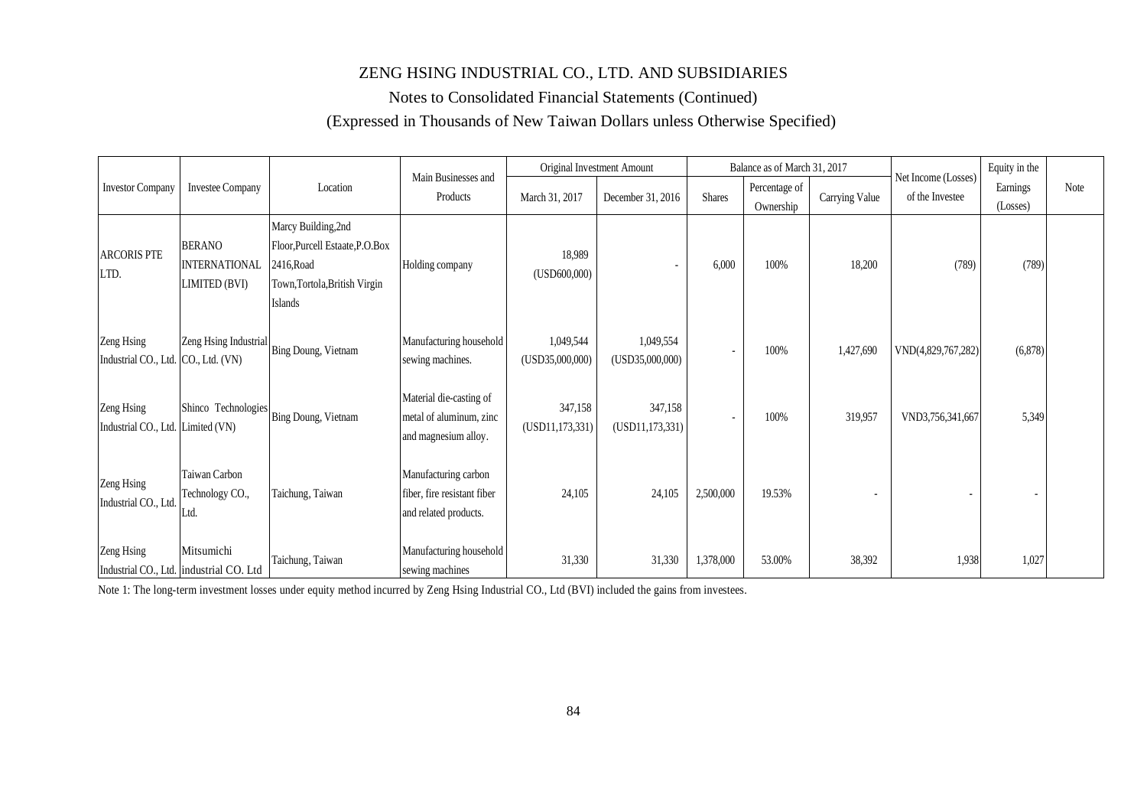# Notes to Consolidated Financial Statements (Continued) (Expressed in Thousands of New Taiwan Dollars unless Otherwise Specified)

|                                                   |                                                        |                                                                                                                 |                                                                              |                              | Original Investment Amount   |               | Balance as of March 31, 2017 |                |                                        | Equity in the        |      |
|---------------------------------------------------|--------------------------------------------------------|-----------------------------------------------------------------------------------------------------------------|------------------------------------------------------------------------------|------------------------------|------------------------------|---------------|------------------------------|----------------|----------------------------------------|----------------------|------|
| <b>Investor Company</b>                           | <b>Investee Company</b>                                | Location                                                                                                        | Main Businesses and<br>Products                                              | March 31, 2017               | December 31, 2016            | <b>Shares</b> | Percentage of<br>Ownership   | Carrying Value | Net Income (Losses)<br>of the Investee | Earnings<br>(Losses) | Note |
| <b>ARCORIS PTE</b><br>LTD.                        | <b>BERANO</b><br><b>INTERNATIONAL</b><br>LIMITED (BVI) | Marcy Building, 2nd<br>Floor, Purcell Estaate, P.O.Box<br>2416,Road<br>Town, Tortola, British Virgin<br>Islands | Holding company                                                              | 18,989<br>(USD600,000)       |                              | 6,000         | 100%                         | 18,200         | (789)                                  | (789)                |      |
| Zeng Hsing<br>Industrial CO., Ltd. CO., Ltd. (VN) | Zeng Hsing Industrial                                  | <b>Bing Doung, Vietnam</b>                                                                                      | Manufacturing household<br>sewing machines.                                  | 1,049,544<br>(USD35,000,000) | 1,049,554<br>(USD35,000,000) |               | 100%                         | 1,427,690      | VND(4,829,767,282)                     | (6,878)              |      |
| Zeng Hsing<br>Industrial CO., Ltd. Limited (VN)   | Shinco Technologies                                    | Bing Doung, Vietnam                                                                                             | Material die-casting of<br>metal of aluminum, zinc<br>and magnesium alloy.   | 347,158<br>(USD11, 173, 331) | 347,158<br>(USD11, 173, 331) |               | 100%                         | 319,957        | VND3,756,341,667                       | 5,349                |      |
| Zeng Hsing<br>Industrial CO., Ltd                 | Taiwan Carbon<br>Technology CO.,<br>.td.               | Taichung, Taiwan                                                                                                | Manufacturing carbon<br>fiber, fire resistant fiber<br>and related products. | 24,105                       | 24,105                       | 2,500,000     | 19.53%                       |                |                                        |                      |      |
| Zeng Hsing                                        | Mitsumichi<br>Industrial CO., Ltd. industrial CO. Ltd  | Taichung, Taiwan                                                                                                | Manufacturing household<br>sewing machines                                   | 31,330                       | 31,330                       | 1,378,000     | 53.00%                       | 38,392         | 1,938                                  | 1,027                |      |

Note 1: The long-term investment losses under equity method incurred by Zeng Hsing Industrial CO., Ltd (BVI) included the gains from investees.